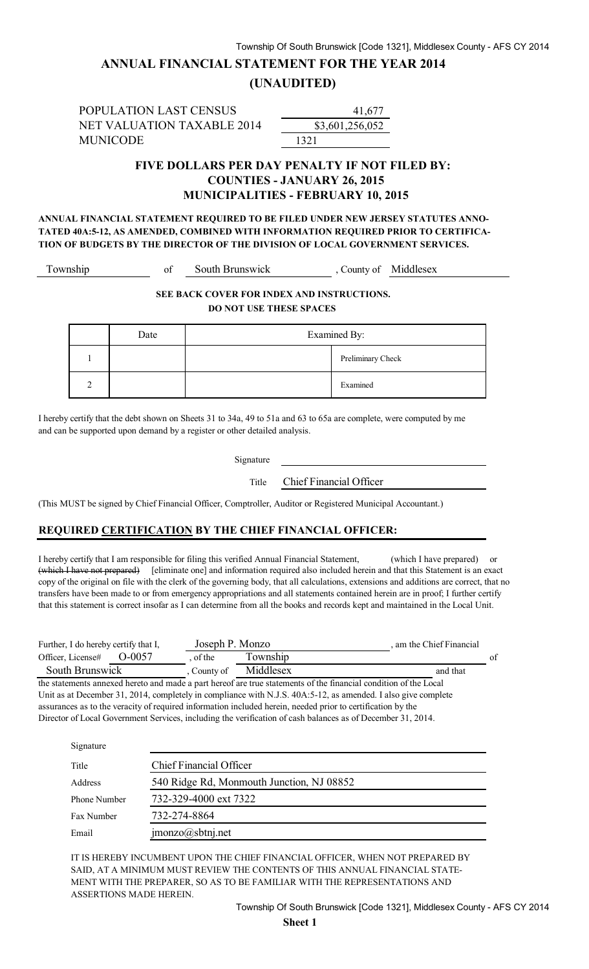## **ANNUAL FINANCIAL STATEMENT FOR THE YEAR 2014**

### **(UNAUDITED)**

POPULATION LAST CENSUS NET VALUATION TAXABLE 2014 MUNICODE 1321

\$3,601,256,052 41,677

### **FIVE DOLLARS PER DAY PENALTY IF NOT FILED BY: COUNTIES - JANUARY 26, 2015 MUNICIPALITIES - FEBRUARY 10, 2015**

**ANNUAL FINANCIAL STATEMENT REQUIRED TO BE FILED UNDER NEW JERSEY STATUTES ANNO-TATED 40A:5-12, AS AMENDED, COMBINED WITH INFORMATION REQUIRED PRIOR TO CERTIFICA-TION OF BUDGETS BY THE DIRECTOR OF THE DIVISION OF LOCAL GOVERNMENT SERVICES.**

Township of South Brunswick , County of Middlesex

#### **SEE BACK COVER FOR INDEX AND INSTRUCTIONS. DO NOT USE THESE SPACES**

| Date | Examined By: |                   |
|------|--------------|-------------------|
|      |              | Preliminary Check |
|      |              | Examined          |

I hereby certify that the debt shown on Sheets 31 to 34a, 49 to 51a and 63 to 65a are complete, were computed by me and can be supported upon demand by a register or other detailed analysis.

Signature

Title Chief Financial Officer

(This MUST be signed by Chief Financial Officer, Comptroller, Auditor or Registered Municipal Accountant.)

#### **REQUIRED CERTIFICATION BY THE CHIEF FINANCIAL OFFICER:**

I hereby certify that I am responsible for filing this verified Annual Financial Statement, (which I have prepared) or (which I have not prepared) [eliminate one] and information required also included herein and that this Statement is an exact copy of the original on file with the clerk of the governing body, that all calculations, extensions and additions are correct, that no transfers have been made to or from emergency appropriations and all statements contained herein are in proof; I further certify that this statement is correct insofar as I can determine from all the books and records kept and maintained in the Local Unit.

| Further, I do hereby certify that I, |            | Joseph P. Monzo |           | am the Chief Financial |    |
|--------------------------------------|------------|-----------------|-----------|------------------------|----|
| Officer, License#                    | $O = 0057$ | of the          | Township  |                        | of |
| South Brunswick                      |            | County of       | Middlesex | and that               |    |

the statements annexed hereto and made a part hereof are true statements of the financial condition of the Local Unit as at December 31, 2014, completely in compliance with N.J.S. 40A:5-12, as amended. I also give complete assurances as to the veracity of required information included herein, needed prior to certification by the Director of Local Government Services, including the verification of cash balances as of December 31, 2014.

| Signature    |                                           |
|--------------|-------------------------------------------|
| Title        | <b>Chief Financial Officer</b>            |
| Address      | 540 Ridge Rd, Monmouth Junction, NJ 08852 |
| Phone Number | 732-329-4000 ext 7322                     |
| Fax Number   | 732-274-8864                              |
| Email        | $\text{imonzo}(a)$ sbtnj.net              |

IT IS HEREBY INCUMBENT UPON THE CHIEF FINANCIAL OFFICER, WHEN NOT PREPARED BY SAID, AT A MINIMUM MUST REVIEW THE CONTENTS OF THIS ANNUAL FINANCIAL STATE-MENT WITH THE PREPARER, SO AS TO BE FAMILIAR WITH THE REPRESENTATIONS AND ASSERTIONS MADE HEREIN.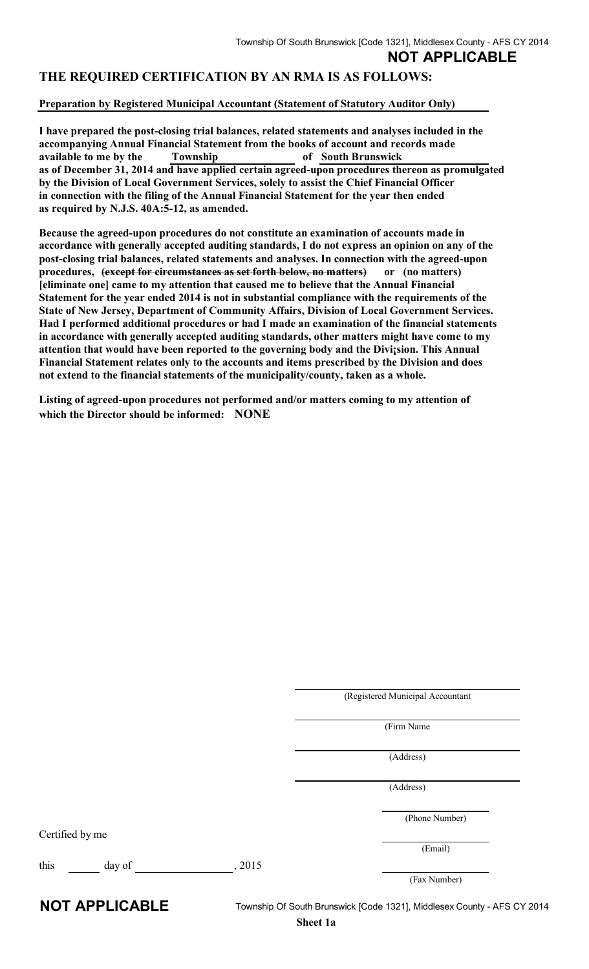## **NOT APPLICABLE**

### **THE REQUIRED CERTIFICATION BY AN RMA IS AS FOLLOWS:**

#### **Preparation by Registered Municipal Accountant (Statement of Statutory Auditor Only)**

**I have prepared the post-closing trial balances, related statements and analyses included in the accompanying Annual Financial Statement from the books of account and records made available to me by the Township of South Brunswick as of December 31, 2014 and have applied certain agreed-upon procedures thereon as promulgated by the Division of Local Government Services, solely to assist the Chief Financial Officer in connection with the filing of the Annual Financial Statement for the year then ended as required by N.J.S. 40A:5-12, as amended.** 

**Because the agreed-upon procedures do not constitute an examination of accounts made in accordance with generally accepted auditing standards, I do not express an opinion on any of the post-closing trial balances, related statements and analyses. In connection with the agreed-upon procedures, (except for circumstances as set forth below, no matters) or (no matters) [eliminate one] came to my attention that caused me to believe that the Annual Financial Statement for the year ended 2014 is not in substantial compliance with the requirements of the State of New Jersey, Department of Community Affairs, Division of Local Government Services. Had I performed additional procedures or had I made an examination of the financial statements in accordance with generally accepted auditing standards, other matters might have come to my attention that would have been reported to the governing body and the Divi¡sion. This Annual Financial Statement relates only to the accounts and items prescribed by the Division and does not extend to the financial statements of the municipality/county, taken as a whole.** 

**Listing of agreed-upon procedures not performed and/or matters coming to my attention of which the Director should be informed: NONE**

(Registered Municipal Accountant

(Firm Name

(Address)

(Address)

(Phone Number)

(Email)

(Fax Number)

Certified by me

this day of , 2015

**NOT APPLICABLE** Township Of South Brunswick [Code 1321], Middlesex County - AFS CY 2014 **Sheet 1a**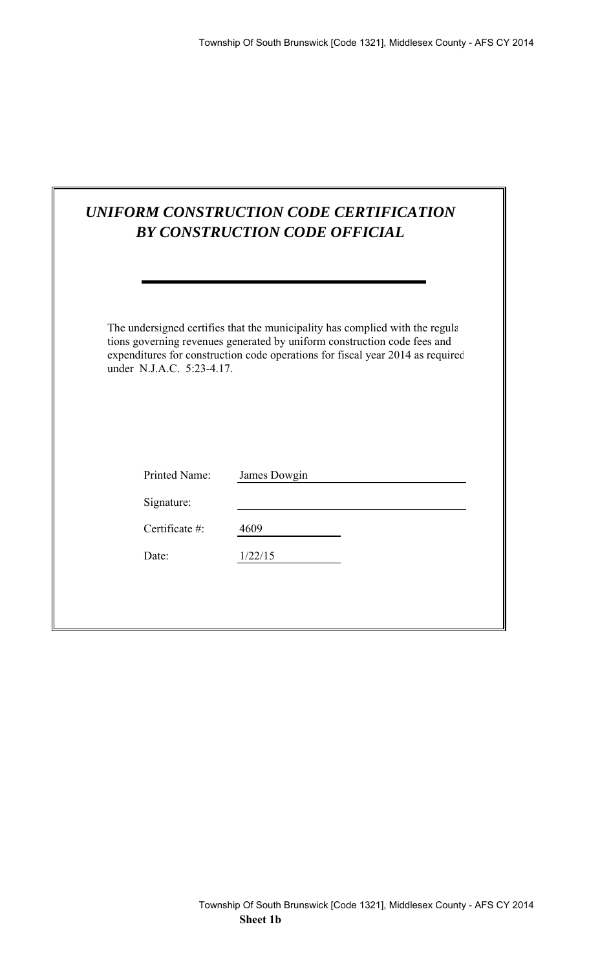|                                               | UNIFORM CONSTRUCTION CODE CERTIFICATION<br><b>BY CONSTRUCTION CODE OFFICIAL</b>                                                                                                                                                             |
|-----------------------------------------------|---------------------------------------------------------------------------------------------------------------------------------------------------------------------------------------------------------------------------------------------|
| under N.J.A.C. 5:23-4.17.                     | The undersigned certifies that the municipality has complied with the regular<br>tions governing revenues generated by uniform construction code fees and<br>expenditures for construction code operations for fiscal year 2014 as required |
| Printed Name:<br>Signature:<br>Certificate #: | James Dowgin<br>4609                                                                                                                                                                                                                        |
| Date:                                         | 1/22/15                                                                                                                                                                                                                                     |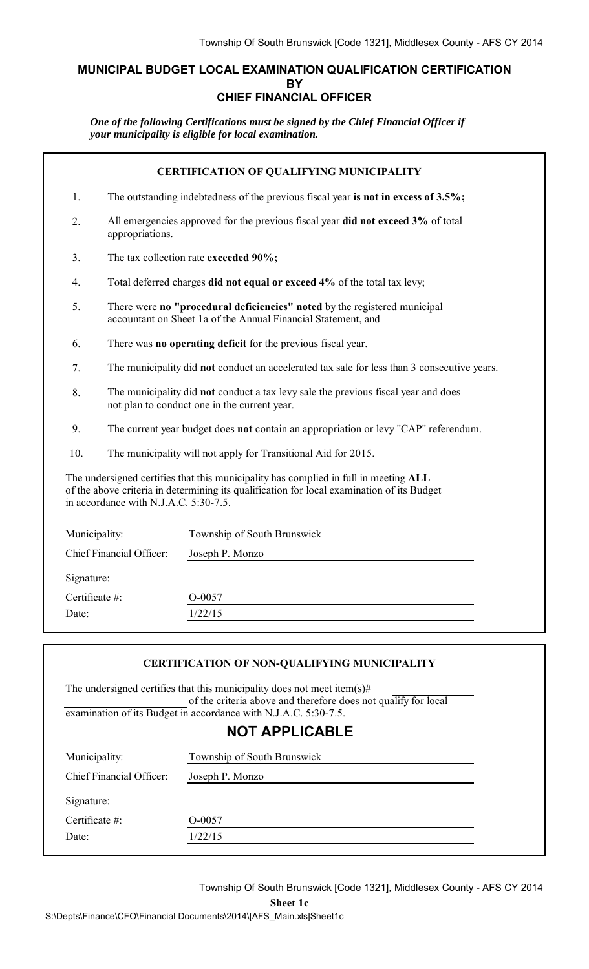### **MUNICIPAL BUDGET LOCAL EXAMINATION QUALIFICATION CERTIFICATION BY CHIEF FINANCIAL OFFICER**

*One of the following Certifications must be signed by the Chief Financial Officer if your municipality is eligible for local examination.*

|                                                                                                                                                                                                                             |                                                                                                                                    | <b>CERTIFICATION OF QUALIFYING MUNICIPALITY</b>                                                                                            |  |  |
|-----------------------------------------------------------------------------------------------------------------------------------------------------------------------------------------------------------------------------|------------------------------------------------------------------------------------------------------------------------------------|--------------------------------------------------------------------------------------------------------------------------------------------|--|--|
| 1.                                                                                                                                                                                                                          |                                                                                                                                    | The outstanding indebtedness of the previous fiscal year is not in excess of 3.5%;                                                         |  |  |
| 2.                                                                                                                                                                                                                          | appropriations.                                                                                                                    | All emergencies approved for the previous fiscal year did not exceed 3% of total                                                           |  |  |
| 3.                                                                                                                                                                                                                          |                                                                                                                                    | The tax collection rate exceeded 90%;                                                                                                      |  |  |
| $\overline{4}$ .                                                                                                                                                                                                            |                                                                                                                                    | Total deferred charges did not equal or exceed 4% of the total tax levy;                                                                   |  |  |
| 5.                                                                                                                                                                                                                          |                                                                                                                                    | There were no "procedural deficiencies" noted by the registered municipal<br>accountant on Sheet 1a of the Annual Financial Statement, and |  |  |
| 6.                                                                                                                                                                                                                          |                                                                                                                                    | There was no operating deficit for the previous fiscal year.                                                                               |  |  |
| 7.                                                                                                                                                                                                                          | The municipality did not conduct an accelerated tax sale for less than 3 consecutive years.                                        |                                                                                                                                            |  |  |
| 8.                                                                                                                                                                                                                          | The municipality did not conduct a tax levy sale the previous fiscal year and does<br>not plan to conduct one in the current year. |                                                                                                                                            |  |  |
| 9.                                                                                                                                                                                                                          | The current year budget does <b>not</b> contain an appropriation or levy "CAP" referendum.                                         |                                                                                                                                            |  |  |
| 10.                                                                                                                                                                                                                         | The municipality will not apply for Transitional Aid for 2015.                                                                     |                                                                                                                                            |  |  |
| The undersigned certifies that this municipality has complied in full in meeting ALL<br>of the above criteria in determining its qualification for local examination of its Budget<br>in accordance with N.J.A.C. 5:30-7.5. |                                                                                                                                    |                                                                                                                                            |  |  |
| Municipality:                                                                                                                                                                                                               |                                                                                                                                    | Township of South Brunswick                                                                                                                |  |  |
|                                                                                                                                                                                                                             | Chief Financial Officer:                                                                                                           | Joseph P. Monzo                                                                                                                            |  |  |
| Signature:                                                                                                                                                                                                                  |                                                                                                                                    |                                                                                                                                            |  |  |
| Certificate #:                                                                                                                                                                                                              |                                                                                                                                    | O-0057                                                                                                                                     |  |  |
| Date:                                                                                                                                                                                                                       |                                                                                                                                    | 1/22/15                                                                                                                                    |  |  |
|                                                                                                                                                                                                                             |                                                                                                                                    |                                                                                                                                            |  |  |

#### **CERTIFICATION OF NON-QUALIFYING MUNICIPALITY**

The undersigned certifies that this municipality does not meet item(s)# of the criteria above and therefore does not qualify for local examination of its Budget in accordance with N.J.A.C. 5:30-7.5.

## **NOT APPLICABLE**

| Chief Financial Officer:<br>Joseph P. Monzo<br>Signature:<br>Certificate $#$ :<br>O-0057 | Municipality: | Township of South Brunswick |  |
|------------------------------------------------------------------------------------------|---------------|-----------------------------|--|
|                                                                                          |               |                             |  |
|                                                                                          |               |                             |  |
|                                                                                          |               |                             |  |
|                                                                                          | Date:         | 1/22/15                     |  |

Township Of South Brunswick [Code 1321], Middlesex County - AFS CY 2014

**Sheet 1c**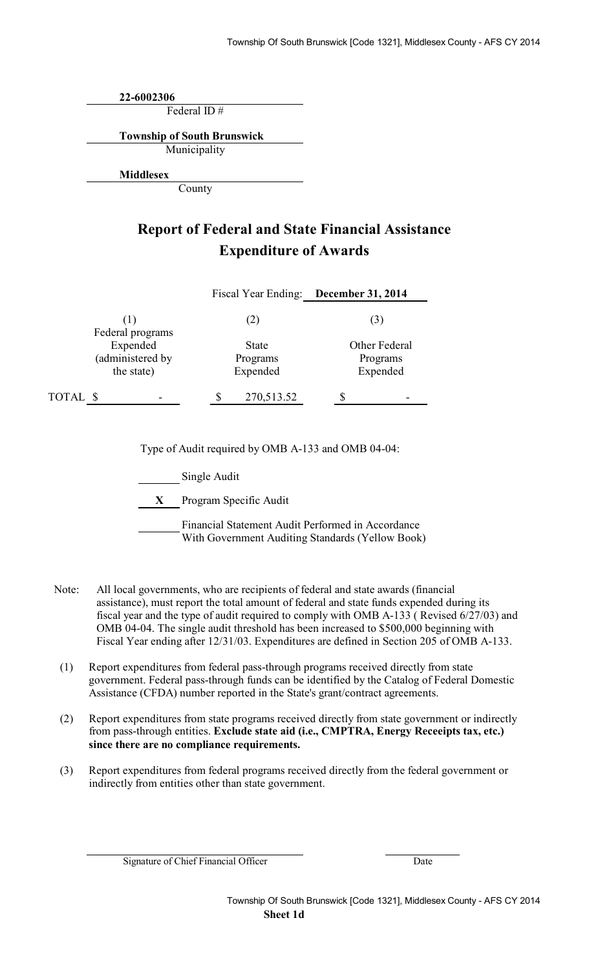**22-6002306**

Federal ID #

**Township of South Brunswick**

Municipality

**Middlesex**

County

## **Report of Federal and State Financial Assistance Expenditure of Awards**

|          |                                            | Fiscal Year Ending: December 31, 2014 |                                       |
|----------|--------------------------------------------|---------------------------------------|---------------------------------------|
|          | (1)<br>Federal programs                    | (2)                                   | (3)                                   |
|          | Expended<br>(administered by<br>the state) | <b>State</b><br>Programs<br>Expended  | Other Federal<br>Programs<br>Expended |
| TOTAL \$ |                                            | 270,513.52                            |                                       |

Type of Audit required by OMB A-133 and OMB 04-04:

Single Audit

**X** Program Specific Audit

Financial Statement Audit Performed in Accordance With Government Auditing Standards (Yellow Book)

- Note: All local governments, who are recipients of federal and state awards (financial assistance), must report the total amount of federal and state funds expended during its fiscal year and the type of audit required to comply with OMB A-133 ( Revised 6/27/03) and OMB 04-04. The single audit threshold has been increased to \$500,000 beginning with Fiscal Year ending after 12/31/03. Expenditures are defined in Section 205 of OMB A-133.
- (1) Report expenditures from federal pass-through programs received directly from state government. Federal pass-through funds can be identified by the Catalog of Federal Domestic Assistance (CFDA) number reported in the State's grant/contract agreements.
- (2) Report expenditures from state programs received directly from state government or indirectly from pass-through entities. **Exclude state aid (i.e., CMPTRA, Energy Receeipts tax, etc.) since there are no compliance requirements.**
- (3) Report expenditures from federal programs received directly from the federal government or indirectly from entities other than state government.

Signature of Chief Financial Officer Date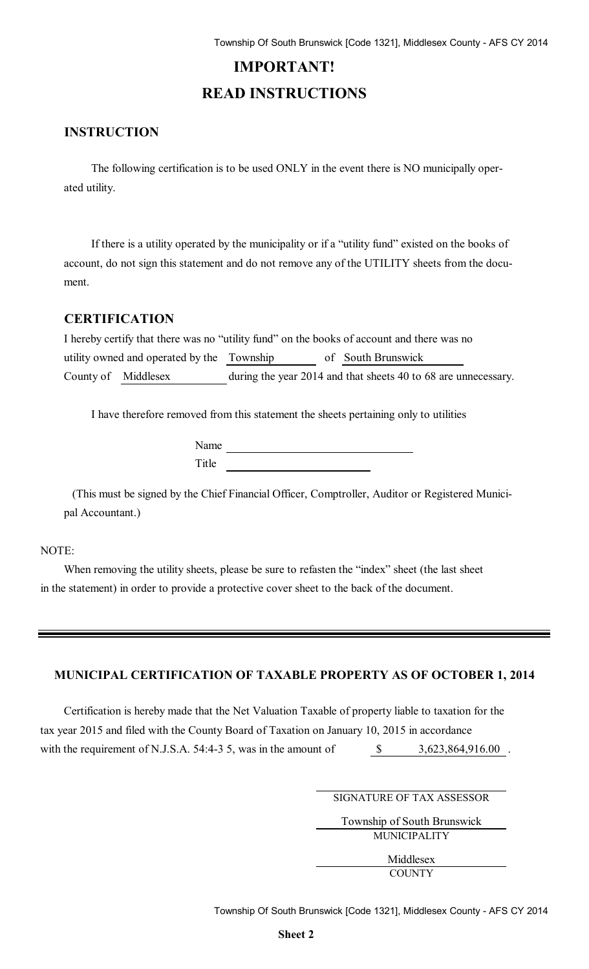# **IMPORTANT! READ INSTRUCTIONS**

### **INSTRUCTION**

The following certification is to be used ONLY in the event there is NO municipally operated utility.

If there is a utility operated by the municipality or if a "utility fund" existed on the books of account, do not sign this statement and do not remove any of the UTILITY sheets from the document.

### **CERTIFICATION**

| I hereby certify that there was no "utility fund" on the books of account and there was no |  |                                                                |
|--------------------------------------------------------------------------------------------|--|----------------------------------------------------------------|
| utility owned and operated by the Township                                                 |  | of South Brunswick                                             |
| County of Middlesex                                                                        |  | during the year 2014 and that sheets 40 to 68 are unnecessary. |

I have therefore removed from this statement the sheets pertaining only to utilities

| Name  |  |
|-------|--|
| Title |  |

(This must be signed by the Chief Financial Officer, Comptroller, Auditor or Registered Municipal Accountant.)

### NOTE:

When removing the utility sheets, please be sure to refasten the "index" sheet (the last sheet in the statement) in order to provide a protective cover sheet to the back of the document.

#### **MUNICIPAL CERTIFICATION OF TAXABLE PROPERTY AS OF OCTOBER 1, 2014**

Certification is hereby made that the Net Valuation Taxable of property liable to taxation for the tax year 2015 and filed with the County Board of Taxation on January 10, 2015 in accordance with the requirement of N.J.S.A. 54:4-3 5, was in the amount of  $\$\$$ \$ 3,623,864,916.00

SIGNATURE OF TAX ASSESSOR

Township of South Brunswick MUNICIPALITY

> Middlesex **COUNTY**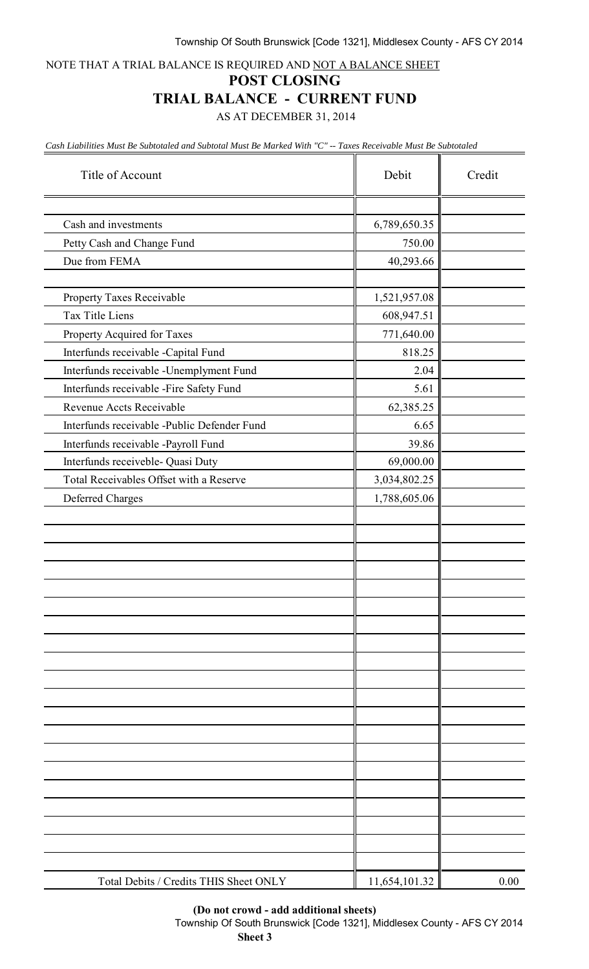NOTE THAT A TRIAL BALANCE IS REQUIRED AND NOT A BALANCE SHEET

#### **POST CLOSING**

### **TRIAL BALANCE - CURRENT FUND**

AS AT DECEMBER 31, 2014

*Cash Liabilities Must Be Subtotaled and Subtotal Must Be Marked With "C" -- Taxes Receivable Must Be Subtotaled*

| Title of Account                            | Debit         | Credit |
|---------------------------------------------|---------------|--------|
|                                             |               |        |
| Cash and investments                        | 6,789,650.35  |        |
| Petty Cash and Change Fund                  | 750.00        |        |
| Due from FEMA                               | 40,293.66     |        |
|                                             |               |        |
| Property Taxes Receivable                   | 1,521,957.08  |        |
| Tax Title Liens                             | 608,947.51    |        |
| Property Acquired for Taxes                 | 771,640.00    |        |
| Interfunds receivable -Capital Fund         | 818.25        |        |
| Interfunds receivable -Unemplyment Fund     | 2.04          |        |
| Interfunds receivable -Fire Safety Fund     | 5.61          |        |
| Revenue Accts Receivable                    | 62,385.25     |        |
| Interfunds receivable -Public Defender Fund | 6.65          |        |
| Interfunds receivable -Payroll Fund         | 39.86         |        |
| Interfunds receiveble- Quasi Duty           | 69,000.00     |        |
| Total Receivables Offset with a Reserve     | 3,034,802.25  |        |
| Deferred Charges                            | 1,788,605.06  |        |
|                                             |               |        |
|                                             |               |        |
|                                             |               |        |
|                                             |               |        |
|                                             |               |        |
|                                             |               |        |
|                                             |               |        |
|                                             |               |        |
|                                             |               |        |
|                                             |               |        |
|                                             |               |        |
|                                             |               |        |
|                                             |               |        |
|                                             |               |        |
|                                             |               |        |
|                                             |               |        |
|                                             |               |        |
|                                             |               |        |
|                                             |               |        |
|                                             |               |        |
| Total Debits / Credits THIS Sheet ONLY      | 11,654,101.32 | 0.00   |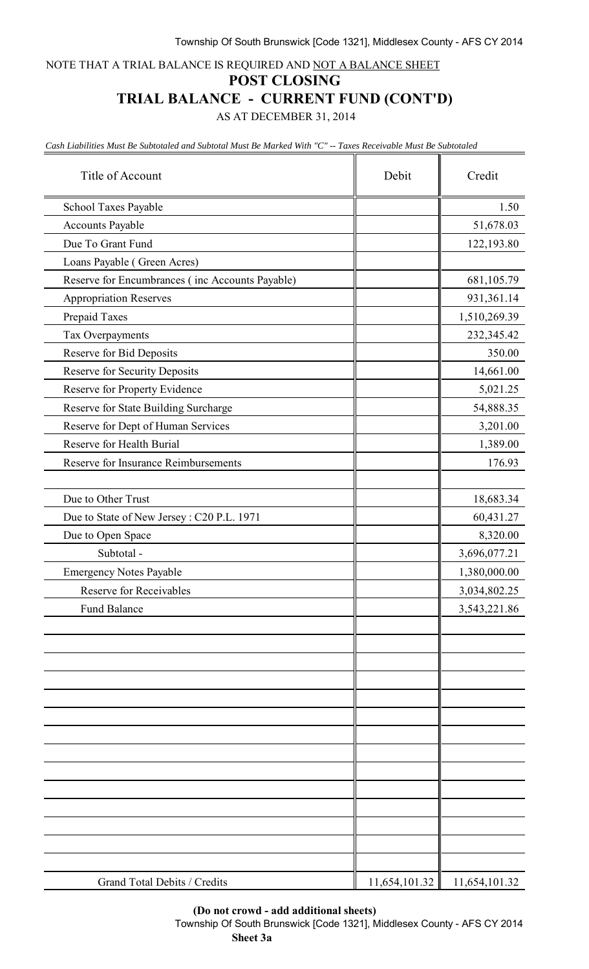NOTE THAT A TRIAL BALANCE IS REQUIRED AND NOT A BALANCE SHEET

#### **POST CLOSING**

## **TRIAL BALANCE - CURRENT FUND (CONT'D)**

AS AT DECEMBER 31, 2014

*Cash Liabilities Must Be Subtotaled and Subtotal Must Be Marked With "C" -- Taxes Receivable Must Be Subtotaled*

| Title of Account                                | Debit         | Credit        |
|-------------------------------------------------|---------------|---------------|
| School Taxes Payable                            |               | 1.50          |
| Accounts Payable                                |               | 51,678.03     |
| Due To Grant Fund                               |               | 122,193.80    |
| Loans Payable (Green Acres)                     |               |               |
| Reserve for Encumbrances (inc Accounts Payable) |               | 681,105.79    |
| <b>Appropriation Reserves</b>                   |               | 931,361.14    |
| Prepaid Taxes                                   |               | 1,510,269.39  |
| Tax Overpayments                                |               | 232,345.42    |
| Reserve for Bid Deposits                        |               | 350.00        |
| <b>Reserve for Security Deposits</b>            |               | 14,661.00     |
| Reserve for Property Evidence                   |               | 5,021.25      |
| Reserve for State Building Surcharge            |               | 54,888.35     |
| Reserve for Dept of Human Services              |               | 3,201.00      |
| Reserve for Health Burial                       |               | 1,389.00      |
| Reserve for Insurance Reimbursements            |               | 176.93        |
|                                                 |               |               |
| Due to Other Trust                              |               | 18,683.34     |
| Due to State of New Jersey: C20 P.L. 1971       |               | 60,431.27     |
| Due to Open Space                               |               | 8,320.00      |
| Subtotal -                                      |               | 3,696,077.21  |
| <b>Emergency Notes Payable</b>                  |               | 1,380,000.00  |
| <b>Reserve for Receivables</b>                  |               | 3,034,802.25  |
| <b>Fund Balance</b>                             |               | 3,543,221.86  |
|                                                 |               |               |
|                                                 |               |               |
|                                                 |               |               |
|                                                 |               |               |
|                                                 |               |               |
|                                                 |               |               |
|                                                 |               |               |
|                                                 |               |               |
|                                                 |               |               |
|                                                 |               |               |
|                                                 |               |               |
|                                                 |               |               |
|                                                 |               |               |
|                                                 |               |               |
| Grand Total Debits / Credits                    | 11,654,101.32 | 11,654,101.32 |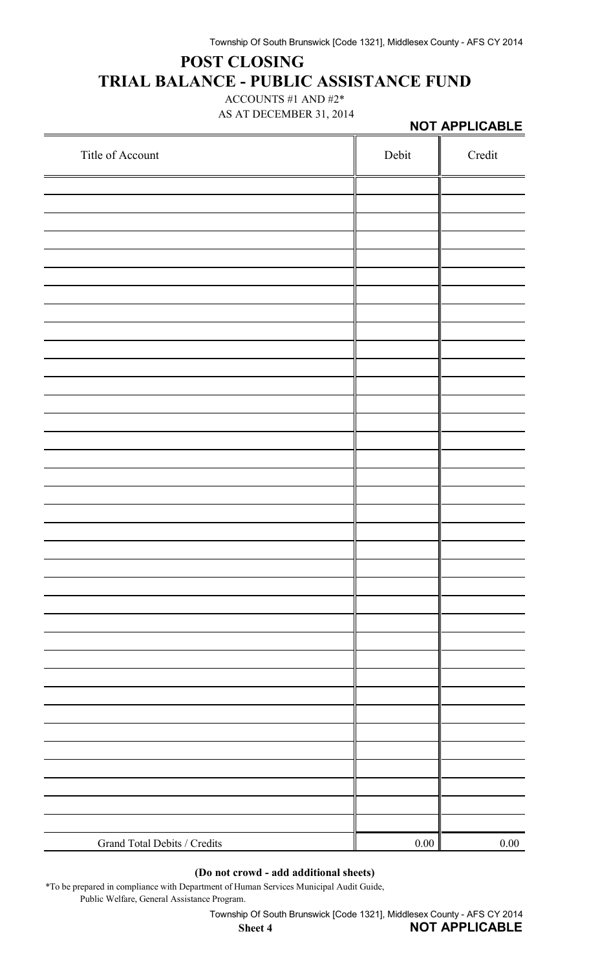# **POST CLOSING TRIAL BALANCE - PUBLIC ASSISTANCE FUND**

ACCOUNTS #1 AND #2\* AS AT DECEMBER 31, 2014

|                              |       | NOT APPLICABLE |  |  |
|------------------------------|-------|----------------|--|--|
| Title of Account             | Debit | $\bf Credit$   |  |  |
|                              |       |                |  |  |
|                              |       |                |  |  |
|                              |       |                |  |  |
|                              |       |                |  |  |
|                              |       |                |  |  |
|                              |       |                |  |  |
|                              |       |                |  |  |
|                              |       |                |  |  |
|                              |       |                |  |  |
|                              |       |                |  |  |
|                              |       |                |  |  |
|                              |       |                |  |  |
|                              |       |                |  |  |
|                              |       |                |  |  |
|                              |       |                |  |  |
|                              |       |                |  |  |
|                              |       |                |  |  |
|                              |       |                |  |  |
|                              |       |                |  |  |
|                              |       |                |  |  |
|                              |       |                |  |  |
|                              |       |                |  |  |
|                              |       |                |  |  |
|                              |       |                |  |  |
|                              |       |                |  |  |
|                              |       |                |  |  |
|                              |       |                |  |  |
| Grand Total Debits / Credits | 0.00  | 0.00           |  |  |

### **(Do not crowd - add additional sheets)**

\*To be prepared in compliance with Department of Human Services Municipal Audit Guide, Public Welfare, General Assistance Program.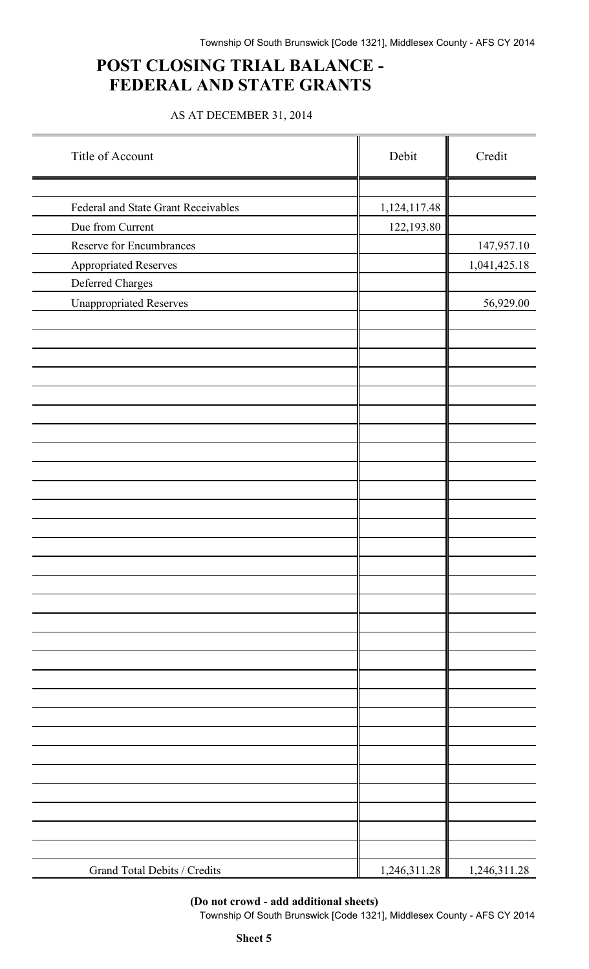## **POST CLOSING TRIAL BALANCE - FEDERAL AND STATE GRANTS**

AS AT DECEMBER 31, 2014

| Title of Account                    | Debit        | Credit       |
|-------------------------------------|--------------|--------------|
|                                     |              |              |
| Federal and State Grant Receivables | 1,124,117.48 |              |
| Due from Current                    | 122,193.80   |              |
| Reserve for Encumbrances            |              | 147,957.10   |
| Appropriated Reserves               |              | 1,041,425.18 |
| Deferred Charges                    |              |              |
| <b>Unappropriated Reserves</b>      |              | 56,929.00    |
|                                     |              |              |
|                                     |              |              |
|                                     |              |              |
|                                     |              |              |
|                                     |              |              |
|                                     |              |              |
|                                     |              |              |
|                                     |              |              |
|                                     |              |              |
|                                     |              |              |
|                                     |              |              |
|                                     |              |              |
|                                     |              |              |
|                                     |              |              |
|                                     |              |              |
|                                     |              |              |
|                                     |              |              |
|                                     |              |              |
|                                     |              |              |
|                                     |              |              |
|                                     |              |              |
|                                     |              |              |
|                                     |              |              |
|                                     |              |              |
|                                     |              |              |
|                                     |              |              |
|                                     |              |              |
|                                     |              |              |
|                                     |              |              |
| Grand Total Debits / Credits        | 1,246,311.28 | 1,246,311.28 |

**(Do not crowd - add additional sheets)**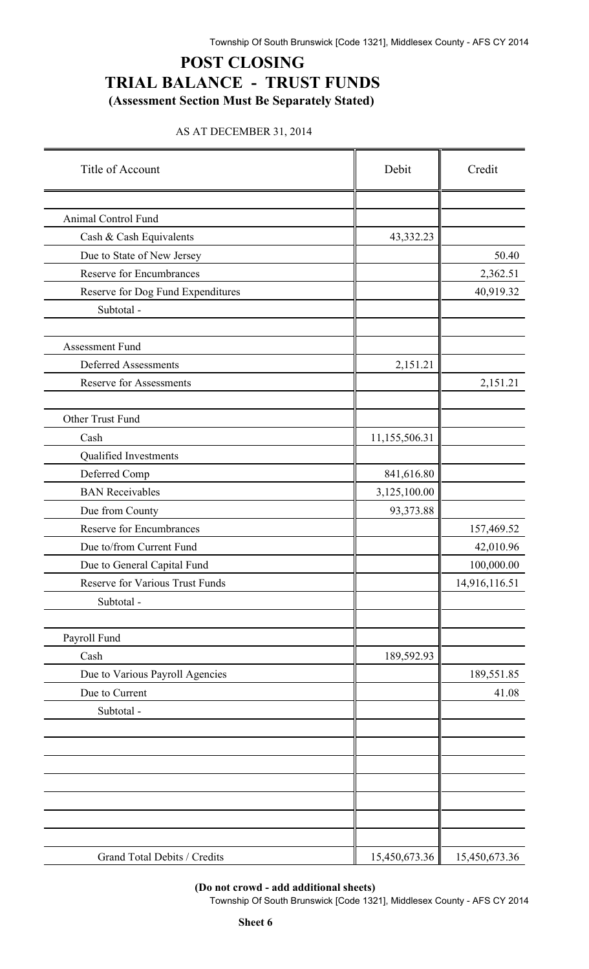## **POST CLOSING TRIAL BALANCE - TRUST FUNDS (Assessment Section Must Be Separately Stated)**

#### AS AT DECEMBER 31, 2014

| Title of Account                                  | Debit         | Credit        |
|---------------------------------------------------|---------------|---------------|
|                                                   |               |               |
| Animal Control Fund                               |               |               |
| Cash & Cash Equivalents                           | 43,332.23     |               |
| Due to State of New Jersey                        |               | 50.40         |
| <b>Reserve for Encumbrances</b>                   |               | 2,362.51      |
| Reserve for Dog Fund Expenditures                 |               | 40,919.32     |
| Subtotal -                                        |               |               |
|                                                   |               |               |
| Assessment Fund                                   |               |               |
| <b>Deferred Assessments</b>                       | 2,151.21      |               |
| <b>Reserve for Assessments</b>                    |               | 2,151.21      |
| Other Trust Fund                                  |               |               |
| Cash                                              | 11,155,506.31 |               |
| Qualified Investments                             |               |               |
| Deferred Comp                                     | 841,616.80    |               |
| <b>BAN</b> Receivables                            | 3,125,100.00  |               |
| Due from County                                   | 93,373.88     |               |
| <b>Reserve for Encumbrances</b>                   |               | 157,469.52    |
| Due to/from Current Fund                          |               | 42,010.96     |
| Due to General Capital Fund                       |               | 100,000.00    |
| Reserve for Various Trust Funds                   |               | 14,916,116.51 |
| Subtotal -                                        |               |               |
|                                                   |               |               |
| Payroll Fund<br>Cash                              | 189,592.93    |               |
|                                                   |               | 189,551.85    |
| Due to Various Payroll Agencies<br>Due to Current |               | 41.08         |
| Subtotal -                                        |               |               |
|                                                   |               |               |
|                                                   |               |               |
|                                                   |               |               |
|                                                   |               |               |
|                                                   |               |               |
|                                                   |               |               |
|                                                   |               |               |
| Grand Total Debits / Credits                      | 15,450,673.36 | 15,450,673.36 |

#### **(Do not crowd - add additional sheets)**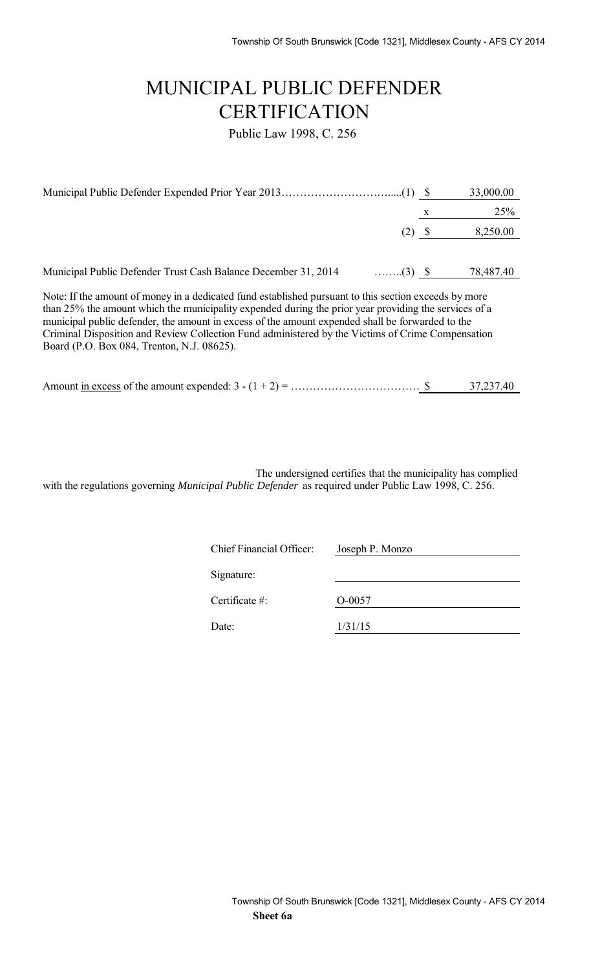# MUNICIPAL PUBLIC DEFENDER **CERTIFICATION**

Public Law 1998, C. 256

|                                                                                                                                                                                                                                                                                                                                                                                                                                                                       |          |   | 33,000.00 |
|-----------------------------------------------------------------------------------------------------------------------------------------------------------------------------------------------------------------------------------------------------------------------------------------------------------------------------------------------------------------------------------------------------------------------------------------------------------------------|----------|---|-----------|
|                                                                                                                                                                                                                                                                                                                                                                                                                                                                       |          | X | 25%       |
|                                                                                                                                                                                                                                                                                                                                                                                                                                                                       | $(2)$ \$ |   | 8,250.00  |
|                                                                                                                                                                                                                                                                                                                                                                                                                                                                       |          |   |           |
| Municipal Public Defender Trust Cash Balance December 31, 2014<br>$\ldots$ (3) \$                                                                                                                                                                                                                                                                                                                                                                                     |          |   | 78,487.40 |
| Note: If the amount of money in a dedicated fund established pursuant to this section exceeds by more<br>than 25% the amount which the municipality expended during the prior year providing the services of a<br>municipal public defender, the amount in excess of the amount expended shall be forwarded to the<br>Criminal Disposition and Review Collection Fund administered by the Victims of Crime Compensation<br>Board (P.O. Box 084, Trenton, N.J. 08625). |          |   |           |

| Amount in excess of the amount expended: $3 - (1 + 2) =$ . |  | 37,237.40 |
|------------------------------------------------------------|--|-----------|
|                                                            |  |           |

The undersigned certifies that the municipality has complied with the regulations governing *Municipal Public Defender* as required under Public Law 1998, C. 256.

| Chief Financial Officer: | Joseph P. Monzo |
|--------------------------|-----------------|
| Signature:               |                 |
| Certificate $#$ :        | $O-0057$        |
| Date:                    | 1/31/15         |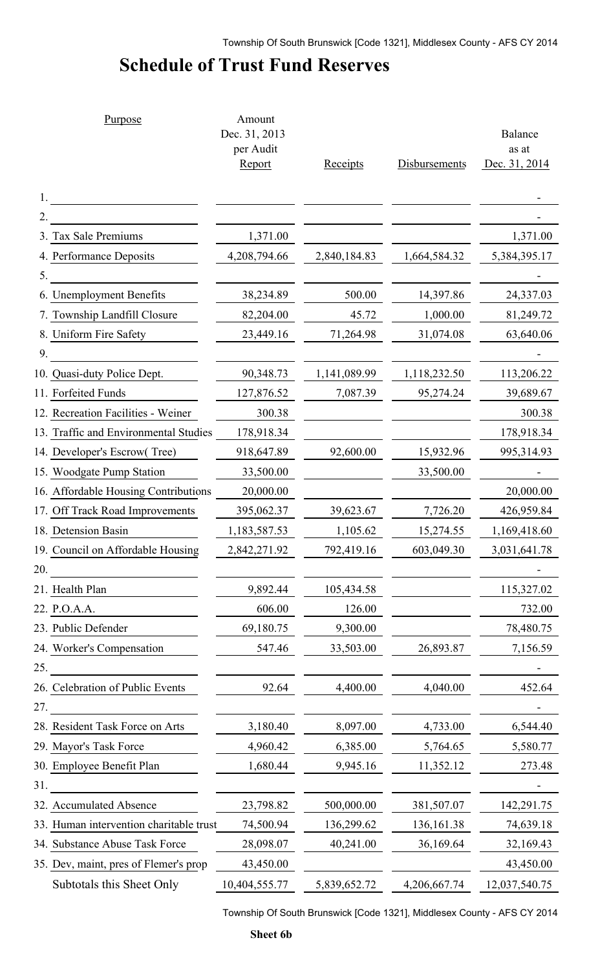# **Schedule of Trust Fund Reserves**

|     | Purpose                                 | Amount<br>Dec. 31, 2013<br>per Audit<br>Report | <b>Receipts</b> | Disbursements | <b>Balance</b><br>as at<br>Dec. 31, 2014 |
|-----|-----------------------------------------|------------------------------------------------|-----------------|---------------|------------------------------------------|
|     |                                         |                                                |                 |               |                                          |
|     |                                         |                                                |                 |               |                                          |
|     | 3. Tax Sale Premiums                    | 1,371.00                                       |                 |               | 1,371.00                                 |
|     | 4. Performance Deposits                 | 4,208,794.66                                   | 2,840,184.83    | 1,664,584.32  | 5, 384, 395. 17                          |
| 5.  |                                         |                                                |                 |               |                                          |
|     | 6. Unemployment Benefits                | 38,234.89                                      | 500.00          | 14,397.86     | 24,337.03                                |
|     | 7. Township Landfill Closure            | 82,204.00                                      | 45.72           | 1,000.00      | 81,249.72                                |
|     | 8. Uniform Fire Safety                  | 23,449.16                                      | 71,264.98       | 31,074.08     | 63,640.06                                |
| 9.  |                                         |                                                |                 |               |                                          |
|     | 10. Quasi-duty Police Dept.             | 90,348.73                                      | 1,141,089.99    | 1,118,232.50  | 113,206.22                               |
|     | 11. Forfeited Funds                     | 127,876.52                                     | 7,087.39        | 95,274.24     | 39,689.67                                |
|     | 12. Recreation Facilities - Weiner      | 300.38                                         |                 |               | 300.38                                   |
|     | 13. Traffic and Environmental Studies   | 178,918.34                                     |                 |               | 178,918.34                               |
|     | 14. Developer's Escrow(Tree)            | 918,647.89                                     | 92,600.00       | 15,932.96     | 995,314.93                               |
|     | 15. Woodgate Pump Station               | 33,500.00                                      |                 | 33,500.00     |                                          |
|     | 16. Affordable Housing Contributions    | 20,000.00                                      |                 |               | 20,000.00                                |
|     | 17. Off Track Road Improvements         | 395,062.37                                     | 39,623.67       | 7,726.20      | 426,959.84                               |
|     | 18. Detension Basin                     | 1,183,587.53                                   | 1,105.62        | 15,274.55     | 1,169,418.60                             |
|     | 19. Council on Affordable Housing       | 2,842,271.92                                   | 792,419.16      | 603,049.30    | 3,031,641.78                             |
| 20. |                                         |                                                |                 |               |                                          |
|     | 21. Health Plan                         | 9,892.44                                       | 105,434.58      |               | 115,327.02                               |
|     | 22. P.O.A.A.                            | 606.00                                         | 126.00          |               | 732.00                                   |
|     | 23. Public Defender                     | 69,180.75                                      | 9,300.00        |               | 78,480.75                                |
|     | 24. Worker's Compensation               | 547.46                                         | 33,503.00       | 26,893.87     | 7,156.59                                 |
| 25. |                                         |                                                |                 |               |                                          |
|     | 26. Celebration of Public Events        | 92.64                                          | 4,400.00        | 4,040.00      | 452.64                                   |
| 27. |                                         |                                                |                 |               |                                          |
|     | 28. Resident Task Force on Arts         | 3,180.40                                       | 8,097.00        | 4,733.00      | 6,544.40                                 |
|     | 29. Mayor's Task Force                  | 4,960.42                                       | 6,385.00        | 5,764.65      | 5,580.77                                 |
|     | 30. Employee Benefit Plan               | 1,680.44                                       | 9,945.16        | 11,352.12     | 273.48                                   |
| 31. |                                         |                                                |                 |               |                                          |
|     | 32. Accumulated Absence                 | 23,798.82                                      | 500,000.00      | 381,507.07    | 142,291.75                               |
|     | 33. Human intervention charitable trust | 74,500.94                                      | 136,299.62      | 136, 161.38   | 74,639.18                                |
|     | 34. Substance Abuse Task Force          | 28,098.07                                      | 40,241.00       | 36,169.64     | 32,169.43                                |
|     | 35. Dev, maint, pres of Flemer's prop   | 43,450.00                                      |                 |               | 43,450.00                                |
|     | Subtotals this Sheet Only               | 10,404,555.77                                  | 5,839,652.72    | 4,206,667.74  | 12,037,540.75                            |
|     |                                         |                                                |                 |               |                                          |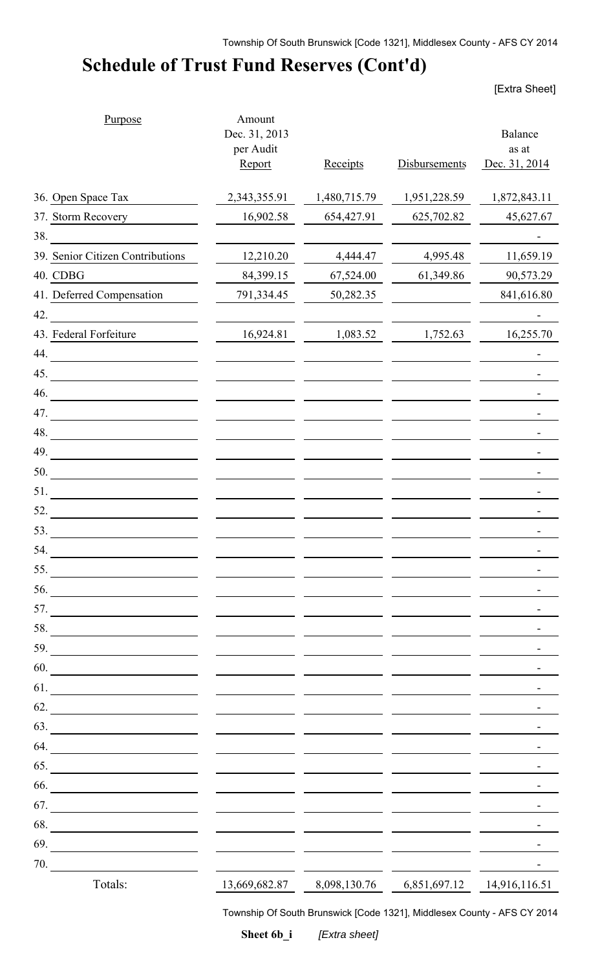# **Schedule of Trust Fund Reserves (Cont'd)**

[Extra Sheet]

| Purpose                                                                                                                     | Amount<br>Dec. 31, 2013<br>per Audit |              |               | Balance<br>as at           |
|-----------------------------------------------------------------------------------------------------------------------------|--------------------------------------|--------------|---------------|----------------------------|
|                                                                                                                             | Report                               | Receipts     | Disbursements | Dec. 31, 2014              |
| 36. Open Space Tax                                                                                                          | 2,343,355.91                         | 1,480,715.79 | 1,951,228.59  | 1,872,843.11               |
| 37. Storm Recovery                                                                                                          | 16,902.58                            | 654,427.91   | 625,702.82    | 45,627.67                  |
| 38.                                                                                                                         |                                      |              |               |                            |
| 39. Senior Citizen Contributions                                                                                            | 12,210.20                            | 4,444.47     | 4,995.48      | 11,659.19                  |
| 40. CDBG                                                                                                                    | 84,399.15                            | 67,524.00    | 61,349.86     | 90,573.29                  |
| 41. Deferred Compensation                                                                                                   | 791,334.45                           | 50,282.35    |               | 841,616.80                 |
| 42.                                                                                                                         |                                      |              |               |                            |
| 43. Federal Forfeiture                                                                                                      | 16,924.81                            | 1,083.52     | 1,752.63      | 16,255.70                  |
| 44.                                                                                                                         |                                      |              |               |                            |
| 45.<br><u> 1989 - Johann Stein, fransk politik (</u>                                                                        |                                      |              |               |                            |
| 46.<br><u> 1980 - Jan Samuel Barbara, martin da shekara 1980 - An an A</u>                                                  |                                      |              |               |                            |
|                                                                                                                             |                                      |              |               |                            |
| 48.                                                                                                                         |                                      |              |               |                            |
| 49.                                                                                                                         |                                      |              |               |                            |
| 50.                                                                                                                         |                                      |              |               |                            |
| 51.<br><u> 1980 - Jan Stein Stein Stein Stein Stein Stein Stein Stein Stein Stein Stein Stein Stein Stein Stein Stein S</u> |                                      |              |               |                            |
| 52.<br><u> 1980 - Jan Stein Stein Stein Stein Stein Stein Stein Stein Stein Stein Stein Stein Stein Stein Stein Stein S</u> |                                      |              |               |                            |
| 53.                                                                                                                         |                                      |              |               |                            |
| 54.                                                                                                                         |                                      |              |               |                            |
| 55.                                                                                                                         |                                      |              |               |                            |
| 56.<br><u> 1980 - Johann Barbara, martin a</u>                                                                              |                                      |              |               |                            |
| 57.<br><u> 1980 - Jan Samuel Barbara, político e por establecer a la propia de la propia de la propia de la propia de l</u> |                                      |              |               |                            |
| 58.                                                                                                                         |                                      |              |               |                            |
| 59.<br><u> 1989 - Johann Barbara, martin a</u>                                                                              |                                      |              |               |                            |
| 60.                                                                                                                         |                                      |              |               |                            |
| 61.                                                                                                                         |                                      |              |               |                            |
| 62.                                                                                                                         |                                      |              |               |                            |
| 63.                                                                                                                         |                                      |              |               |                            |
| 64.<br><u> 1989 - Johann Barnett, fransk kongresu.</u>                                                                      |                                      |              |               |                            |
| 65.                                                                                                                         |                                      |              |               |                            |
| 66.<br><u> 1980 - Johann Barbara, martin a</u>                                                                              |                                      |              |               |                            |
| 67.<br><u> 1980 - John Stein, amerikansk politiker (</u>                                                                    |                                      |              |               |                            |
| 68.                                                                                                                         |                                      |              |               |                            |
| 69.                                                                                                                         |                                      |              |               |                            |
| 70.                                                                                                                         |                                      |              |               |                            |
| Totals:                                                                                                                     | 13,669,682.87                        | 8,098,130.76 |               | 6,851,697.12 14,916,116.51 |

Township Of South Brunswick [Code 1321], Middlesex County - AFS CY 2014

**Sheet 6b\_i** *[Extra sheet]*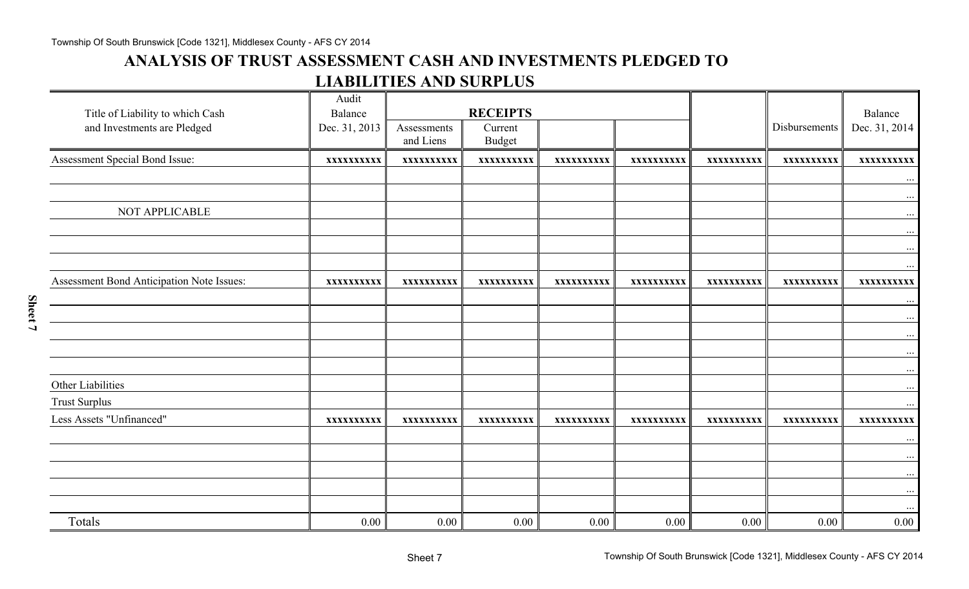## **ANALYSIS OF TRUST ASSESSMENT CASH AND INVESTMENTS PLEDGED TO LIABILITIES AND SURPLUS**

| Title of Liability to which Cash<br>and Investments are Pledged | Audit<br>Balance<br>Dec. 31, 2013 | Assessments<br>and Liens | <b>RECEIPTS</b><br>Current<br><b>Budget</b> |            |            |            | Disbursements | Balance<br>Dec. 31, 2014        |
|-----------------------------------------------------------------|-----------------------------------|--------------------------|---------------------------------------------|------------|------------|------------|---------------|---------------------------------|
| Assessment Special Bond Issue:                                  | XXXXXXXXXX                        | XXXXXXXXXX               | XXXXXXXXXX                                  | XXXXXXXXXX | XXXXXXXXXX | XXXXXXXXXX | XXXXXXXXXX    | XXXXXXXXXX                      |
|                                                                 |                                   |                          |                                             |            |            |            |               | $\ldots$                        |
| NOT APPLICABLE                                                  |                                   |                          |                                             |            |            |            |               | $\cdots$<br>$\cdots$            |
|                                                                 |                                   |                          |                                             |            |            |            |               | $\cdots$<br>$\cdots$            |
| Assessment Bond Anticipation Note Issues:                       | XXXXXXXXXX                        | XXXXXXXXXX               | XXXXXXXXXX                                  | XXXXXXXXXX | XXXXXXXXXX | XXXXXXXXXX | XXXXXXXXXX    | $\cdots$<br>XXXXXXXXXX          |
|                                                                 |                                   |                          |                                             |            |            |            |               | $\cdot \cdot \cdot$<br>$\ldots$ |
|                                                                 |                                   |                          |                                             |            |            |            |               | $\cdot \cdot \cdot$<br>$\cdots$ |
|                                                                 |                                   |                          |                                             |            |            |            |               | $\ldots$                        |
| Other Liabilities<br><b>Trust Surplus</b>                       |                                   |                          |                                             |            |            |            |               | $\cdots$                        |
| Less Assets "Unfinanced"                                        | XXXXXXXXXX                        | XXXXXXXXXX               | XXXXXXXXXX                                  | XXXXXXXXXX | XXXXXXXXXX | XXXXXXXXXX | XXXXXXXXXX    | $\ldots$<br>XXXXXXXXXX          |
|                                                                 |                                   |                          |                                             |            |            |            |               | $\cdots$                        |
|                                                                 |                                   |                          |                                             |            |            |            |               | $\cdots$<br>$\cdots$            |
|                                                                 |                                   |                          |                                             |            |            |            |               | $\cdots$                        |
| Totals                                                          | 0.00                              | 0.00                     | 0.00                                        | 0.00       | 0.00       | 0.00       | 0.00          | $\cdots$<br>$0.00\,$            |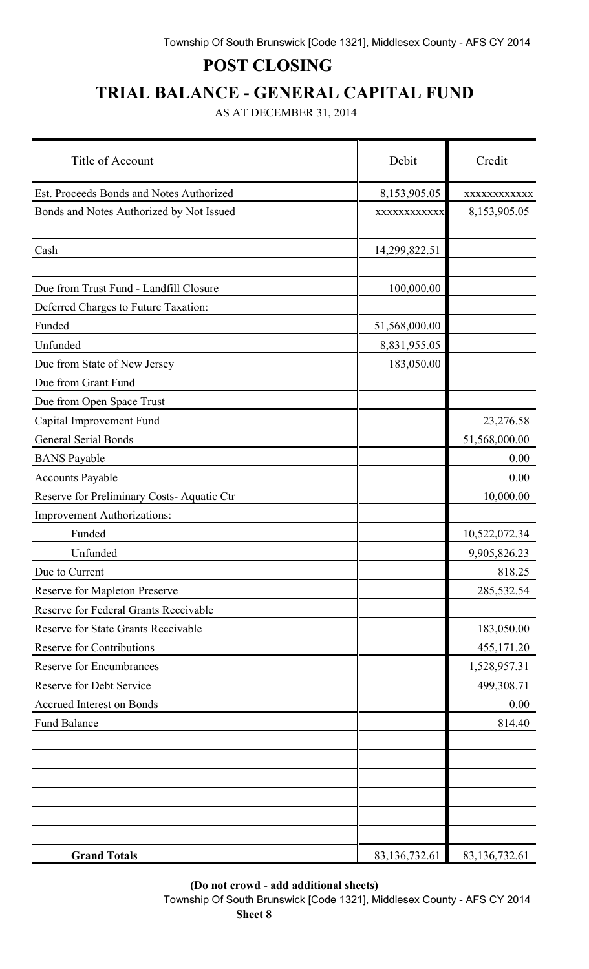# **POST CLOSING**

# **TRIAL BALANCE - GENERAL CAPITAL FUND**

AS AT DECEMBER 31, 2014

| Title of Account                          | Debit         | Credit        |
|-------------------------------------------|---------------|---------------|
| Est. Proceeds Bonds and Notes Authorized  | 8,153,905.05  | XXXXXXXXXXXX  |
| Bonds and Notes Authorized by Not Issued  | XXXXXXXXXXX   | 8,153,905.05  |
| Cash                                      | 14,299,822.51 |               |
| Due from Trust Fund - Landfill Closure    | 100,000.00    |               |
| Deferred Charges to Future Taxation:      |               |               |
| Funded                                    | 51,568,000.00 |               |
| Unfunded                                  | 8,831,955.05  |               |
| Due from State of New Jersey              | 183,050.00    |               |
| Due from Grant Fund                       |               |               |
| Due from Open Space Trust                 |               |               |
| Capital Improvement Fund                  |               | 23,276.58     |
| <b>General Serial Bonds</b>               |               | 51,568,000.00 |
| <b>BANS</b> Payable                       |               | 0.00          |
| <b>Accounts Payable</b>                   |               | 0.00          |
| Reserve for Preliminary Costs-Aquatic Ctr |               | 10,000.00     |
| <b>Improvement Authorizations:</b>        |               |               |
| Funded                                    |               | 10,522,072.34 |
| Unfunded                                  |               | 9,905,826.23  |
| Due to Current                            |               | 818.25        |
| Reserve for Mapleton Preserve             |               | 285,532.54    |
| Reserve for Federal Grants Receivable     |               |               |
| Reserve for State Grants Receivable       |               | 183,050.00    |
| <b>Reserve for Contributions</b>          |               | 455,171.20    |
| Reserve for Encumbrances                  |               | 1,528,957.31  |
| Reserve for Debt Service                  |               | 499,308.71    |
| Accrued Interest on Bonds                 |               | 0.00          |
| <b>Fund Balance</b>                       |               | 814.40        |
|                                           |               |               |
|                                           |               |               |
|                                           |               |               |
|                                           |               |               |
|                                           |               |               |
|                                           |               |               |
| <b>Grand Totals</b>                       | 83,136,732.61 | 83,136,732.61 |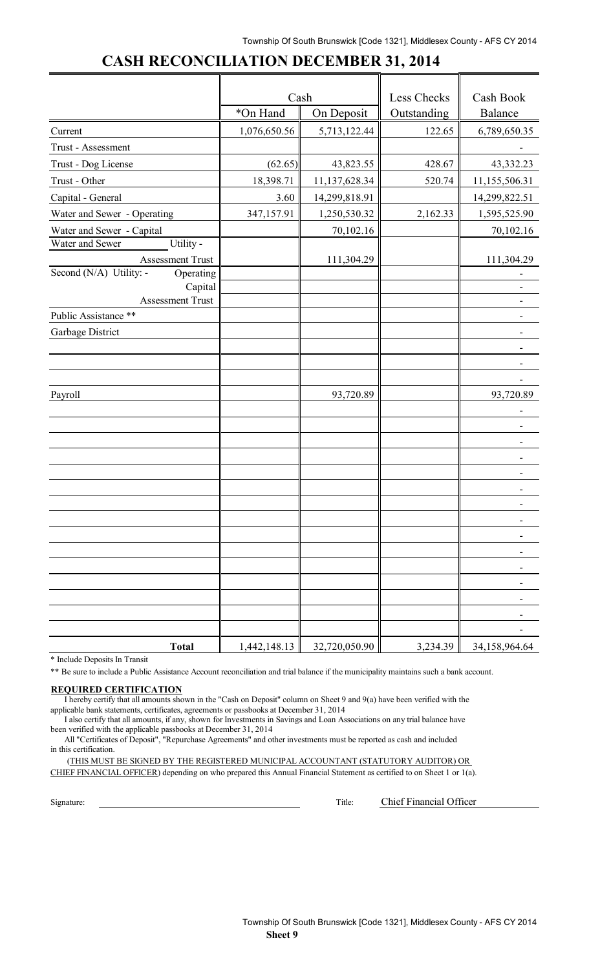## **CASH RECONCILIATION DECEMBER 31, 2014**

|                                      | Cash         |                              | Less Checks | Cash Book                |
|--------------------------------------|--------------|------------------------------|-------------|--------------------------|
|                                      | *On Hand     | On Deposit                   | Outstanding | Balance                  |
| Current                              | 1,076,650.56 | 5,713,122.44                 | 122.65      | 6,789,650.35             |
| Trust - Assessment                   |              |                              |             |                          |
| Trust - Dog License                  | (62.65)      | 43,823.55                    | 428.67      | 43,332.23                |
| Trust - Other                        | 18,398.71    | 11,137,628.34                | 520.74      | 11,155,506.31            |
| Capital - General                    | 3.60         | 14,299,818.91                |             | 14,299,822.51            |
| Water and Sewer - Operating          | 347,157.91   | 1,250,530.32                 | 2,162.33    | 1,595,525.90             |
| Water and Sewer - Capital            |              | 70,102.16                    |             | 70,102.16                |
| Utility -<br>Water and Sewer         |              |                              |             |                          |
| <b>Assessment Trust</b>              |              | 111,304.29                   |             | 111,304.29               |
| Second (N/A) Utility: -<br>Operating |              |                              |             |                          |
| Capital<br><b>Assessment Trust</b>   |              |                              |             |                          |
| Public Assistance **                 |              |                              |             |                          |
| Garbage District                     |              |                              |             |                          |
|                                      |              |                              |             |                          |
|                                      |              |                              |             |                          |
|                                      |              |                              |             |                          |
| Payroll                              |              | 93,720.89                    |             | 93,720.89                |
|                                      |              |                              |             |                          |
|                                      |              |                              |             |                          |
|                                      |              |                              |             |                          |
|                                      |              |                              |             |                          |
|                                      |              |                              |             |                          |
|                                      |              |                              |             |                          |
|                                      |              |                              |             |                          |
|                                      |              |                              |             |                          |
|                                      |              |                              |             |                          |
|                                      |              |                              |             |                          |
|                                      |              |                              |             |                          |
|                                      |              |                              |             |                          |
|                                      |              |                              |             |                          |
|                                      |              |                              |             |                          |
|                                      |              |                              |             |                          |
| <b>Total</b>                         |              | $1,442,148.13$ 32,720,050.90 |             | $3,234.39$ 34,158,964.64 |

\* Include Deposits In Transit

\*\* Be sure to include a Public Assistance Account reconciliation and trial balance if the municipality maintains such a bank account.

#### **REQUIRED CERTIFICATION**

I hereby certify that all amounts shown in the "Cash on Deposit" column on Sheet 9 and 9(a) have been verified with the applicable bank statements, certificates, agreements or passbooks at December 31, 2014

I also certify that all amounts, if any, shown for Investments in Savings and Loan Associations on any trial balance have been verified with the applicable passbooks at December 31, 2014

All "Certificates of Deposit", "Repurchase Agreements" and other investments must be reported as cash and included in this certification.

(THIS MUST BE SIGNED BY THE REGISTERED MUNICIPAL ACCOUNTANT (STATUTORY AUDITOR) OR CHIEF FINANCIAL OFFICER) depending on who prepared this Annual Financial Statement as certified to on Sheet 1 or 1(a).

Signature: Title: Chief Financial Officer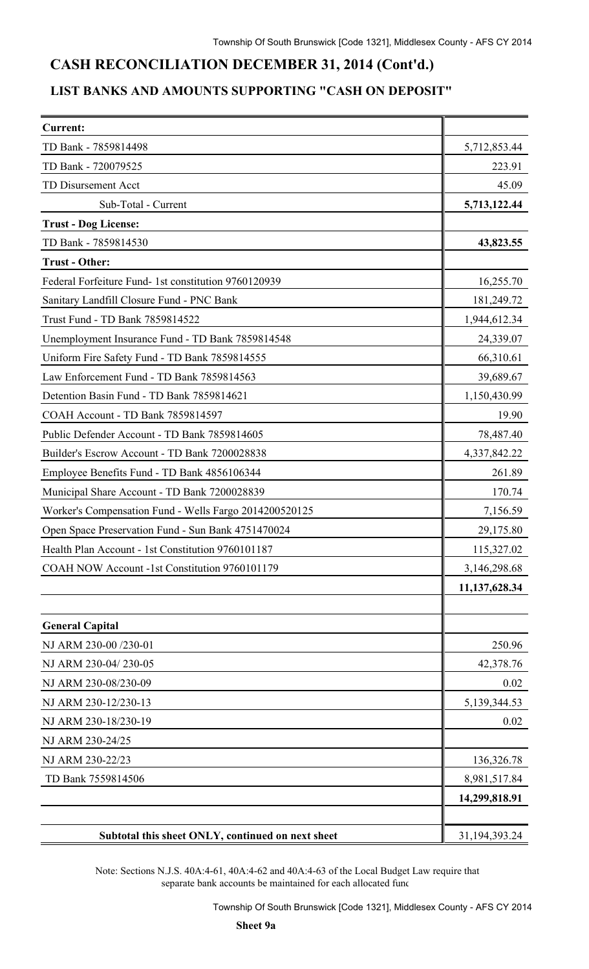## **CASH RECONCILIATION DECEMBER 31, 2014 (Cont'd.)**

### **LIST BANKS AND AMOUNTS SUPPORTING "CASH ON DEPOSIT"**

| <b>Current:</b>                                        |                 |
|--------------------------------------------------------|-----------------|
| TD Bank - 7859814498                                   | 5,712,853.44    |
| TD Bank - 720079525                                    | 223.91          |
| TD Disursement Acct                                    | 45.09           |
| Sub-Total - Current                                    | 5,713,122.44    |
| <b>Trust - Dog License:</b>                            |                 |
| TD Bank - 7859814530                                   | 43,823.55       |
| <b>Trust - Other:</b>                                  |                 |
| Federal Forfeiture Fund-1st constitution 9760120939    | 16,255.70       |
| Sanitary Landfill Closure Fund - PNC Bank              | 181,249.72      |
| Trust Fund - TD Bank 7859814522                        | 1,944,612.34    |
| Unemployment Insurance Fund - TD Bank 7859814548       | 24,339.07       |
| Uniform Fire Safety Fund - TD Bank 7859814555          | 66,310.61       |
| Law Enforcement Fund - TD Bank 7859814563              | 39,689.67       |
| Detention Basin Fund - TD Bank 7859814621              | 1,150,430.99    |
| COAH Account - TD Bank 7859814597                      | 19.90           |
| Public Defender Account - TD Bank 7859814605           | 78,487.40       |
| Builder's Escrow Account - TD Bank 7200028838          | 4,337,842.22    |
| Employee Benefits Fund - TD Bank 4856106344            | 261.89          |
| Municipal Share Account - TD Bank 7200028839           | 170.74          |
| Worker's Compensation Fund - Wells Fargo 2014200520125 | 7,156.59        |
| Open Space Preservation Fund - Sun Bank 4751470024     | 29,175.80       |
| Health Plan Account - 1st Constitution 9760101187      | 115,327.02      |
| COAH NOW Account -1st Constitution 9760101179          | 3,146,298.68    |
|                                                        | 11,137,628.34   |
| <b>General Capital</b>                                 |                 |
| NJ ARM 230-00 /230-01                                  | 250.96          |
| NJ ARM 230-04/230-05                                   | 42,378.76       |
| NJ ARM 230-08/230-09                                   | 0.02            |
| NJ ARM 230-12/230-13                                   | 5, 139, 344. 53 |
| NJ ARM 230-18/230-19                                   | 0.02            |
| NJ ARM 230-24/25                                       |                 |
| NJ ARM 230-22/23                                       | 136,326.78      |
| TD Bank 7559814506                                     | 8,981,517.84    |
|                                                        | 14,299,818.91   |
| Subtotal this sheet ONLY, continued on next sheet      | 31,194,393.24   |

Note: Sections N.J.S. 40A:4-61, 40A:4-62 and 40A:4-63 of the Local Budget Law require that separate bank accounts be maintained for each allocated fund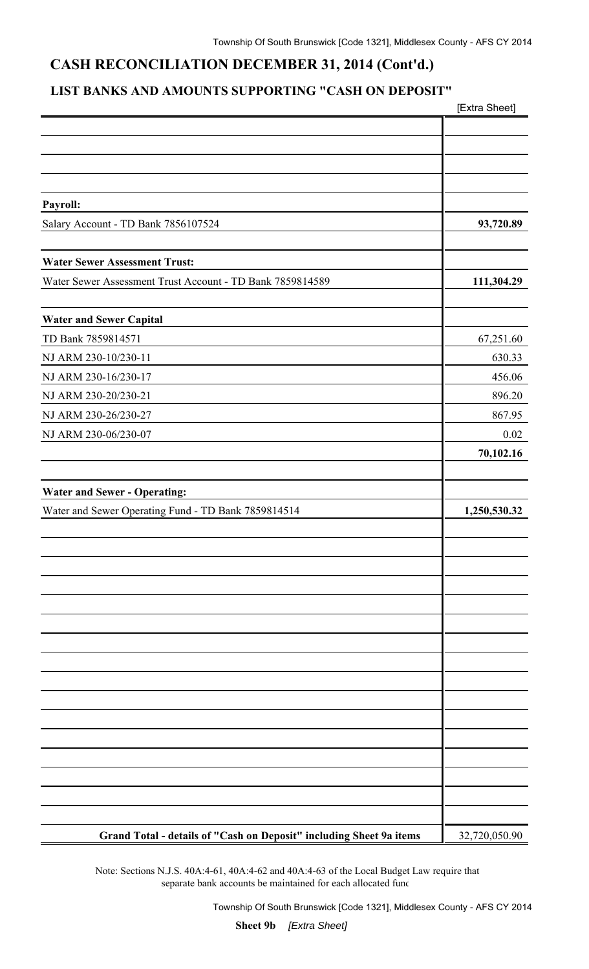## **CASH RECONCILIATION DECEMBER 31, 2014 (Cont'd.)**

## **LIST BANKS AND AMOUNTS SUPPORTING "CASH ON DEPOSIT"**

|                                                                     | [Extra Sheet] |
|---------------------------------------------------------------------|---------------|
|                                                                     |               |
|                                                                     |               |
|                                                                     |               |
|                                                                     |               |
| Payroll:                                                            |               |
| Salary Account - TD Bank 7856107524                                 | 93,720.89     |
|                                                                     |               |
| <b>Water Sewer Assessment Trust:</b>                                |               |
| Water Sewer Assessment Trust Account - TD Bank 7859814589           | 111,304.29    |
|                                                                     |               |
| <b>Water and Sewer Capital</b>                                      |               |
| TD Bank 7859814571                                                  | 67,251.60     |
| NJ ARM 230-10/230-11                                                | 630.33        |
| NJ ARM 230-16/230-17                                                | 456.06        |
| NJ ARM 230-20/230-21                                                | 896.20        |
| NJ ARM 230-26/230-27                                                | 867.95        |
| NJ ARM 230-06/230-07                                                | 0.02          |
|                                                                     | 70,102.16     |
|                                                                     |               |
| <b>Water and Sewer - Operating:</b>                                 |               |
| Water and Sewer Operating Fund - TD Bank 7859814514                 | 1,250,530.32  |
|                                                                     |               |
|                                                                     |               |
|                                                                     |               |
|                                                                     |               |
|                                                                     |               |
|                                                                     |               |
|                                                                     |               |
|                                                                     |               |
|                                                                     |               |
|                                                                     |               |
|                                                                     |               |
|                                                                     |               |
|                                                                     |               |
|                                                                     |               |
|                                                                     |               |
|                                                                     |               |
|                                                                     |               |
| Grand Total - details of "Cash on Deposit" including Sheet 9a items | 32,720,050.90 |

Note: Sections N.J.S. 40A:4-61, 40A:4-62 and 40A:4-63 of the Local Budget Law require that separate bank accounts be maintained for each allocated func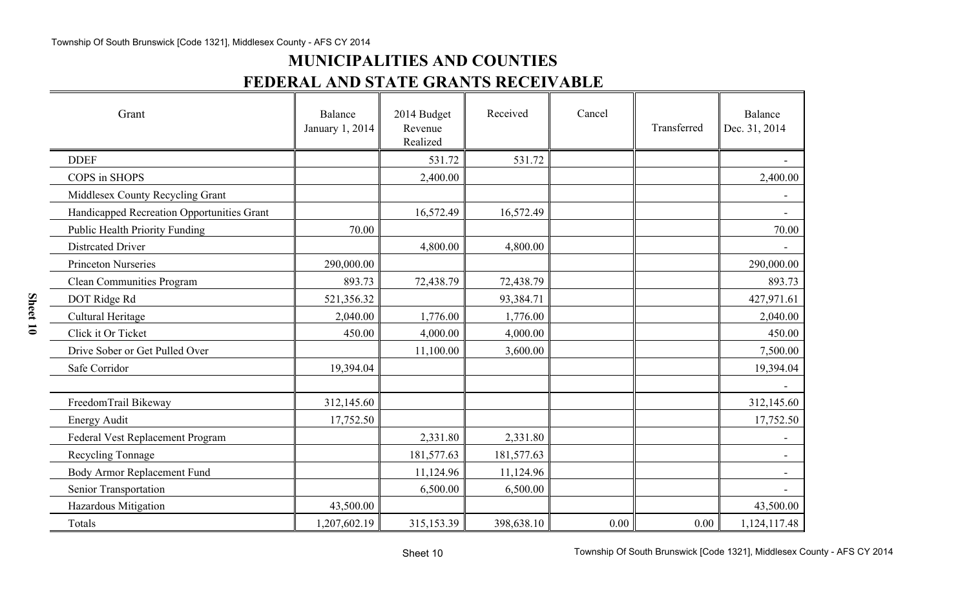# **MUNICIPALITIES AND COUNTIES FEDERAL AND STATE GRANTS RECEIVABLE**

| Grant                                      | Balance<br>January 1, 2014 | 2014 Budget<br>Revenue<br>Realized | Received   | Cancel | Transferred | Balance<br>Dec. 31, 2014 |
|--------------------------------------------|----------------------------|------------------------------------|------------|--------|-------------|--------------------------|
| <b>DDEF</b>                                |                            | 531.72                             | 531.72     |        |             |                          |
| COPS in SHOPS                              |                            | 2,400.00                           |            |        |             | 2,400.00                 |
| Middlesex County Recycling Grant           |                            |                                    |            |        |             |                          |
| Handicapped Recreation Opportunities Grant |                            | 16,572.49                          | 16,572.49  |        |             |                          |
| <b>Public Health Priority Funding</b>      | 70.00                      |                                    |            |        |             | 70.00                    |
| <b>Distrcated Driver</b>                   |                            | 4,800.00                           | 4,800.00   |        |             |                          |
| <b>Princeton Nurseries</b>                 | 290,000.00                 |                                    |            |        |             | 290,000.00               |
| <b>Clean Communities Program</b>           | 893.73                     | 72,438.79                          | 72,438.79  |        |             | 893.73                   |
| DOT Ridge Rd                               | 521,356.32                 |                                    | 93,384.71  |        |             | 427,971.61               |
| Cultural Heritage                          | 2,040.00                   | 1,776.00                           | 1,776.00   |        |             | 2,040.00                 |
| Click it Or Ticket                         | 450.00                     | 4,000.00                           | 4,000.00   |        |             | 450.00                   |
| Drive Sober or Get Pulled Over             |                            | 11,100.00                          | 3,600.00   |        |             | 7,500.00                 |
| Safe Corridor                              | 19,394.04                  |                                    |            |        |             | 19,394.04                |
|                                            |                            |                                    |            |        |             |                          |
| FreedomTrail Bikeway                       | 312,145.60                 |                                    |            |        |             | 312,145.60               |
| <b>Energy Audit</b>                        | 17,752.50                  |                                    |            |        |             | 17,752.50                |
| Federal Vest Replacement Program           |                            | 2,331.80                           | 2,331.80   |        |             |                          |
| Recycling Tonnage                          |                            | 181,577.63                         | 181,577.63 |        |             |                          |
| Body Armor Replacement Fund                |                            | 11,124.96                          | 11,124.96  |        |             |                          |
| Senior Transportation                      |                            | 6,500.00                           | 6,500.00   |        |             |                          |
| Hazardous Mitigation                       | 43,500.00                  |                                    |            |        |             | 43,500.00                |
| Totals                                     | 1,207,602.19               | 315,153.39                         | 398,638.10 | 0.00   | 0.00        | 1,124,117.48             |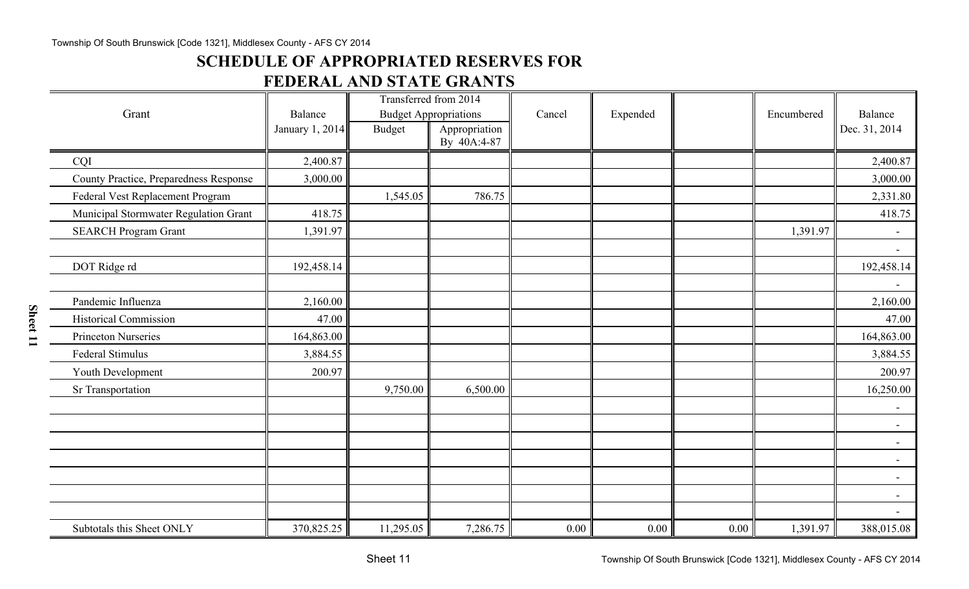## **SCHEDULE OF APPROPRIATED RESERVES FOR**

## **FEDERAL AND STATE GRANTS**

|                                        |                            |               | Transferred from 2014                         |        |          |      |            |                          |
|----------------------------------------|----------------------------|---------------|-----------------------------------------------|--------|----------|------|------------|--------------------------|
| Grant                                  | Balance<br>January 1, 2014 | <b>Budget</b> | <b>Budget Appropriations</b><br>Appropriation | Cancel | Expended |      | Encumbered | Balance<br>Dec. 31, 2014 |
|                                        |                            |               | By 40A:4-87                                   |        |          |      |            |                          |
| CQI                                    | 2,400.87                   |               |                                               |        |          |      |            | 2,400.87                 |
| County Practice, Preparedness Response | 3,000.00                   |               |                                               |        |          |      |            | 3,000.00                 |
| Federal Vest Replacement Program       |                            | 1,545.05      | 786.75                                        |        |          |      |            | 2,331.80                 |
| Municipal Stormwater Regulation Grant  | 418.75                     |               |                                               |        |          |      |            | 418.75                   |
| <b>SEARCH Program Grant</b>            | 1,391.97                   |               |                                               |        |          |      | 1,391.97   |                          |
|                                        |                            |               |                                               |        |          |      |            | $\blacksquare$           |
| DOT Ridge rd                           | 192,458.14                 |               |                                               |        |          |      |            | 192,458.14               |
|                                        |                            |               |                                               |        |          |      |            | $\overline{\phantom{0}}$ |
| Pandemic Influenza                     | 2,160.00                   |               |                                               |        |          |      |            | 2,160.00                 |
| <b>Historical Commission</b>           | 47.00                      |               |                                               |        |          |      |            | 47.00                    |
| <b>Princeton Nurseries</b>             | 164,863.00                 |               |                                               |        |          |      |            | 164,863.00               |
| Federal Stimulus                       | 3,884.55                   |               |                                               |        |          |      |            | 3,884.55                 |
| Youth Development                      | 200.97                     |               |                                               |        |          |      |            | 200.97                   |
| Sr Transportation                      |                            | 9,750.00      | 6,500.00                                      |        |          |      |            | 16,250.00                |
|                                        |                            |               |                                               |        |          |      |            | $\overline{\phantom{a}}$ |
|                                        |                            |               |                                               |        |          |      |            | $\overline{\phantom{a}}$ |
|                                        |                            |               |                                               |        |          |      |            |                          |
|                                        |                            |               |                                               |        |          |      |            | $\overline{\phantom{a}}$ |
|                                        |                            |               |                                               |        |          |      |            | $\overline{\phantom{a}}$ |
|                                        |                            |               |                                               |        |          |      |            | $\overline{\phantom{a}}$ |
|                                        |                            |               |                                               |        |          |      |            |                          |
| Subtotals this Sheet ONLY              | 370,825.25                 | 11,295.05     | 7,286.75                                      | 0.00   | 0.00     | 0.00 | 1,391.97   | 388,015.08               |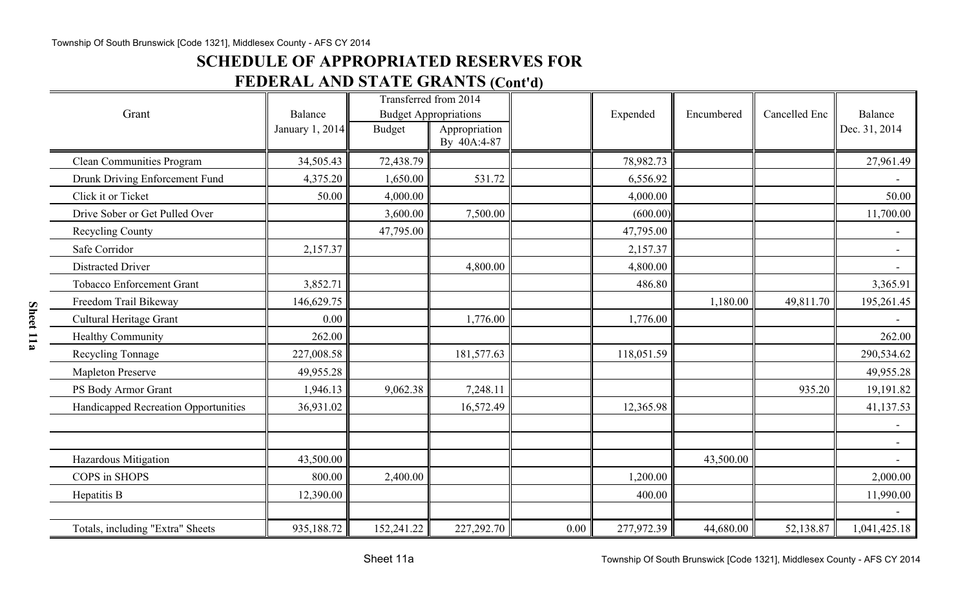## **SCHEDULE OF APPROPRIATED RESERVES FOR**

## **FEDERAL AND STATE GRANTS (Cont'd)**

|                                      |                 | Transferred from 2014 |                              |      |            |            |               |                          |
|--------------------------------------|-----------------|-----------------------|------------------------------|------|------------|------------|---------------|--------------------------|
| Grant                                | <b>Balance</b>  |                       | <b>Budget Appropriations</b> |      | Expended   | Encumbered | Cancelled Enc | Balance                  |
|                                      | January 1, 2014 | <b>Budget</b>         | Appropriation<br>By 40A:4-87 |      |            |            |               | Dec. 31, 2014            |
|                                      |                 |                       |                              |      |            |            |               |                          |
| <b>Clean Communities Program</b>     | 34,505.43       | 72,438.79             |                              |      | 78,982.73  |            |               | 27,961.49                |
| Drunk Driving Enforcement Fund       | 4,375.20        | 1,650.00              | 531.72                       |      | 6,556.92   |            |               |                          |
| Click it or Ticket                   | 50.00           | 4,000.00              |                              |      | 4,000.00   |            |               | 50.00                    |
| Drive Sober or Get Pulled Over       |                 | 3,600.00              | 7,500.00                     |      | (600.00)   |            |               | 11,700.00                |
| Recycling County                     |                 | 47,795.00             |                              |      | 47,795.00  |            |               |                          |
| Safe Corridor                        | 2,157.37        |                       |                              |      | 2,157.37   |            |               | $\overline{a}$           |
| <b>Distracted Driver</b>             |                 |                       | 4,800.00                     |      | 4,800.00   |            |               | $\overline{\phantom{0}}$ |
| <b>Tobacco Enforcement Grant</b>     | 3,852.71        |                       |                              |      | 486.80     |            |               | 3,365.91                 |
| Freedom Trail Bikeway                | 146,629.75      |                       |                              |      |            | 1,180.00   | 49,811.70     | 195,261.45               |
| <b>Cultural Heritage Grant</b>       | 0.00            |                       | 1,776.00                     |      | 1,776.00   |            |               |                          |
| Healthy Community                    | 262.00          |                       |                              |      |            |            |               | 262.00                   |
| <b>Recycling Tonnage</b>             | 227,008.58      |                       | 181,577.63                   |      | 118,051.59 |            |               | 290,534.62               |
| <b>Mapleton Preserve</b>             | 49,955.28       |                       |                              |      |            |            |               | 49,955.28                |
| PS Body Armor Grant                  | 1,946.13        | 9,062.38              | 7,248.11                     |      |            |            | 935.20        | 19,191.82                |
| Handicapped Recreation Opportunities | 36,931.02       |                       | 16,572.49                    |      | 12,365.98  |            |               | 41,137.53                |
|                                      |                 |                       |                              |      |            |            |               |                          |
|                                      |                 |                       |                              |      |            |            |               |                          |
| Hazardous Mitigation                 | 43,500.00       |                       |                              |      |            | 43,500.00  |               |                          |
| COPS in SHOPS                        | 800.00          | 2,400.00              |                              |      | 1,200.00   |            |               | 2,000.00                 |
| Hepatitis B                          | 12,390.00       |                       |                              |      | 400.00     |            |               | 11,990.00                |
|                                      |                 |                       |                              |      |            |            |               |                          |
| Totals, including "Extra" Sheets     | 935,188.72      | 152,241.22            | 227,292.70                   | 0.00 | 277,972.39 | 44,680.00  | 52,138.87     | 1,041,425.18             |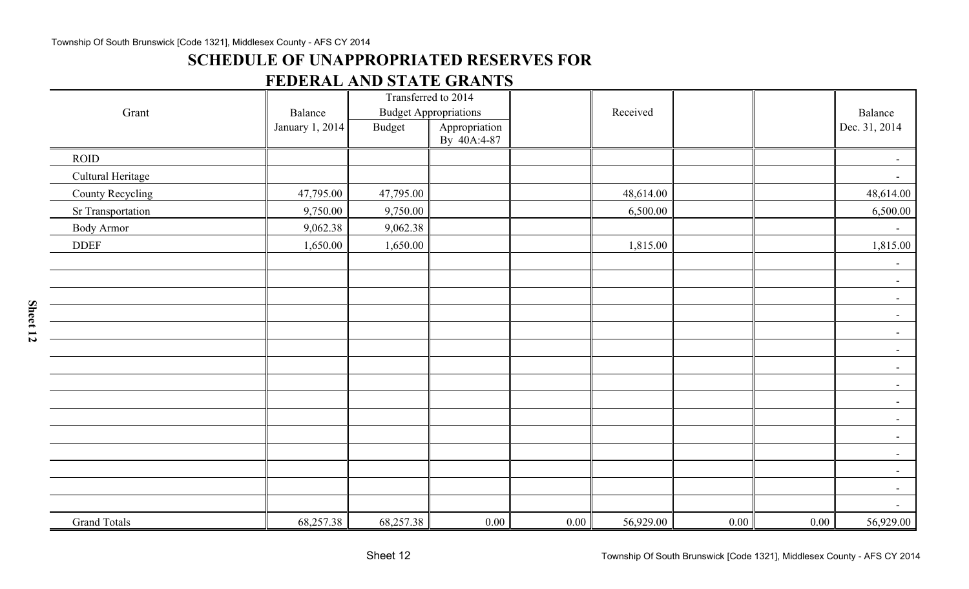## **SCHEDULE OF UNAPPROPRIATED RESERVES FOR**

## **FEDERAL AND STATE GRANTS**

|                     |                 | Transferred to 2014 |                              |          |           |      |      |                          |
|---------------------|-----------------|---------------------|------------------------------|----------|-----------|------|------|--------------------------|
| Grant               | Balance         |                     | <b>Budget Appropriations</b> |          | Received  |      |      | Balance                  |
|                     | January 1, 2014 | <b>Budget</b>       | Appropriation<br>By 40A:4-87 |          |           |      |      | Dec. 31, 2014            |
| <b>ROID</b>         |                 |                     |                              |          |           |      |      | $\overline{\phantom{a}}$ |
| Cultural Heritage   |                 |                     |                              |          |           |      |      | $ \,$                    |
| County Recycling    | 47,795.00       | 47,795.00           |                              |          | 48,614.00 |      |      | 48,614.00                |
| Sr Transportation   | 9,750.00        | 9,750.00            |                              |          | 6,500.00  |      |      | 6,500.00                 |
| <b>Body Armor</b>   | 9,062.38        | 9,062.38            |                              |          |           |      |      | $\overline{\phantom{a}}$ |
| <b>DDEF</b>         | 1,650.00        | 1,650.00            |                              |          | 1,815.00  |      |      | 1,815.00                 |
|                     |                 |                     |                              |          |           |      |      | $\sim$                   |
|                     |                 |                     |                              |          |           |      |      | $\blacksquare$           |
|                     |                 |                     |                              |          |           |      |      | $\blacksquare$           |
|                     |                 |                     |                              |          |           |      |      | $\blacksquare$           |
|                     |                 |                     |                              |          |           |      |      | $\blacksquare$           |
|                     |                 |                     |                              |          |           |      |      | $\blacksquare$           |
|                     |                 |                     |                              |          |           |      |      | $\blacksquare$           |
|                     |                 |                     |                              |          |           |      |      | $ \,$                    |
|                     |                 |                     |                              |          |           |      |      | $-$                      |
|                     |                 |                     |                              |          |           |      |      | $-$                      |
|                     |                 |                     |                              |          |           |      |      | $-$                      |
|                     |                 |                     |                              |          |           |      |      | $\blacksquare$           |
|                     |                 |                     |                              |          |           |      |      | $ \,$                    |
|                     |                 |                     |                              |          |           |      |      | $ \,$                    |
|                     |                 |                     |                              |          |           |      |      | $\blacksquare$           |
| <b>Grand Totals</b> | 68,257.38       | 68,257.38           | $0.00\,$                     | $0.00\,$ | 56,929.00 | 0.00 | 0.00 | 56,929.00                |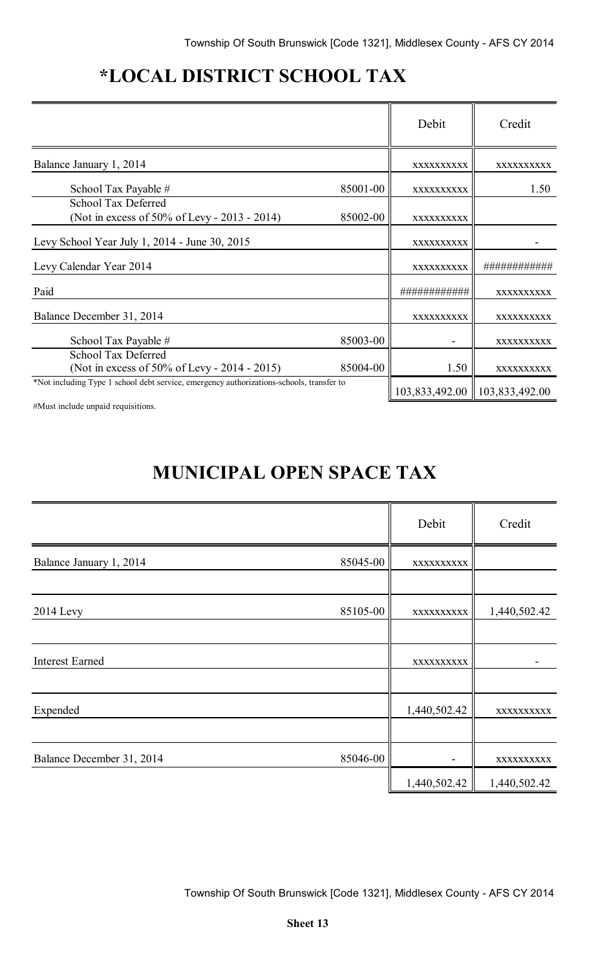# **\*LOCAL DISTRICT SCHOOL TAX**

|                                                                                          |          | Debit          | Credit                     |
|------------------------------------------------------------------------------------------|----------|----------------|----------------------------|
| Balance January 1, 2014                                                                  |          | XXXXXXXXXX     | XXXXXXXXXX                 |
| School Tax Payable #                                                                     | 85001-00 | XXXXXXXXXX     | 1.50                       |
| School Tax Deferred<br>(Not in excess of 50% of Levy - 2013 - 2014)                      | 85002-00 | XXXXXXXXXX     |                            |
| Levy School Year July 1, 2014 - June 30, 2015                                            |          | XXXXXXXXXX     |                            |
| Levy Calendar Year 2014                                                                  |          | XXXXXXXXXX     | ###########                |
| Paid                                                                                     |          |                | XXXXXXXXXX                 |
| Balance December 31, 2014                                                                |          | XXXXXXXXXX     | XXXXXXXXXX                 |
| School Tax Payable #                                                                     | 85003-00 |                | XXXXXXXXXX                 |
| School Tax Deferred<br>(Not in excess of 50% of Levy - 2014 - 2015)                      | 85004-00 | 1.50           | XXXXXXXXXX                 |
| *Not including Type 1 school debt service, emergency authorizations-schools, transfer to |          | 103,833,492.00 | $\parallel$ 103,833,492.00 |

#Must include unpaid requisitions.

# **MUNICIPAL OPEN SPACE TAX**

|                           |          | Debit        | Credit       |
|---------------------------|----------|--------------|--------------|
| Balance January 1, 2014   | 85045-00 | XXXXXXXXXX   |              |
|                           |          |              |              |
| <b>2014 Levy</b>          | 85105-00 | XXXXXXXXXX   | 1,440,502.42 |
|                           |          |              |              |
| <b>Interest Earned</b>    |          | XXXXXXXXXX   |              |
|                           |          |              |              |
| Expended                  |          | 1,440,502.42 | XXXXXXXXX    |
|                           |          |              |              |
| Balance December 31, 2014 | 85046-00 |              | XXXXXXXXX    |
|                           |          | 1,440,502.42 | 1,440,502.42 |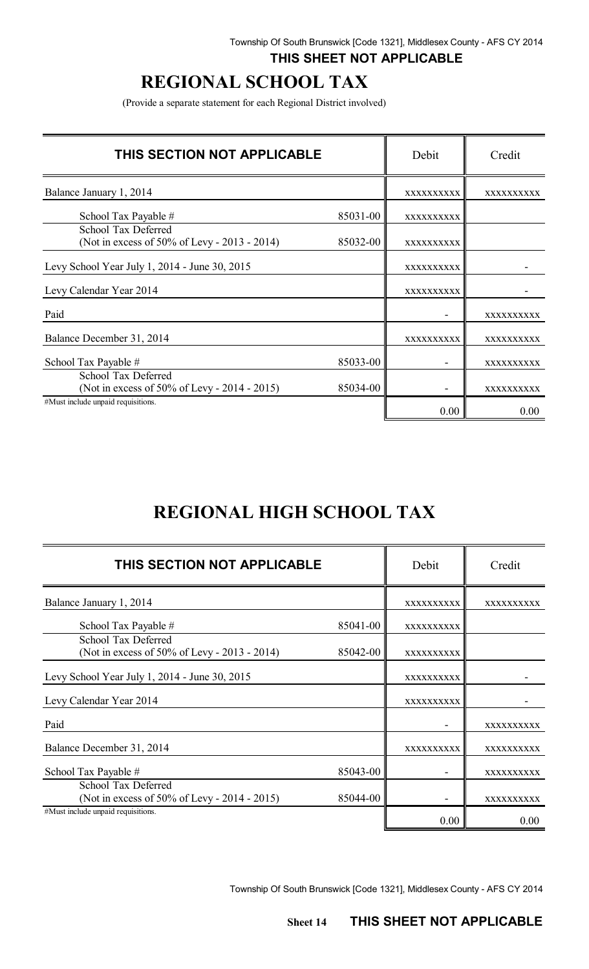## **THIS SHEET NOT APPLICABLE**

# **REGIONAL SCHOOL TAX**

(Provide a separate statement for each Regional District involved)

| THIS SECTION NOT APPLICABLE                                         |          | Debit      | Credit            |
|---------------------------------------------------------------------|----------|------------|-------------------|
| Balance January 1, 2014                                             |          | XXXXXXXXXX | XXXXXXXXXX        |
| School Tax Payable #                                                | 85031-00 | XXXXXXXXXX |                   |
| School Tax Deferred<br>(Not in excess of 50% of Levy - 2013 - 2014) | 85032-00 | XXXXXXXXXX |                   |
| Levy School Year July 1, 2014 - June 30, 2015                       |          | XXXXXXXXXX |                   |
| Levy Calendar Year 2014                                             |          | XXXXXXXXXX |                   |
| Paid                                                                |          |            | XXXXXXXXXX        |
| Balance December 31, 2014                                           |          | XXXXXXXXXX | XXXXXXXXXX        |
| School Tax Payable #                                                | 85033-00 |            | <b>XXXXXXXXXX</b> |
| School Tax Deferred<br>(Not in excess of 50% of Levy - 2014 - 2015) | 85034-00 |            | XXXXXXXXXX        |
| #Must include unpaid requisitions.                                  |          | 0.00       | 0.00              |

# **REGIONAL HIGH SCHOOL TAX**

| THIS SECTION NOT APPLICABLE                                         |          | Debit      | Credit     |
|---------------------------------------------------------------------|----------|------------|------------|
| Balance January 1, 2014                                             |          | XXXXXXXXXX | XXXXXXXXXX |
| School Tax Payable #                                                | 85041-00 | XXXXXXXXXX |            |
| School Tax Deferred<br>(Not in excess of 50% of Levy - 2013 - 2014) | 85042-00 | XXXXXXXXXX |            |
| Levy School Year July 1, 2014 - June 30, 2015                       |          | XXXXXXXXXX |            |
| Levy Calendar Year 2014                                             |          | XXXXXXXXXX |            |
| Paid                                                                |          |            | XXXXXXXXXX |
| Balance December 31, 2014                                           |          | XXXXXXXXX  | XXXXXXXXXX |
| School Tax Payable #                                                | 85043-00 |            | XXXXXXXXXX |
| School Tax Deferred<br>(Not in excess of 50% of Levy - 2014 - 2015) | 85044-00 |            | XXXXXXXXXX |
| #Must include unpaid requisitions.                                  |          | 0.00       | 0.00       |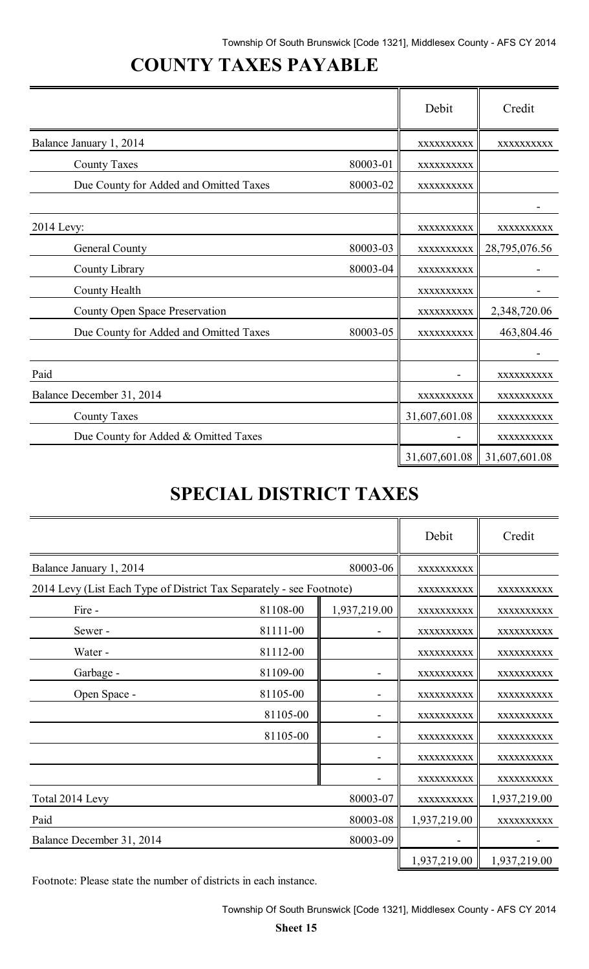# **COUNTY TAXES PAYABLE**

|                                        |          | Debit         | Credit        |
|----------------------------------------|----------|---------------|---------------|
| Balance January 1, 2014                |          | XXXXXXXXXX    | XXXXXXXXXX    |
| <b>County Taxes</b>                    | 80003-01 | XXXXXXXXXX    |               |
| Due County for Added and Omitted Taxes | 80003-02 | XXXXXXXXXX    |               |
|                                        |          |               |               |
| 2014 Levy:                             |          | XXXXXXXXXX    | XXXXXXXXXX    |
| General County                         | 80003-03 | XXXXXXXXXX    | 28,795,076.56 |
| County Library                         | 80003-04 | XXXXXXXXXX    |               |
| County Health                          |          | XXXXXXXXXX    |               |
| County Open Space Preservation         |          | XXXXXXXXXX    | 2,348,720.06  |
| Due County for Added and Omitted Taxes | 80003-05 | XXXXXXXXXX    | 463,804.46    |
|                                        |          |               |               |
| Paid                                   |          |               | XXXXXXXXXX    |
| Balance December 31, 2014              |          | XXXXXXXXXX    | XXXXXXXXXX    |
| <b>County Taxes</b>                    |          | 31,607,601.08 | XXXXXXXXXX    |
| Due County for Added & Omitted Taxes   |          |               | XXXXXXXXXX    |
|                                        |          | 31,607,601.08 | 31,607,601.08 |

# **SPECIAL DISTRICT TAXES**

|                                                                      |          |              | Debit        | Credit       |
|----------------------------------------------------------------------|----------|--------------|--------------|--------------|
| Balance January 1, 2014                                              |          | 80003-06     | XXXXXXXXXX   |              |
| 2014 Levy (List Each Type of District Tax Separately - see Footnote) |          |              | XXXXXXXXXX   | XXXXXXXXXX   |
| Fire -                                                               | 81108-00 | 1,937,219.00 | XXXXXXXXXX   | XXXXXXXXXX   |
| Sewer-                                                               | 81111-00 |              | XXXXXXXXXX   | XXXXXXXXXX   |
| Water -                                                              | 81112-00 |              | XXXXXXXXXX   | XXXXXXXXXX   |
| Garbage -                                                            | 81109-00 |              | XXXXXXXXXX   | XXXXXXXXXX   |
| Open Space -                                                         | 81105-00 |              | XXXXXXXXXX   | XXXXXXXXXX   |
|                                                                      | 81105-00 |              | XXXXXXXXXX   | XXXXXXXXXX   |
|                                                                      | 81105-00 |              | XXXXXXXXXX   | XXXXXXXXXX   |
|                                                                      |          |              | XXXXXXXXXX   | XXXXXXXXXX   |
|                                                                      |          |              | XXXXXXXXXX   | XXXXXXXXXX   |
| Total 2014 Levy                                                      |          | 80003-07     | XXXXXXXXXX   | 1,937,219.00 |
| Paid                                                                 |          | 80003-08     | 1,937,219.00 | XXXXXXXXXX   |
| Balance December 31, 2014                                            |          | 80003-09     |              |              |
|                                                                      |          |              | 1,937,219.00 | 1,937,219.00 |

Footnote: Please state the number of districts in each instance.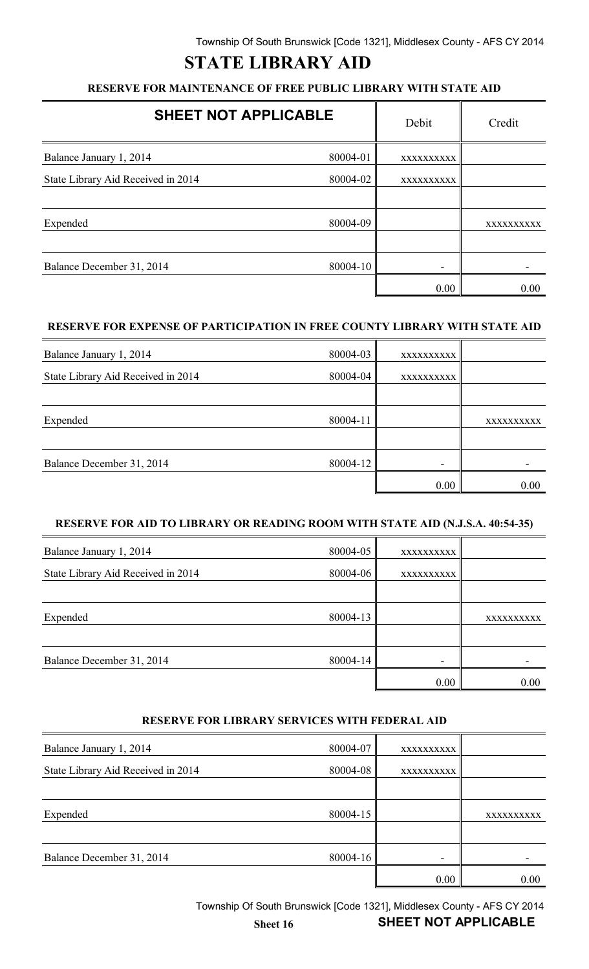# **STATE LIBRARY AID**

### **RESERVE FOR MAINTENANCE OF FREE PUBLIC LIBRARY WITH STATE AID**

| <b>SHEET NOT APPLICABLE</b>        |          | Debit      | Credit     |
|------------------------------------|----------|------------|------------|
| Balance January 1, 2014            | 80004-01 | XXXXXXXXXX |            |
| State Library Aid Received in 2014 | 80004-02 | XXXXXXXXXX |            |
|                                    |          |            |            |
| Expended                           | 80004-09 |            | XXXXXXXXXX |
| Balance December 31, 2014          | 80004-10 |            |            |
|                                    |          | 0.00       | 0.00       |

### **RESERVE FOR EXPENSE OF PARTICIPATION IN FREE COUNTY LIBRARY WITH STATE AID**

| Balance January 1, 2014            | 80004-03 | XXXXXXXXXX |           |
|------------------------------------|----------|------------|-----------|
| State Library Aid Received in 2014 | 80004-04 | XXXXXXXXXX |           |
|                                    |          |            |           |
| Expended                           | 80004-11 |            | XXXXXXXXX |
|                                    |          |            |           |
| Balance December 31, 2014          | 80004-12 |            |           |
|                                    |          | 0.00       | 0.00      |

#### **RESERVE FOR AID TO LIBRARY OR READING ROOM WITH STATE AID (N.J.S.A. 40:54-35)**

| Balance January 1, 2014            | 80004-05 | XXXXXXXXXX               |            |
|------------------------------------|----------|--------------------------|------------|
| State Library Aid Received in 2014 | 80004-06 | XXXXXXXXXX               |            |
|                                    |          |                          |            |
| Expended                           | 80004-13 |                          | XXXXXXXXXX |
|                                    |          |                          |            |
| Balance December 31, 2014          | 80004-14 | $\overline{\phantom{0}}$ |            |
|                                    |          | 0.00                     | 0.00       |

#### **RESERVE FOR LIBRARY SERVICES WITH FEDERAL AID**

| Balance January 1, 2014            | 80004-07 | XXXXXXXXXX |            |
|------------------------------------|----------|------------|------------|
| State Library Aid Received in 2014 | 80004-08 | XXXXXXXXXX |            |
|                                    |          |            |            |
| Expended                           | 80004-15 |            | XXXXXXXXXX |
|                                    |          |            |            |
| Balance December 31, 2014          | 80004-16 |            |            |
|                                    |          | 0.00       | 0.00       |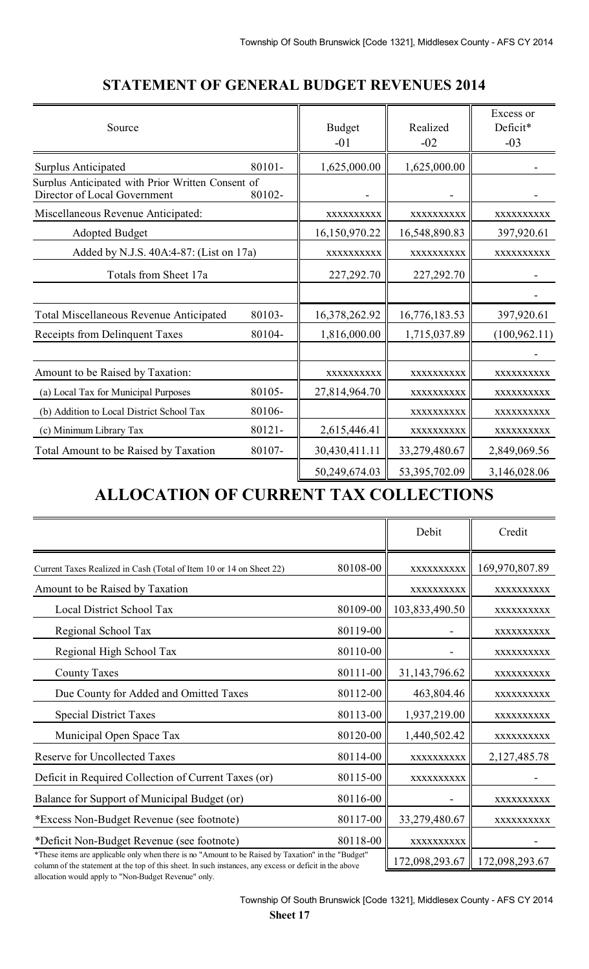| Source                                                                            |        | <b>Budget</b><br>$-01$ | Realized<br>$-02$ | Excess or<br>Deficit*<br>$-03$ |
|-----------------------------------------------------------------------------------|--------|------------------------|-------------------|--------------------------------|
| <b>Surplus Anticipated</b>                                                        | 80101- | 1,625,000.00           | 1,625,000.00      |                                |
| Surplus Anticipated with Prior Written Consent of<br>Director of Local Government | 80102- |                        |                   |                                |
| Miscellaneous Revenue Anticipated:                                                |        | XXXXXXXXXX             | XXXXXXXXXX        | XXXXXXXXXX                     |
| <b>Adopted Budget</b>                                                             |        | 16,150,970.22          | 16,548,890.83     | 397,920.61                     |
| Added by N.J.S. 40A:4-87: (List on 17a)                                           |        | XXXXXXXXXX             | XXXXXXXXXX        | XXXXXXXXXX                     |
| Totals from Sheet 17a                                                             |        | 227,292.70             | 227,292.70        |                                |
|                                                                                   |        |                        |                   |                                |
| <b>Total Miscellaneous Revenue Anticipated</b>                                    | 80103- | 16,378,262.92          | 16,776,183.53     | 397,920.61                     |
| Receipts from Delinquent Taxes                                                    | 80104- | 1,816,000.00           | 1,715,037.89      | (100, 962.11)                  |
|                                                                                   |        |                        |                   |                                |
| Amount to be Raised by Taxation:                                                  |        | XXXXXXXXXX             | XXXXXXXXXX        | XXXXXXXXXX                     |
| (a) Local Tax for Municipal Purposes                                              | 80105- | 27,814,964.70          | XXXXXXXXXX        | XXXXXXXXXX                     |
| (b) Addition to Local District School Tax                                         | 80106- |                        | XXXXXXXXXX        | XXXXXXXXXX                     |
| (c) Minimum Library Tax                                                           | 80121- | 2,615,446.41           | XXXXXXXXXX        | XXXXXXXXXX                     |
| Total Amount to be Raised by Taxation                                             | 80107- | 30,430,411.11          | 33,279,480.67     | 2,849,069.56                   |
|                                                                                   |        | 50,249,674.03          | 53,395,702.09     | 3,146,028.06                   |

## **STATEMENT OF GENERAL BUDGET REVENUES 2014**

# **ALLOCATION OF CURRENT TAX COLLECTIONS**

|                                                                                                                                                                                                                |          | Debit          | Credit         |
|----------------------------------------------------------------------------------------------------------------------------------------------------------------------------------------------------------------|----------|----------------|----------------|
| Current Taxes Realized in Cash (Total of Item 10 or 14 on Sheet 22)                                                                                                                                            | 80108-00 | XXXXXXXXX      | 169,970,807.89 |
| Amount to be Raised by Taxation                                                                                                                                                                                |          | XXXXXXXXXX     | XXXXXXXXXX     |
| Local District School Tax                                                                                                                                                                                      | 80109-00 | 103,833,490.50 | XXXXXXXXXX     |
| Regional School Tax                                                                                                                                                                                            | 80119-00 |                | XXXXXXXXXX     |
| Regional High School Tax                                                                                                                                                                                       | 80110-00 |                | XXXXXXXXXX     |
| <b>County Taxes</b>                                                                                                                                                                                            | 80111-00 | 31,143,796.62  | XXXXXXXXXX     |
| Due County for Added and Omitted Taxes                                                                                                                                                                         | 80112-00 | 463,804.46     | XXXXXXXXXX     |
| <b>Special District Taxes</b>                                                                                                                                                                                  | 80113-00 | 1,937,219.00   | XXXXXXXXXX     |
| Municipal Open Space Tax                                                                                                                                                                                       | 80120-00 | 1,440,502.42   | XXXXXXXXXX     |
| <b>Reserve for Uncollected Taxes</b>                                                                                                                                                                           | 80114-00 | XXXXXXXXXX     | 2,127,485.78   |
| Deficit in Required Collection of Current Taxes (or)                                                                                                                                                           | 80115-00 | XXXXXXXXXX     |                |
| Balance for Support of Municipal Budget (or)                                                                                                                                                                   | 80116-00 |                | XXXXXXXXXX     |
| *Excess Non-Budget Revenue (see footnote)                                                                                                                                                                      | 80117-00 | 33,279,480.67  | XXXXXXXXXX     |
| *Deficit Non-Budget Revenue (see footnote)                                                                                                                                                                     | 80118-00 | XXXXXXXXXX     |                |
| *These items are applicable only when there is no "Amount to be Raised by Taxation" in the "Budget"<br>column of the statement at the top of this sheet. In such instances, any excess or deficit in the above |          | 172,098,293.67 | 172,098,293.67 |

allocation would apply to "Non-Budget Revenue" only.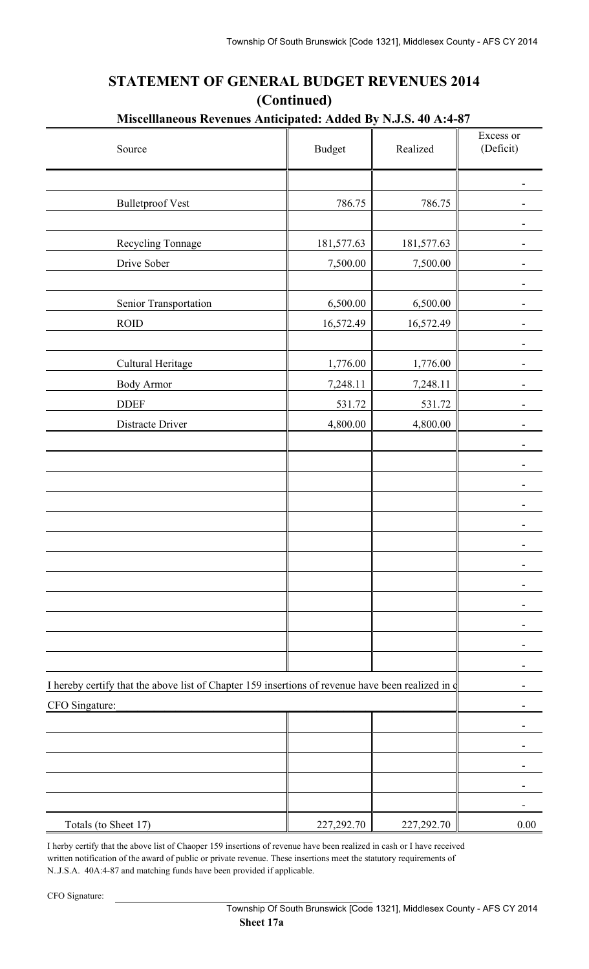## **STATEMENT OF GENERAL BUDGET REVENUES 2014 (Continued)**

## **Miscelllaneous Revenues Anticipated: Added By N.J.S. 40 A:4-87**

| Source                                                                                                 | <b>Budget</b> | Realized   | Excess or<br>(Deficit) |
|--------------------------------------------------------------------------------------------------------|---------------|------------|------------------------|
|                                                                                                        |               |            |                        |
| <b>Bulletproof Vest</b>                                                                                | 786.75        | 786.75     |                        |
|                                                                                                        |               |            |                        |
| Recycling Tonnage                                                                                      | 181,577.63    | 181,577.63 |                        |
| Drive Sober                                                                                            | 7,500.00      | 7,500.00   |                        |
|                                                                                                        |               |            |                        |
| Senior Transportation                                                                                  | 6,500.00      | 6,500.00   |                        |
| <b>ROID</b>                                                                                            | 16,572.49     | 16,572.49  |                        |
| Cultural Heritage                                                                                      | 1,776.00      | 1,776.00   |                        |
| <b>Body Armor</b>                                                                                      | 7,248.11      | 7,248.11   |                        |
| <b>DDEF</b>                                                                                            | 531.72        | 531.72     |                        |
| Distracte Driver                                                                                       | 4,800.00      | 4,800.00   |                        |
|                                                                                                        |               |            |                        |
|                                                                                                        |               |            |                        |
|                                                                                                        |               |            |                        |
|                                                                                                        |               |            |                        |
|                                                                                                        |               |            |                        |
|                                                                                                        |               |            |                        |
|                                                                                                        |               |            |                        |
|                                                                                                        |               |            |                        |
|                                                                                                        |               |            |                        |
|                                                                                                        |               |            |                        |
|                                                                                                        |               |            |                        |
|                                                                                                        |               |            |                        |
| I hereby certify that the above list of Chapter 159 insertions of revenue have been realized in $\phi$ |               |            |                        |
| CFO Singature:                                                                                         |               |            |                        |
|                                                                                                        |               |            |                        |
|                                                                                                        |               |            |                        |
|                                                                                                        |               |            |                        |
|                                                                                                        |               |            |                        |
| Totals (to Sheet 17)                                                                                   | 227,292.70    | 227,292.70 | 0.00                   |

I herby certify that the above list of Chaoper 159 insertions of revenue have been realized in cash or I have received written notification of the award of public or private revenue. These insertions meet the statutory requirements of N..J.S.A. 40A:4-87 and matching funds have been provided if applicable.

CFO Signature: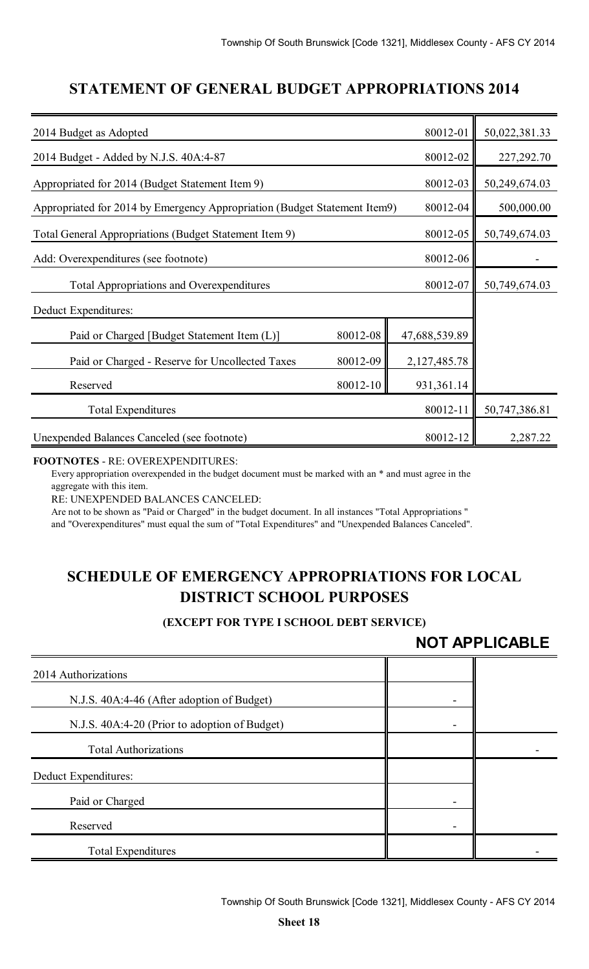## **STATEMENT OF GENERAL BUDGET APPROPRIATIONS 2014**

| 2014 Budget as Adopted                                                    |          | 80012-01      | 50,022,381.33 |
|---------------------------------------------------------------------------|----------|---------------|---------------|
| 2014 Budget - Added by N.J.S. 40A:4-87                                    |          | 80012-02      | 227, 292. 70  |
| Appropriated for 2014 (Budget Statement Item 9)                           |          | 80012-03      | 50,249,674.03 |
| Appropriated for 2014 by Emergency Appropriation (Budget Statement Item9) |          | 80012-04      | 500,000.00    |
| Total General Appropriations (Budget Statement Item 9)                    |          | 80012-05      | 50,749,674.03 |
| Add: Overexpenditures (see footnote)                                      |          |               |               |
| 80012-07<br><b>Total Appropriations and Overexpenditures</b>              |          |               | 50,749,674.03 |
| Deduct Expenditures:                                                      |          |               |               |
| Paid or Charged [Budget Statement Item (L)]                               | 80012-08 | 47,688,539.89 |               |
| Paid or Charged - Reserve for Uncollected Taxes                           | 80012-09 | 2,127,485.78  |               |
| Reserved                                                                  |          |               |               |
| <b>Total Expenditures</b>                                                 |          | 80012-11      | 50,747,386.81 |
| Unexpended Balances Canceled (see footnote)                               |          | 80012-12      | 2,287.22      |

#### **FOOTNOTES** - RE: OVEREXPENDITURES:

Every appropriation overexpended in the budget document must be marked with an \* and must agree in the aggregate with this item.

RE: UNEXPENDED BALANCES CANCELED:

Are not to be shown as "Paid or Charged" in the budget document. In all instances "Total Appropriations " and "Overexpenditures" must equal the sum of "Total Expenditures" and "Unexpended Balances Canceled".

## **SCHEDULE OF EMERGENCY APPROPRIATIONS FOR LOCAL DISTRICT SCHOOL PURPOSES**

### **(EXCEPT FOR TYPE I SCHOOL DEBT SERVICE)**

## **NOT APPLICABLE**

| 2014 Authorizations                           |  |
|-----------------------------------------------|--|
| N.J.S. 40A:4-46 (After adoption of Budget)    |  |
| N.J.S. 40A:4-20 (Prior to adoption of Budget) |  |
| <b>Total Authorizations</b>                   |  |
| Deduct Expenditures:                          |  |
| Paid or Charged                               |  |
| Reserved                                      |  |
| <b>Total Expenditures</b>                     |  |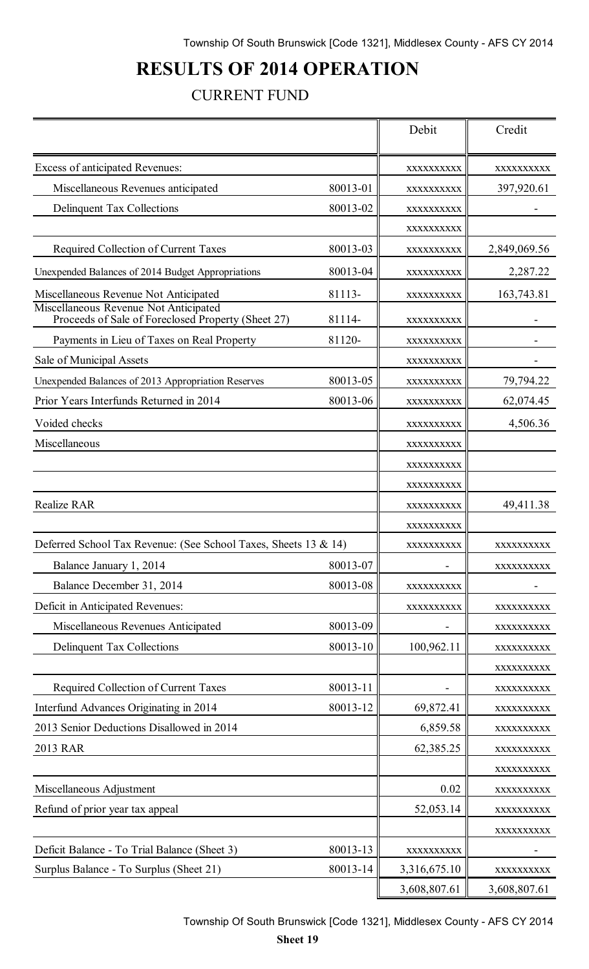# **RESULTS OF 2014 OPERATION**

## CURRENT FUND

|                                                                                             |          | Debit        | Credit       |
|---------------------------------------------------------------------------------------------|----------|--------------|--------------|
| Excess of anticipated Revenues:                                                             |          | XXXXXXXXXX   | XXXXXXXXXX   |
| Miscellaneous Revenues anticipated                                                          | 80013-01 | XXXXXXXXXX   | 397,920.61   |
| Delinquent Tax Collections                                                                  | 80013-02 | XXXXXXXXXX   |              |
|                                                                                             |          | XXXXXXXXXX   |              |
| Required Collection of Current Taxes                                                        | 80013-03 | XXXXXXXXXX   | 2,849,069.56 |
| Unexpended Balances of 2014 Budget Appropriations                                           | 80013-04 | XXXXXXXXXX   | 2,287.22     |
| Miscellaneous Revenue Not Anticipated                                                       | 81113-   | XXXXXXXXXX   | 163,743.81   |
| Miscellaneous Revenue Not Anticipated<br>Proceeds of Sale of Foreclosed Property (Sheet 27) | 81114-   | XXXXXXXXXX   |              |
| Payments in Lieu of Taxes on Real Property                                                  | 81120-   | XXXXXXXXX    |              |
| Sale of Municipal Assets                                                                    |          | XXXXXXXXXX   |              |
| Unexpended Balances of 2013 Appropriation Reserves                                          | 80013-05 | XXXXXXXXXX   | 79,794.22    |
| Prior Years Interfunds Returned in 2014                                                     | 80013-06 | XXXXXXXXXX   | 62,074.45    |
| Voided checks                                                                               |          | XXXXXXXXX    | 4,506.36     |
| Miscellaneous                                                                               |          | XXXXXXXXX    |              |
|                                                                                             |          | XXXXXXXXXX   |              |
|                                                                                             |          | XXXXXXXXXX   |              |
| <b>Realize RAR</b>                                                                          |          | XXXXXXXXXX   | 49,411.38    |
|                                                                                             |          | XXXXXXXXX    |              |
| Deferred School Tax Revenue: (See School Taxes, Sheets 13 & 14)                             |          | XXXXXXXXXX   | XXXXXXXXXX   |
| Balance January 1, 2014                                                                     | 80013-07 |              | XXXXXXXXXX   |
| Balance December 31, 2014                                                                   | 80013-08 | XXXXXXXXXX   |              |
| Deficit in Anticipated Revenues:                                                            |          | XXXXXXXXXX   | XXXXXXXXX    |
| Miscellaneous Revenues Anticipated                                                          | 80013-09 |              | XXXXXXXXXX   |
| <b>Delinquent Tax Collections</b>                                                           | 80013-10 | 100,962.11   | XXXXXXXXXX   |
|                                                                                             |          |              | XXXXXXXXXX   |
| Required Collection of Current Taxes                                                        | 80013-11 |              | XXXXXXXXXX   |
| Interfund Advances Originating in 2014                                                      | 80013-12 | 69,872.41    | XXXXXXXXX    |
| 2013 Senior Deductions Disallowed in 2014                                                   |          | 6,859.58     | XXXXXXXXX    |
| 2013 RAR                                                                                    |          | 62,385.25    | XXXXXXXXXX   |
|                                                                                             |          |              | XXXXXXXXXX   |
| Miscellaneous Adjustment                                                                    |          | 0.02         | XXXXXXXXXX   |
| Refund of prior year tax appeal                                                             |          | 52,053.14    | XXXXXXXXXX   |
|                                                                                             |          |              | XXXXXXXXXX   |
| Deficit Balance - To Trial Balance (Sheet 3)                                                | 80013-13 | XXXXXXXXXX   |              |
| Surplus Balance - To Surplus (Sheet 21)                                                     | 80013-14 | 3,316,675.10 | XXXXXXXXXX   |
|                                                                                             |          | 3,608,807.61 | 3,608,807.61 |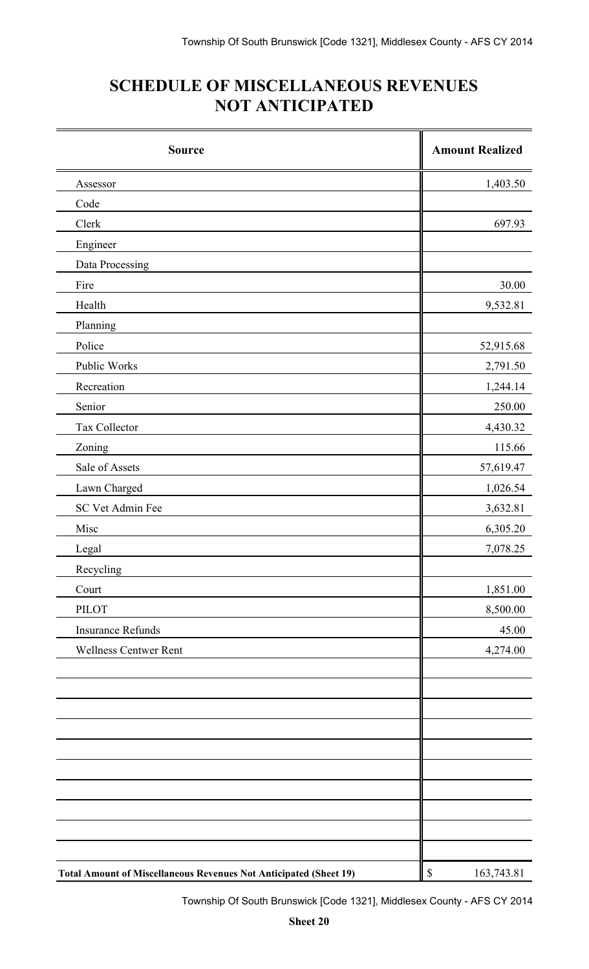# **SCHEDULE OF MISCELLANEOUS REVENUES NOT ANTICIPATED**

| <b>Source</b>                                                            | <b>Amount Realized</b> |
|--------------------------------------------------------------------------|------------------------|
| Assessor                                                                 | 1,403.50               |
| Code                                                                     |                        |
| Clerk                                                                    | 697.93                 |
| Engineer                                                                 |                        |
| Data Processing                                                          |                        |
| Fire                                                                     | 30.00                  |
| Health                                                                   | 9,532.81               |
| Planning                                                                 |                        |
| Police                                                                   | 52,915.68              |
| Public Works                                                             | 2,791.50               |
| Recreation                                                               | 1,244.14               |
| Senior                                                                   | 250.00                 |
| Tax Collector                                                            | 4,430.32               |
| Zoning                                                                   | 115.66                 |
| Sale of Assets                                                           | 57,619.47              |
| Lawn Charged                                                             | 1,026.54               |
| SC Vet Admin Fee                                                         | 3,632.81               |
| Misc                                                                     | 6,305.20               |
| Legal                                                                    | 7,078.25               |
| Recycling                                                                |                        |
| Court                                                                    | 1,851.00               |
| <b>PILOT</b>                                                             | 8,500.00               |
| <b>Insurance Refunds</b>                                                 | 45.00                  |
| <b>Wellness Centwer Rent</b>                                             | 4,274.00               |
|                                                                          |                        |
|                                                                          |                        |
|                                                                          |                        |
|                                                                          |                        |
|                                                                          |                        |
|                                                                          |                        |
|                                                                          |                        |
|                                                                          |                        |
|                                                                          |                        |
|                                                                          |                        |
| <b>Total Amount of Miscellaneous Revenues Not Anticipated (Sheet 19)</b> | $\$$<br>163,743.81     |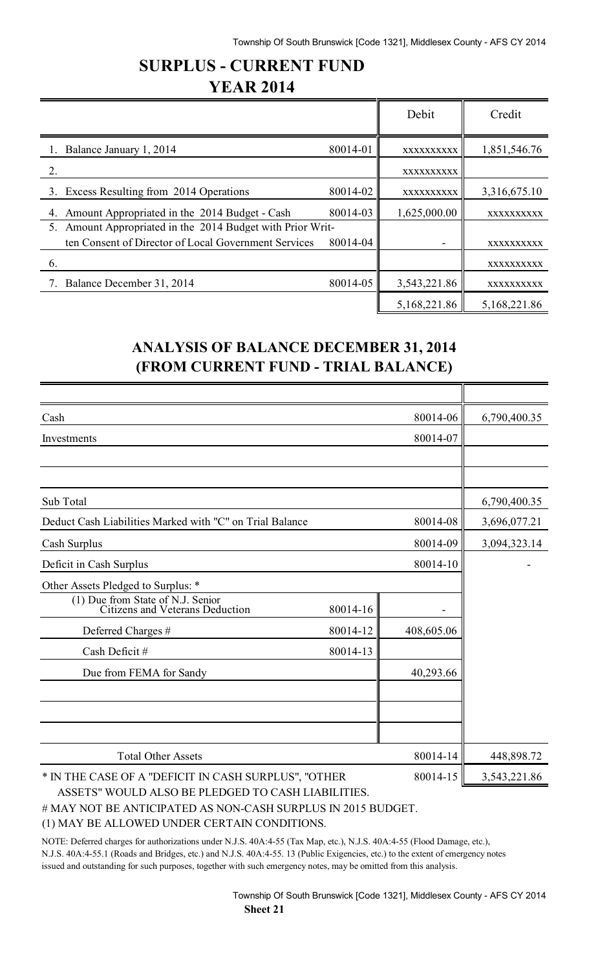## **SURPLUS - CURRENT FUND YEAR 2014**

|                                                               |          | Debit        | Credit       |
|---------------------------------------------------------------|----------|--------------|--------------|
| Balance January 1, 2014                                       | 80014-01 | XXXXXXXXXX   | 1,851,546.76 |
| 2.                                                            |          | XXXXXXXXXX   |              |
| 3. Excess Resulting from 2014 Operations                      | 80014-02 | XXXXXXXXXX   | 3,316,675.10 |
| Amount Appropriated in the 2014 Budget - Cash<br>4.           | 80014-03 | 1,625,000.00 | XXXXXXXXXX   |
| Amount Appropriated in the 2014 Budget with Prior Writ-<br>5. |          |              |              |
| ten Consent of Director of Local Government Services          | 80014-04 |              | XXXXXXXXXX   |
| 6.                                                            |          |              | XXXXXXXXXX   |
| Balance December 31, 2014                                     | 80014-05 | 3,543,221.86 | XXXXXXXXXX   |
|                                                               |          | 5,168,221.86 | 5,168,221.86 |

## **ANALYSIS OF BALANCE DECEMBER 31, 2014 (FROM CURRENT FUND - TRIAL BALANCE)**

| Cash                                                                 |          | 80014-06   | 6,790,400.35 |
|----------------------------------------------------------------------|----------|------------|--------------|
| Investments                                                          |          | 80014-07   |              |
|                                                                      |          |            |              |
|                                                                      |          |            |              |
| Sub Total                                                            |          |            | 6,790,400.35 |
| Deduct Cash Liabilities Marked with "C" on Trial Balance             |          | 80014-08   | 3,696,077.21 |
| Cash Surplus                                                         |          | 80014-09   | 3,094,323.14 |
| Deficit in Cash Surplus                                              |          | 80014-10   |              |
| Other Assets Pledged to Surplus: *                                   |          |            |              |
| (1) Due from State of N.J. Senior<br>Citizens and Veterans Deduction | 80014-16 |            |              |
| Deferred Charges #                                                   | 80014-12 | 408,605.06 |              |
| Cash Deficit #                                                       | 80014-13 |            |              |
| Due from FEMA for Sandy                                              |          | 40,293.66  |              |
|                                                                      |          |            |              |
|                                                                      |          |            |              |
| <b>Total Other Assets</b>                                            |          | 80014-14   | 448,898.72   |
| * IN THE CASE OF A "DEFICIT IN CASH SURPLUS", "OTHER                 |          | 80014-15   | 3,543,221.86 |
| ASSETS" WOULD ALSO BE PLEDGED TO CASH LIABILITIES.                   |          |            |              |

# MAY NOT BE ANTICIPATED AS NON-CASH SURPLUS IN 2015 BUDGET.

(1) MAY BE ALLOWED UNDER CERTAIN CONDITIONS.

NOTE: Deferred charges for authorizations under N.J.S. 40A:4-55 (Tax Map, etc.), N.J.S. 40A:4-55 (Flood Damage, etc.), N.J.S. 40A:4-55.1 (Roads and Bridges, etc.) and N.J.S. 40A:4-55. 13 (Public Exigencies, etc.) to the extent of emergency notes issued and outstanding for such purposes, together with such emergency notes, may be omitted from this analysis.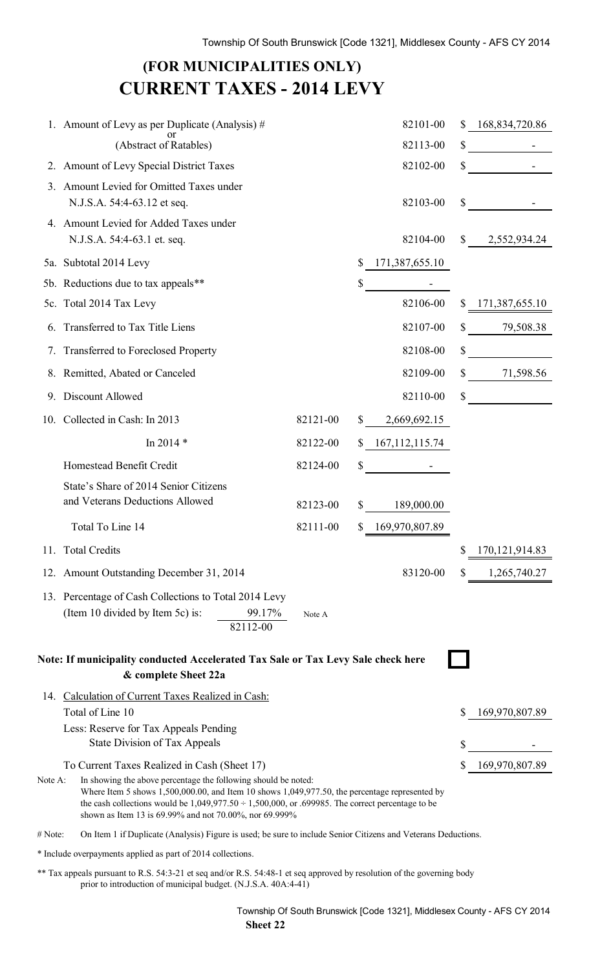# **(FOR MUNICIPALITIES ONLY) CURRENT TAXES - 2014 LEVY**

|         | 1. Amount of Levy as per Duplicate (Analysis) $#$                                                                                                                                                                                                                                                                                                                                          |          |                | 82101-00         |              | 168,834,720.86   |
|---------|--------------------------------------------------------------------------------------------------------------------------------------------------------------------------------------------------------------------------------------------------------------------------------------------------------------------------------------------------------------------------------------------|----------|----------------|------------------|--------------|------------------|
|         | or<br>(Abstract of Ratables)                                                                                                                                                                                                                                                                                                                                                               |          |                | 82113-00         | \$           |                  |
|         | 2. Amount of Levy Special District Taxes                                                                                                                                                                                                                                                                                                                                                   |          |                | 82102-00         | \$           |                  |
| $3_{-}$ | Amount Levied for Omitted Taxes under<br>N.J.S.A. 54:4-63.12 et seq.                                                                                                                                                                                                                                                                                                                       |          |                | 82103-00         | \$           |                  |
|         | 4. Amount Levied for Added Taxes under<br>N.J.S.A. 54:4-63.1 et. seq.                                                                                                                                                                                                                                                                                                                      |          |                | 82104-00         | $\mathbb{S}$ | 2,552,934.24     |
|         | 5a. Subtotal 2014 Levy                                                                                                                                                                                                                                                                                                                                                                     |          | \$             | 171,387,655.10   |              |                  |
|         | 5b. Reductions due to tax appeals**                                                                                                                                                                                                                                                                                                                                                        |          | \$             |                  |              |                  |
|         | 5c. Total 2014 Tax Levy                                                                                                                                                                                                                                                                                                                                                                    |          |                | 82106-00         |              | \$171,387,655.10 |
|         | 6. Transferred to Tax Title Liens                                                                                                                                                                                                                                                                                                                                                          |          |                | 82107-00         | \$           | 79,508.38        |
|         | 7. Transferred to Foreclosed Property                                                                                                                                                                                                                                                                                                                                                      |          |                | 82108-00         | \$           |                  |
|         | 8. Remitted, Abated or Canceled                                                                                                                                                                                                                                                                                                                                                            |          |                | 82109-00         | \$           | 71,598.56        |
| 9.      | Discount Allowed                                                                                                                                                                                                                                                                                                                                                                           |          |                | 82110-00         | \$           |                  |
|         | 10. Collected in Cash: In 2013                                                                                                                                                                                                                                                                                                                                                             | 82121-00 | $\mathbb{S}^-$ | 2,669,692.15     |              |                  |
|         | In 2014 *                                                                                                                                                                                                                                                                                                                                                                                  | 82122-00 |                | \$167,112,115.74 |              |                  |
|         | Homestead Benefit Credit                                                                                                                                                                                                                                                                                                                                                                   | 82124-00 | \$             |                  |              |                  |
|         | State's Share of 2014 Senior Citizens<br>and Veterans Deductions Allowed                                                                                                                                                                                                                                                                                                                   | 82123-00 | S              | 189,000.00       |              |                  |
|         | Total To Line 14                                                                                                                                                                                                                                                                                                                                                                           | 82111-00 |                | 169,970,807.89   |              |                  |
|         | 11. Total Credits                                                                                                                                                                                                                                                                                                                                                                          |          |                |                  | \$           | 170, 121, 914.83 |
|         | 12. Amount Outstanding December 31, 2014                                                                                                                                                                                                                                                                                                                                                   |          |                | 83120-00         | S.           | 1,265,740.27     |
|         | 13. Percentage of Cash Collections to Total 2014 Levy<br>(Item 10 divided by Item 5c) is:<br>99.17%<br>82112-00                                                                                                                                                                                                                                                                            | Note A   |                |                  |              |                  |
|         | Note: If municipality conducted Accelerated Tax Sale or Tax Levy Sale check here<br>& complete Sheet 22a                                                                                                                                                                                                                                                                                   |          |                |                  |              |                  |
|         | 14. Calculation of Current Taxes Realized in Cash:<br>Total of Line 10                                                                                                                                                                                                                                                                                                                     |          |                |                  |              | 169,970,807.89   |
|         | Less: Reserve for Tax Appeals Pending<br>State Division of Tax Appeals                                                                                                                                                                                                                                                                                                                     |          |                |                  | \$           |                  |
| Note A: | To Current Taxes Realized in Cash (Sheet 17)<br>In showing the above percentage the following should be noted:<br>Where Item 5 shows $1,500,000.00$ , and Item 10 shows $1,049,977.50$ , the percentage represented by<br>the cash collections would be $1,049,977.50 \div 1,500,000$ , or .699985. The correct percentage to be<br>shown as Item 13 is 69.99% and not 70.00%, nor 69.999% |          |                |                  |              | 169,970,807.89   |
| # Note: | On Item 1 if Duplicate (Analysis) Figure is used; be sure to include Senior Citizens and Veterans Deductions.                                                                                                                                                                                                                                                                              |          |                |                  |              |                  |

\* Include overpayments applied as part of 2014 collections.

\*\* Tax appeals pursuant to R.S. 54:3-21 et seq and/or R.S. 54:48-1 et seq approved by resolution of the governing body prior to introduction of municipal budget. (N.J.S.A. 40A:4-41)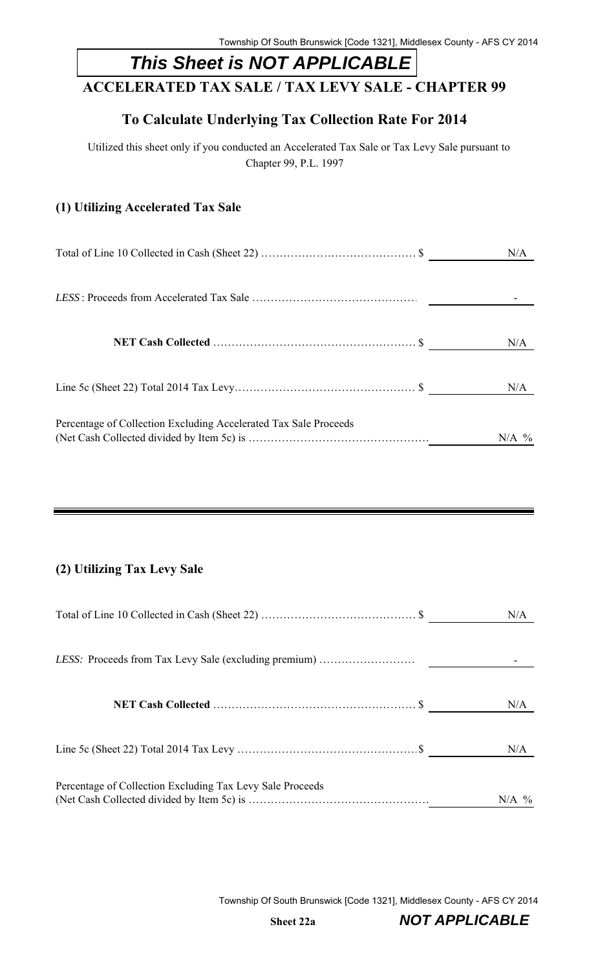# *This Sheet is NOT APPLICABLE*

## **ACCELERATED TAX SALE / TAX LEVY SALE - CHAPTER 99**

## **To Calculate Underlying Tax Collection Rate For 2014**

Utilized this sheet only if you conducted an Accelerated Tax Sale or Tax Levy Sale pursuant to Chapter 99, P.L. 1997

### **(1) Utilizing Accelerated Tax Sale**

|                                                                  | N/A     |
|------------------------------------------------------------------|---------|
|                                                                  |         |
|                                                                  | N/A     |
|                                                                  | N/A     |
| Percentage of Collection Excluding Accelerated Tax Sale Proceeds | $N/A$ % |

### **(2) Utilizing Tax Levy Sale**

|                                                           | N/A     |
|-----------------------------------------------------------|---------|
|                                                           |         |
|                                                           | N/A     |
|                                                           | N/A     |
| Percentage of Collection Excluding Tax Levy Sale Proceeds | $N/A$ % |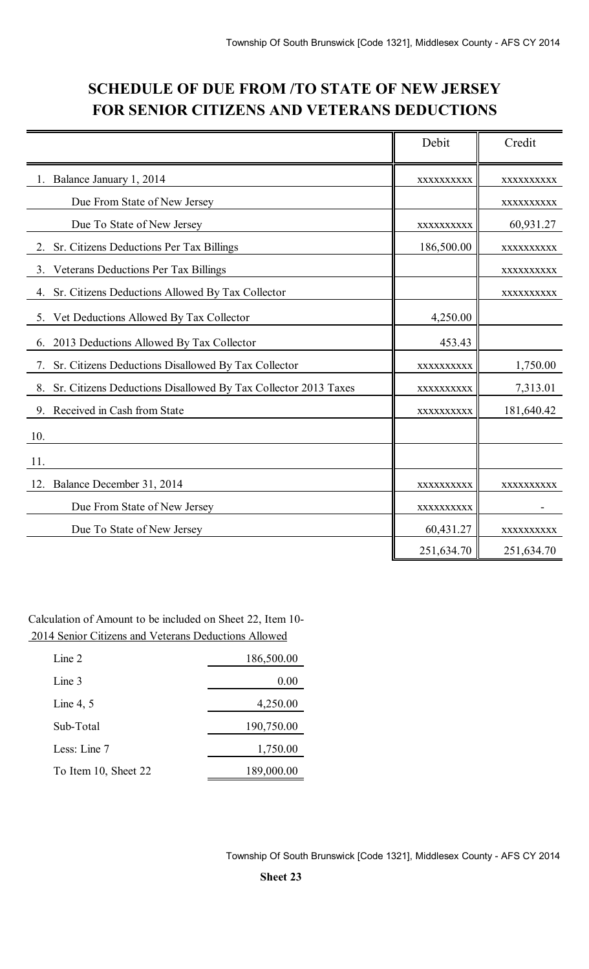## **SCHEDULE OF DUE FROM /TO STATE OF NEW JERSEY FOR SENIOR CITIZENS AND VETERANS DEDUCTIONS**

|                                                                      | Debit      | Credit     |
|----------------------------------------------------------------------|------------|------------|
| Balance January 1, 2014                                              | XXXXXXXXXX | XXXXXXXXX  |
| Due From State of New Jersey                                         |            | XXXXXXXXXX |
| Due To State of New Jersey                                           | XXXXXXXXXX | 60,931.27  |
| Sr. Citizens Deductions Per Tax Billings                             | 186,500.00 | XXXXXXXXXX |
| Veterans Deductions Per Tax Billings<br>3.                           |            | XXXXXXXXXX |
| 4. Sr. Citizens Deductions Allowed By Tax Collector                  |            | XXXXXXXXXX |
| 5. Vet Deductions Allowed By Tax Collector                           | 4,250.00   |            |
| 2013 Deductions Allowed By Tax Collector<br>6.                       | 453.43     |            |
| Sr. Citizens Deductions Disallowed By Tax Collector<br>7.            | XXXXXXXXXX | 1,750.00   |
| Sr. Citizens Deductions Disallowed By Tax Collector 2013 Taxes<br>8. | XXXXXXXXXX | 7,313.01   |
| Received in Cash from State<br>9.                                    | XXXXXXXXXX | 181,640.42 |
| 10.                                                                  |            |            |
| 11.                                                                  |            |            |
| Balance December 31, 2014<br>12.                                     | XXXXXXXXXX | XXXXXXXXXX |
| Due From State of New Jersey                                         | XXXXXXXXXX |            |
| Due To State of New Jersey                                           | 60,431.27  | XXXXXXXXXX |
|                                                                      | 251,634.70 | 251,634.70 |

Calculation of Amount to be included on Sheet 22, Item 10- 2014 Senior Citizens and Veterans Deductions Allowed

| Line 2               | 186,500.00 |
|----------------------|------------|
| Line 3               | 0.00       |
| Line 4, $5$          | 4,250.00   |
| Sub-Total            | 190,750.00 |
| Less: Line 7         | 1,750.00   |
| To Item 10, Sheet 22 | 189,000.00 |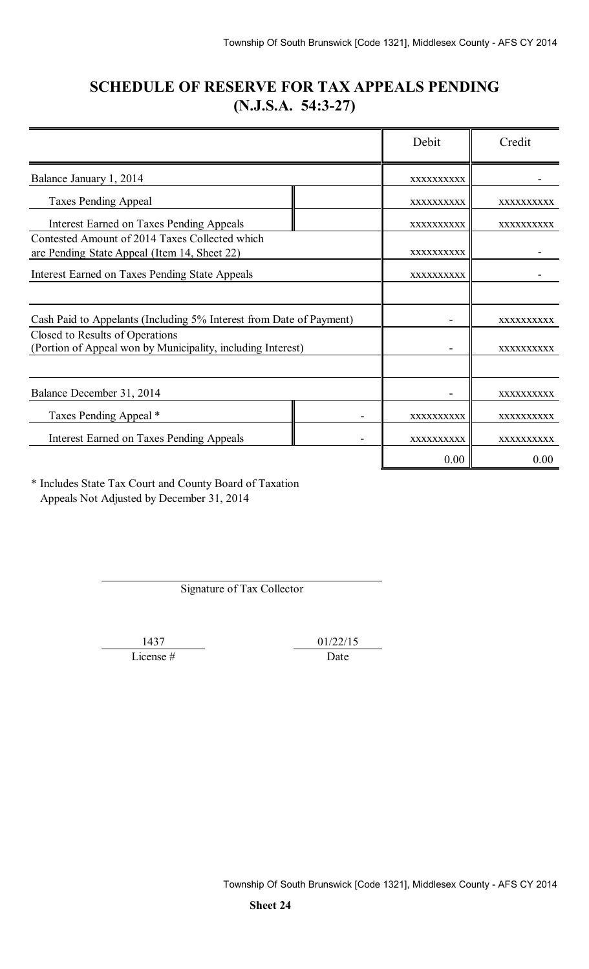## **SCHEDULE OF RESERVE FOR TAX APPEALS PENDING (N.J.S.A. 54:3-27)**

|                                                                                                |            | Debit      | Credit     |
|------------------------------------------------------------------------------------------------|------------|------------|------------|
| Balance January 1, 2014                                                                        |            | XXXXXXXXXX |            |
| <b>Taxes Pending Appeal</b>                                                                    |            | XXXXXXXXXX | XXXXXXXXXX |
| <b>Interest Earned on Taxes Pending Appeals</b>                                                |            | XXXXXXXXXX | XXXXXXXXXX |
| Contested Amount of 2014 Taxes Collected which<br>are Pending State Appeal (Item 14, Sheet 22) | XXXXXXXXXX |            |            |
| Interest Earned on Taxes Pending State Appeals                                                 |            | XXXXXXXXXX |            |
|                                                                                                |            |            |            |
| Cash Paid to Appelants (Including 5% Interest from Date of Payment)                            |            |            | XXXXXXXXXX |
| Closed to Results of Operations<br>(Portion of Appeal won by Municipality, including Interest) |            | XXXXXXXXXX |            |
| Balance December 31, 2014                                                                      |            |            | XXXXXXXXXX |
| Taxes Pending Appeal *                                                                         |            | XXXXXXXXXX | XXXXXXXXXX |
| <b>Interest Earned on Taxes Pending Appeals</b>                                                |            | XXXXXXXXXX | XXXXXXXXXX |
|                                                                                                |            | 0.00       | 0.00       |

\* Includes State Tax Court and County Board of Taxation Appeals Not Adjusted by December 31, 2014

Signature of Tax Collector

License # Date

1437 01/22/15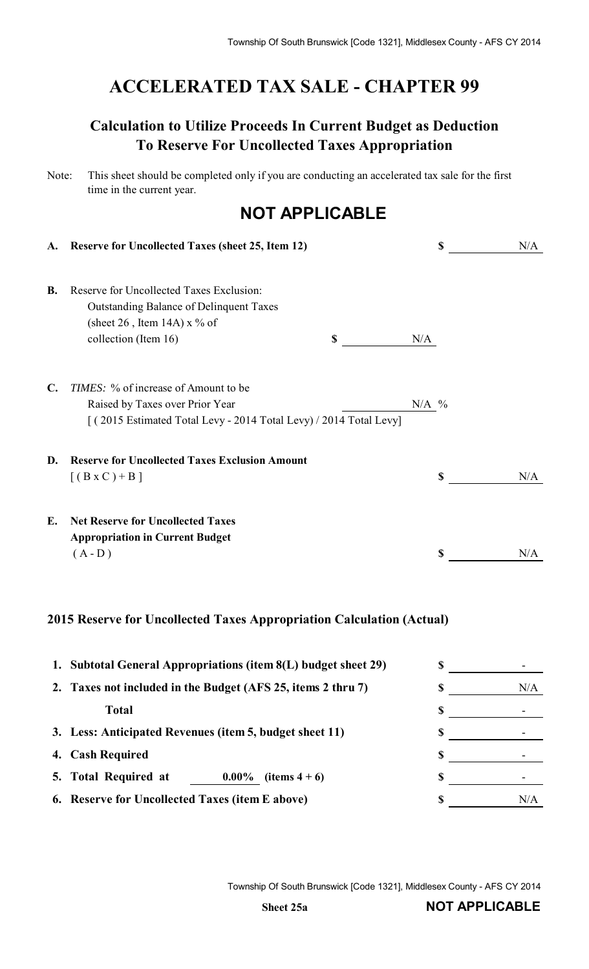# **ACCELERATED TAX SALE - CHAPTER 99**

# **Calculation to Utilize Proceeds In Current Budget as Deduction To Reserve For Uncollected Taxes Appropriation**

| Note: | This sheet should be completed only if you are conducting an accelerated tax sale for the first |
|-------|-------------------------------------------------------------------------------------------------|
|       | time in the current year.                                                                       |

# **NOT APPLICABLE**

| A.             | <b>Reserve for Uncollected Taxes (sheet 25, Item 12)</b>                                                                                             |         | \$<br>N/A |
|----------------|------------------------------------------------------------------------------------------------------------------------------------------------------|---------|-----------|
| <b>B.</b>      | Reserve for Uncollected Taxes Exclusion:<br><b>Outstanding Balance of Delinquent Taxes</b><br>(sheet 26, Item 14A) $x \frac{9}{6}$ of                |         |           |
|                | collection (Item 16)<br>\$                                                                                                                           | N/A     |           |
| $\mathbf{C}$ . | <i>TIMES</i> : % of increase of Amount to be<br>Raised by Taxes over Prior Year<br>[(2015 Estimated Total Levy - 2014 Total Levy) / 2014 Total Levy] | $N/A$ % |           |
| D.             | <b>Reserve for Uncollected Taxes Exclusion Amount</b><br>$[(B \times C) + B]$                                                                        |         | \$<br>N/A |
| Е.             | <b>Net Reserve for Uncollected Taxes</b><br><b>Appropriation in Current Budget</b><br>$(A-D)$                                                        |         | \$<br>N/A |
|                |                                                                                                                                                      |         |           |

#### **2015 Reserve for Uncollected Taxes Appropriation Calculation (Actual)**

|    | 1. Subtotal General Appropriations (item 8(L) budget sheet 29) |  |     |
|----|----------------------------------------------------------------|--|-----|
|    | 2. Taxes not included in the Budget (AFS 25, items 2 thru 7)   |  | N/A |
|    | <b>Total</b>                                                   |  |     |
|    | 3. Less: Anticipated Revenues (item 5, budget sheet 11)        |  |     |
| 4. | <b>Cash Required</b>                                           |  |     |
|    | 5. Total Required at<br>$0.00\%$<br>(items $4+6$ )             |  |     |
|    | 6. Reserve for Uncollected Taxes (item E above)                |  | N/A |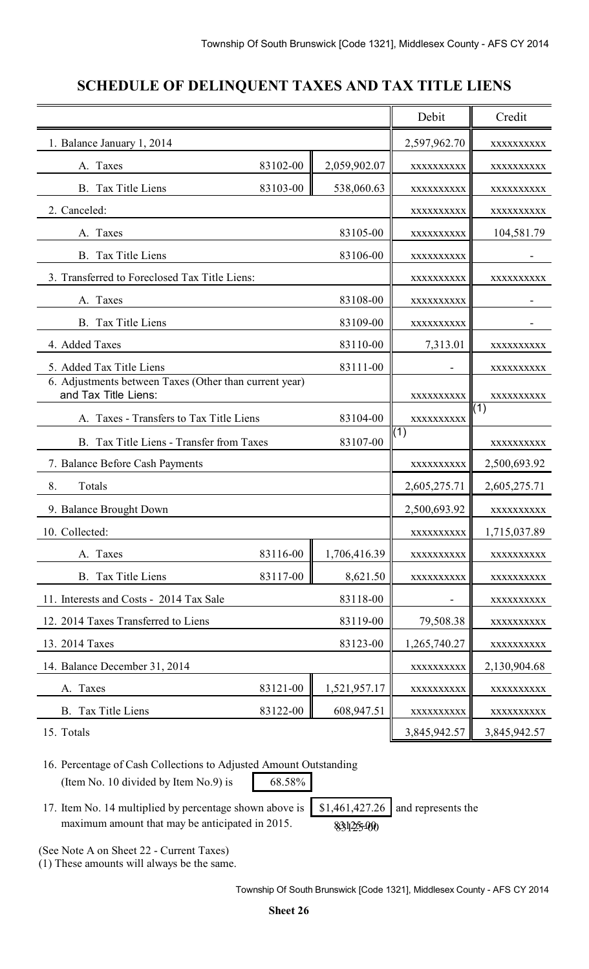# **SCHEDULE OF DELINQUENT TAXES AND TAX TITLE LIENS**

|                                                                                | Debit    | Credit       |              |              |
|--------------------------------------------------------------------------------|----------|--------------|--------------|--------------|
| 1. Balance January 1, 2014                                                     |          |              | 2,597,962.70 | XXXXXXXXX    |
| A. Taxes                                                                       | 83102-00 | 2,059,902.07 | XXXXXXXXXX   | XXXXXXXXX    |
| B. Tax Title Liens                                                             | 83103-00 | 538,060.63   | XXXXXXXXX    | XXXXXXXXX    |
| 2. Canceled:                                                                   |          |              | XXXXXXXXXX   | XXXXXXXXXX   |
| A. Taxes                                                                       |          | 83105-00     | XXXXXXXXXX   | 104,581.79   |
| B. Tax Title Liens                                                             |          | 83106-00     | XXXXXXXXXX   |              |
| 3. Transferred to Foreclosed Tax Title Liens:                                  |          |              | XXXXXXXXXX   | XXXXXXXXX    |
| A. Taxes                                                                       |          | 83108-00     | XXXXXXXXXX   |              |
| B. Tax Title Liens                                                             |          | 83109-00     | XXXXXXXXXX   |              |
| 4. Added Taxes                                                                 |          | 83110-00     | 7,313.01     | XXXXXXXXXX   |
| 5. Added Tax Title Liens                                                       |          | 83111-00     |              | XXXXXXXXX    |
| 6. Adjustments between Taxes (Other than current year)<br>and Tax Title Liens: |          |              | XXXXXXXXXX   | XXXXXXXXXX   |
| A. Taxes - Transfers to Tax Title Liens                                        |          | 83104-00     | XXXXXXXXXX   | (1)          |
| B. Tax Title Liens - Transfer from Taxes                                       |          | 83107-00     | (1)          | XXXXXXXXX    |
| 7. Balance Before Cash Payments                                                |          |              | XXXXXXXXXX   | 2,500,693.92 |
| 8.<br>Totals                                                                   |          |              | 2,605,275.71 | 2,605,275.71 |
| 9. Balance Brought Down                                                        |          |              | 2,500,693.92 | XXXXXXXXXX   |
| 10. Collected:                                                                 |          |              | XXXXXXXXXX   | 1,715,037.89 |
| A. Taxes                                                                       | 83116-00 | 1,706,416.39 | XXXXXXXXXX   | XXXXXXXXX    |
| B. Tax Title Liens                                                             | 83117-00 | 8,621.50     | XXXXXXXXX    | XXXXXXXXX    |
| 11. Interests and Costs - 2014 Tax Sale                                        |          | 83118-00     |              | XXXXXXXXXX   |
| 12. 2014 Taxes Transferred to Liens                                            |          | 83119-00     | 79,508.38    | XXXXXXXXX    |
| 13. 2014 Taxes                                                                 |          | 83123-00     | 1,265,740.27 | XXXXXXXXX    |
| 14. Balance December 31, 2014                                                  |          |              | XXXXXXXXXX   | 2,130,904.68 |
| A. Taxes                                                                       | 83121-00 | 1,521,957.17 | XXXXXXXXXX   | XXXXXXXXX    |
| B. Tax Title Liens                                                             | 83122-00 | 608,947.51   | XXXXXXXXXX   | XXXXXXXXX    |
| 15. Totals                                                                     |          |              | 3,845,942.57 | 3,845,942.57 |

16. Percentage of Cash Collections to Adjusted Amount Outstanding (Item No. 10 divided by Item No. 9) is  $68.58\%$ 

17. Item No. 14 multiplied by percentage shown above is  $\left[ \begin{array}{c} 1,461,427.26 \end{array} \right]$  and represents the maximum amount that may be anticipated in 2015.

(See Note A on Sheet 22 - Current Taxes)

(1) These amounts will always be the same.

83125-00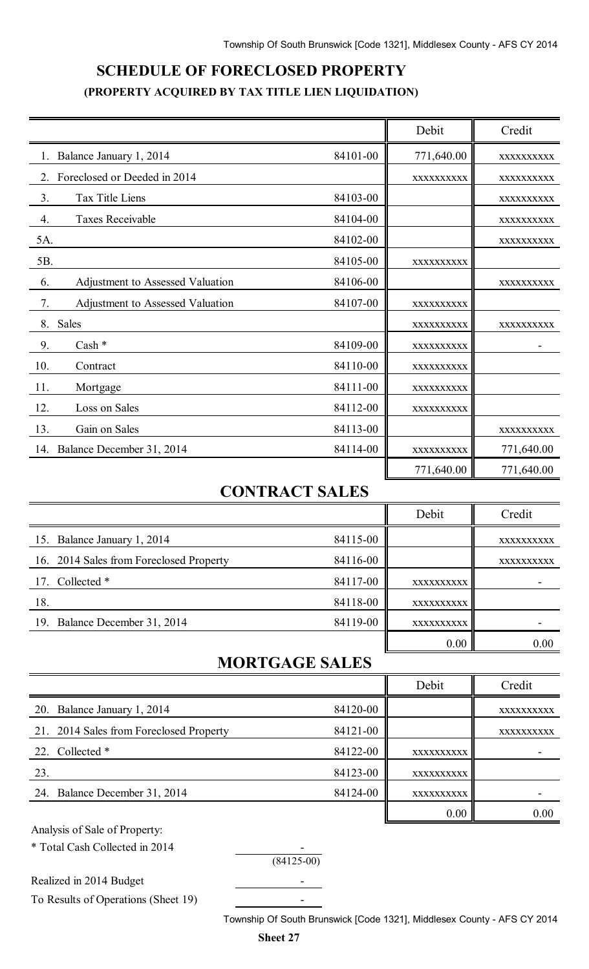# **SCHEDULE OF FORECLOSED PROPERTY (PROPERTY ACQUIRED BY TAX TITLE LIEN LIQUIDATION)**

|                                        |          | Debit      | Credit     |
|----------------------------------------|----------|------------|------------|
| Balance January 1, 2014                | 84101-00 | 771,640.00 | XXXXXXXXXX |
| Foreclosed or Deeded in 2014<br>2.     |          | XXXXXXXXXX | XXXXXXXXXX |
| 3.<br>Tax Title Liens                  | 84103-00 |            | XXXXXXXXXX |
| 4.<br><b>Taxes Receivable</b>          | 84104-00 |            | XXXXXXXXXX |
| 5A.                                    | 84102-00 |            | XXXXXXXXXX |
| 5B.                                    | 84105-00 | XXXXXXXXXX |            |
| Adjustment to Assessed Valuation<br>6. | 84106-00 |            | XXXXXXXXXX |
| 7.<br>Adjustment to Assessed Valuation | 84107-00 | XXXXXXXXXX |            |
| 8.<br>Sales                            |          | XXXXXXXXXX | XXXXXXXXXX |
| Cash *<br>9.                           | 84109-00 | XXXXXXXXXX |            |
| 10.<br>Contract                        | 84110-00 | XXXXXXXXXX |            |
| 11.<br>Mortgage                        | 84111-00 | XXXXXXXXXX |            |
| 12.<br>Loss on Sales                   | 84112-00 | XXXXXXXXXX |            |
| 13.<br>Gain on Sales                   | 84113-00 |            | XXXXXXXXXX |
| 14. Balance December 31, 2014          | 84114-00 | XXXXXXXXXX | 771,640.00 |
|                                        |          | 771,640.00 | 771,640.00 |

## **CONTRACT SALES**

|                                         |          | Debit      | Credit     |
|-----------------------------------------|----------|------------|------------|
| 15. Balance January 1, 2014             | 84115-00 |            | XXXXXXXXXX |
| 16. 2014 Sales from Foreclosed Property | 84116-00 |            | XXXXXXXXXX |
| 17. Collected *                         | 84117-00 | XXXXXXXXXX |            |
| 18.                                     | 84118-00 | XXXXXXXXXX |            |
| 19. Balance December 31, 2014           | 84119-00 | XXXXXXXXXX |            |
|                                         |          | 0.00       | 0.00       |

## **MORTGAGE SALES**

|                                         |          | Debit      | Credit     |
|-----------------------------------------|----------|------------|------------|
| 20. Balance January 1, 2014             | 84120-00 |            | XXXXXXXXXX |
| 21. 2014 Sales from Foreclosed Property | 84121-00 |            | XXXXXXXXXX |
| 22. Collected *                         | 84122-00 | XXXXXXXXXX |            |
| 23.                                     | 84123-00 | XXXXXXXXXX |            |
| 24. Balance December 31, 2014           | 84124-00 | XXXXXXXXXX |            |
|                                         |          | 0.00       | 0.00       |

Analysis of Sale of Property:

\* Total Cash Collected in 2014

 $(84125-00)$ 

Realized in 2014 Budget

To Results of Operations (Sheet 19) -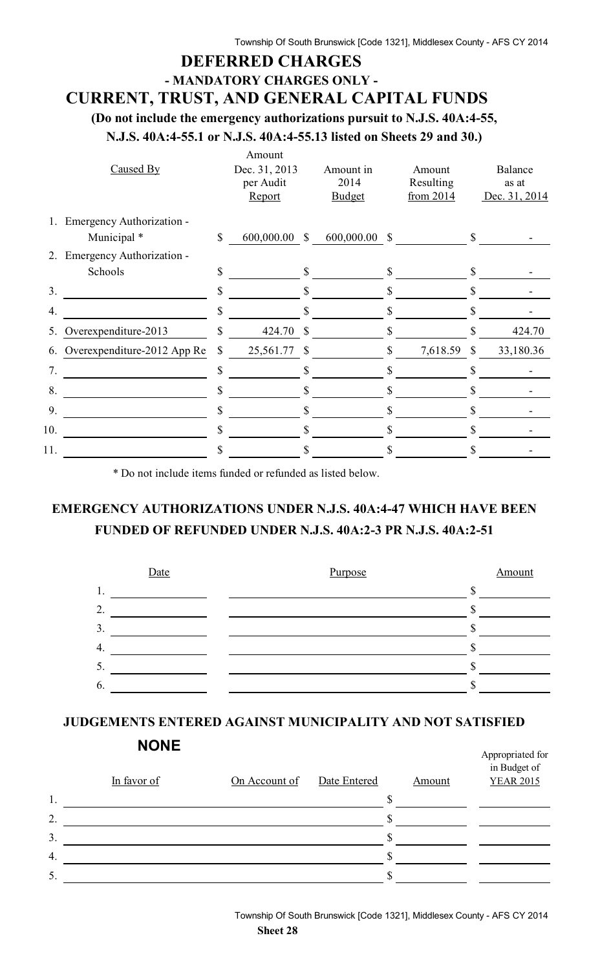## **DEFERRED CHARGES - MANDATORY CHARGES ONLY - CURRENT, TRUST, AND GENERAL CAPITAL FUNDS**

**(Do not include the emergency authorizations pursuit to N.J.S. 40A:4-55,**

**N.J.S. 40A:4-55.1 or N.J.S. 40A:4-55.13 listed on Sheets 29 and 30.)**

|                | Caused By                   | Amount<br>Dec. 31, 2013<br>per Audit<br>Report |               | Amount in<br>2014<br><b>Budget</b> |    | Amount<br>Resulting<br>from $2014$ |              | Balance<br>as at<br>Dec. 31, 2014 |
|----------------|-----------------------------|------------------------------------------------|---------------|------------------------------------|----|------------------------------------|--------------|-----------------------------------|
| 1.             | Emergency Authorization -   |                                                |               |                                    |    |                                    |              |                                   |
|                | Municipal *                 | \$<br>$600,000.00$ \$                          |               | 600,000.00 \$                      |    |                                    | $\mathbb{S}$ |                                   |
| 2.             | Emergency Authorization -   |                                                |               |                                    |    |                                    |              |                                   |
|                | Schools                     | \$                                             | \$            |                                    | \$ |                                    | $\mathbb{S}$ |                                   |
| 3 <sub>1</sub> |                             | \$                                             | S             |                                    | S  |                                    | \$           |                                   |
| 4.             |                             | \$                                             |               |                                    |    |                                    |              |                                   |
| 5.             | Overexpenditure-2013        | \$<br>424.70                                   | $\mathcal{S}$ |                                    | S  |                                    | S            | 424.70                            |
| 6.             | Overexpenditure-2012 App Re | \$<br>25,561.77 \$                             |               |                                    | \$ | 7,618.59 \$                        |              | 33,180.36                         |
| 7.             |                             | \$                                             | S             |                                    |    |                                    |              |                                   |
| 8.             |                             | \$                                             | S             |                                    | \$ |                                    |              |                                   |
| 9.             |                             | \$                                             |               |                                    |    |                                    |              |                                   |
| 10.            |                             | \$                                             | S             |                                    |    |                                    | S            |                                   |
| 11.            |                             | \$                                             | S             |                                    |    |                                    |              |                                   |

\* Do not include items funded or refunded as listed below.

## **EMERGENCY AUTHORIZATIONS UNDER N.J.S. 40A:4-47 WHICH HAVE BEEN FUNDED OF REFUNDED UNDER N.J.S. 40A:2-3 PR N.J.S. 40A:2-51**



## **JUDGEMENTS ENTERED AGAINST MUNICIPALITY AND NOT SATISFIED**

|    | <b>NONE</b> |               |              |               | Appropriated for                 |
|----|-------------|---------------|--------------|---------------|----------------------------------|
|    | In favor of | On Account of | Date Entered | <b>Amount</b> | in Budget of<br><b>YEAR 2015</b> |
| 1. |             |               |              |               |                                  |
| 2. |             |               |              |               |                                  |
| 3. |             |               |              |               |                                  |
| 4. |             |               |              |               |                                  |
| 5. |             |               |              |               |                                  |
|    |             |               |              |               |                                  |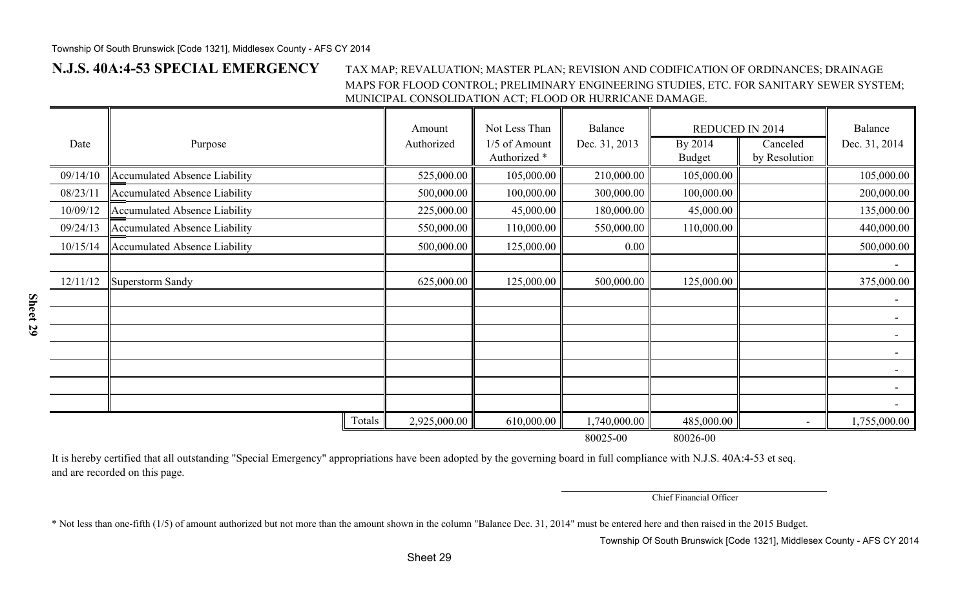**Sheet 29**

#### **N.J.S. 40A:4-53 SPECIAL EMERGENCY** TAX MAP; REVALUATION; MASTER PLAN; REVISION AND CODIFICATION OF ORDINANCES; DRAINAGE MAPS FOR FLOOD CONTROL; PRELIMINARY ENGINEERING STUDIES, ETC. FOR SANITARY SEWER SYSTEM; MUNICIPAL CONSOLIDATION ACT; FLOOD OR HURRICANE DAMAGE.

| Date     | Purpose                              | Amount<br>Authorized | Not Less Than<br>1/5 of Amount | <b>Balance</b><br>Dec. 31, 2013 | REDUCED IN 2014<br>By 2014 | Canceled                 | Balance<br>Dec. 31, 2014 |
|----------|--------------------------------------|----------------------|--------------------------------|---------------------------------|----------------------------|--------------------------|--------------------------|
|          |                                      |                      | Authorized *                   |                                 | <b>Budget</b>              | by Resolution            |                          |
| 09/14/10 | Accumulated Absence Liability        | 525,000.00           | 105,000.00                     | 210,000.00                      | 105,000.00                 |                          | 105,000.00               |
| 08/23/11 | Accumulated Absence Liability        | 500,000.00           | 100,000.00                     | 300,000.00                      | 100,000.00                 |                          | 200,000.00               |
| 10/09/12 | <b>Accumulated Absence Liability</b> | 225,000.00           | 45,000.00                      | 180,000.00                      | 45,000.00                  |                          | 135,000.00               |
| 09/24/13 | <b>Accumulated Absence Liability</b> | 550,000.00           | 110,000.00                     | 550,000.00                      | 110,000.00                 |                          | 440,000.00               |
| 10/15/14 | Accumulated Absence Liability        | 500,000.00           | 125,000.00                     | 0.00                            |                            |                          | 500,000.00               |
|          |                                      |                      |                                |                                 |                            |                          |                          |
| 12/11/12 | Superstorm Sandy                     | 625,000.00           | 125,000.00                     | 500,000.00                      | 125,000.00                 |                          | 375,000.00               |
|          |                                      |                      |                                |                                 |                            |                          |                          |
|          |                                      |                      |                                |                                 |                            |                          |                          |
|          |                                      |                      |                                |                                 |                            |                          |                          |
|          |                                      |                      |                                |                                 |                            |                          |                          |
|          |                                      |                      |                                |                                 |                            |                          |                          |
|          |                                      |                      |                                |                                 |                            |                          |                          |
|          |                                      |                      |                                |                                 |                            |                          |                          |
|          | Totals                               | 2,925,000.00         | 610,000.00                     | 1,740,000.00                    | 485,000.00                 | $\overline{\phantom{a}}$ | 1,755,000.00             |
|          |                                      |                      |                                | 80025-00                        | 80026-00                   |                          |                          |

It is hereby certified that all outstanding "Special Emergency" appropriations have been adopted by the governing board in full compliance with N.J.S. 40A:4-53 et seq. and are recorded on this page.

Chief Financial Officer

\* Not less than one-fifth (1/5) of amount authorized but not more than the amount shown in the column "Balance Dec. 31, 2014" must be entered here and then raised in the 2015 Budget.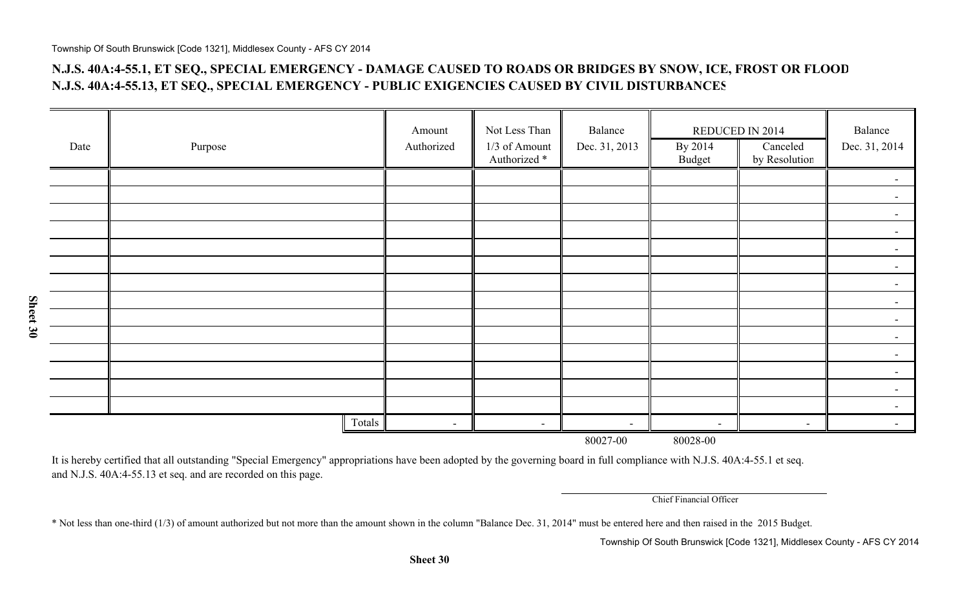### **N.J.S. 40A:4-55.1, ET SEQ., SPECIAL EMERGENCY - DAMAGE CAUSED TO ROADS OR BRIDGES BY SNOW, ICE, FROST OR FLOOD N.J.S. 40A:4-55.13, ET SEQ., SPECIAL EMERGENCY - PUBLIC EXIGENCIES CAUSED BY CIVIL DISTURBANCES**

|      |         | Amount         | Not Less Than                            | Balance                  | REDUCED IN 2014          |                           | Balance                  |
|------|---------|----------------|------------------------------------------|--------------------------|--------------------------|---------------------------|--------------------------|
| Date | Purpose | Authorized     | 1/3 of Amount<br>Authorized <sup>*</sup> | Dec. 31, 2013            | By 2014<br>Budget        | Canceled<br>by Resolution | Dec. 31, 2014            |
|      |         |                |                                          |                          |                          |                           | $\blacksquare$           |
|      |         |                |                                          |                          |                          |                           |                          |
|      |         |                |                                          |                          |                          |                           | $\blacksquare$           |
|      |         |                |                                          |                          |                          |                           | $\overline{\phantom{0}}$ |
|      |         |                |                                          |                          |                          |                           | $\overline{\phantom{0}}$ |
|      |         |                |                                          |                          |                          |                           | $\blacksquare$           |
|      |         |                |                                          |                          |                          |                           | $\blacksquare$           |
|      |         |                |                                          |                          |                          |                           | $\blacksquare$           |
|      |         |                |                                          |                          |                          |                           |                          |
|      |         |                |                                          |                          |                          |                           | $\overline{\phantom{0}}$ |
|      |         |                |                                          |                          |                          |                           | $\overline{\phantom{0}}$ |
|      |         |                |                                          |                          |                          |                           | $\blacksquare$           |
|      |         |                |                                          |                          |                          |                           |                          |
|      |         |                |                                          |                          |                          |                           |                          |
|      | Totals  | $\blacksquare$ | $\overline{\phantom{a}}$                 | $\overline{\phantom{a}}$ | $\overline{\phantom{a}}$ | $\overline{\phantom{0}}$  |                          |
|      |         |                |                                          | 80027-00                 | 80028-00                 |                           |                          |

It is hereby certified that all outstanding "Special Emergency" appropriations have been adopted by the governing board in full compliance with N.J.S. 40A:4-55.1 et seq. and N.J.S. 40A:4-55.13 et seq. and are recorded on this page.

Chief Financial Officer

\* Not less than one-third (1/3) of amount authorized but not more than the amount shown in the column "Balance Dec. 31, 2014" must be entered here and then raised in the 2015 Budget.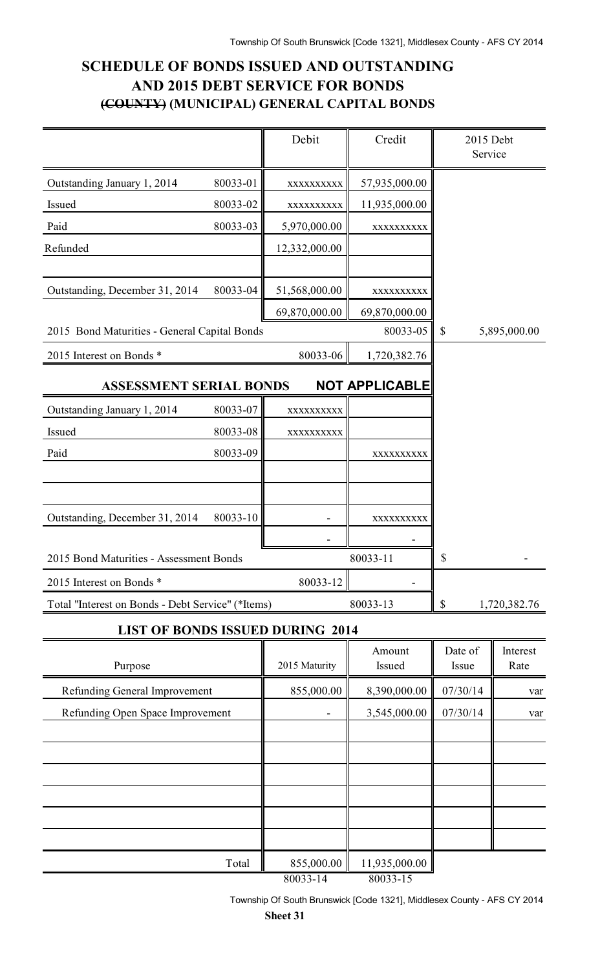## **SCHEDULE OF BONDS ISSUED AND OUTSTANDING AND 2015 DEBT SERVICE FOR BONDS (COUNTY) (MUNICIPAL) GENERAL CAPITAL BONDS**

|                                                   |          | Debit         | Credit                | 2015 Debt<br>Service      |                  |
|---------------------------------------------------|----------|---------------|-----------------------|---------------------------|------------------|
| Outstanding January 1, 2014                       | 80033-01 | XXXXXXXXX     | 57,935,000.00         |                           |                  |
| Issued                                            | 80033-02 | XXXXXXXXX     | 11,935,000.00         |                           |                  |
| Paid                                              | 80033-03 | 5,970,000.00  | XXXXXXXXXX            |                           |                  |
| Refunded                                          |          | 12,332,000.00 |                       |                           |                  |
|                                                   |          |               |                       |                           |                  |
| Outstanding, December 31, 2014                    | 80033-04 | 51,568,000.00 | XXXXXXXXXX            |                           |                  |
|                                                   |          | 69,870,000.00 | 69,870,000.00         |                           |                  |
| 2015 Bond Maturities - General Capital Bonds      |          |               | 80033-05              | $\boldsymbol{\mathsf{S}}$ | 5,895,000.00     |
| 2015 Interest on Bonds *                          |          | 80033-06      | 1,720,382.76          |                           |                  |
| <b>ASSESSMENT SERIAL BONDS</b>                    |          |               | <b>NOT APPLICABLE</b> |                           |                  |
| Outstanding January 1, 2014                       | 80033-07 | XXXXXXXXXX    |                       |                           |                  |
| Issued                                            | 80033-08 | XXXXXXXXXX    |                       |                           |                  |
| Paid                                              | 80033-09 |               | XXXXXXXXXX            |                           |                  |
|                                                   |          |               |                       |                           |                  |
|                                                   |          |               |                       |                           |                  |
| Outstanding, December 31, 2014                    | 80033-10 |               | XXXXXXXXXX            |                           |                  |
|                                                   |          |               |                       |                           |                  |
| 2015 Bond Maturities - Assessment Bonds           |          |               | 80033-11              |                           |                  |
| 2015 Interest on Bonds *                          |          | 80033-12      |                       |                           |                  |
| Total "Interest on Bonds - Debt Service" (*Items) |          |               | 80033-13              | \$                        | 1,720,382.76     |
| <b>LIST OF BONDS ISSUED DURING 2014</b>           |          |               |                       |                           |                  |
| Purpose                                           |          | 2015 Maturity | Amount<br>Issued      | Date of<br>Issue          | Interest<br>Rate |
| Refunding General Improvement                     |          | 855,000.00    | 8,390,000.00          | 07/30/14                  | var              |
| Refunding Open Space Improvement                  |          |               | 3,545,000.00          | 07/30/14                  | var              |
|                                                   |          |               |                       |                           |                  |
|                                                   |          |               |                       |                           |                  |
|                                                   |          |               |                       |                           |                  |
|                                                   |          |               |                       |                           |                  |
|                                                   |          |               |                       |                           |                  |
|                                                   |          |               |                       |                           |                  |
|                                                   | Total    | 855,000.00    | 11,935,000.00         |                           |                  |

80033-14 80033-15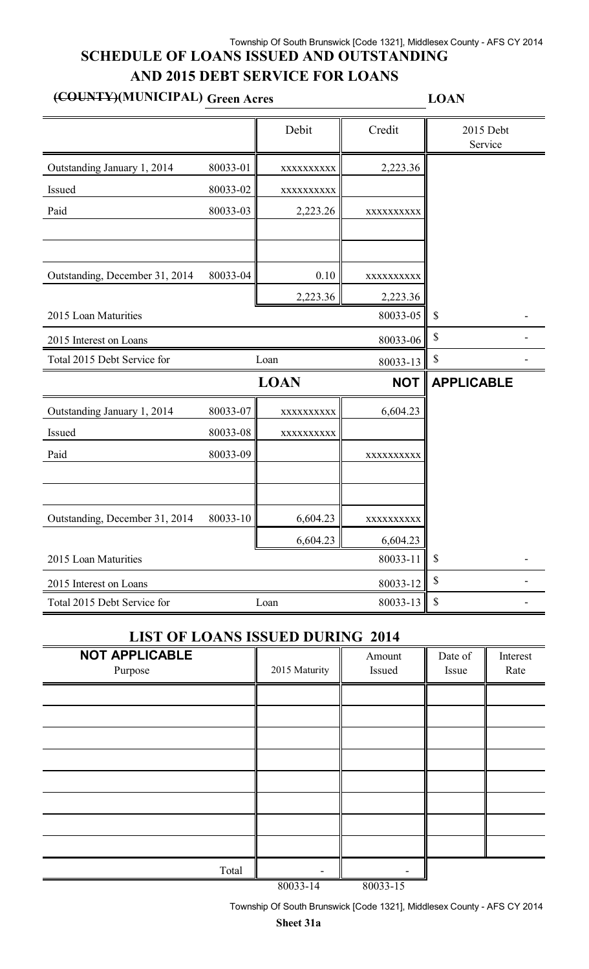### Township Of South Brunswick [Code 1321], Middlesex County - AFS CY 2014 **SCHEDULE OF LOANS ISSUED AND OUTSTANDING AND 2015 DEBT SERVICE FOR LOANS**

# **(COUNTY)(MUNICIPAL) Green Acres LOAN**

|                                |             | Debit       | Credit     | 2015 Debt<br>Service      |
|--------------------------------|-------------|-------------|------------|---------------------------|
| Outstanding January 1, 2014    | 80033-01    | XXXXXXXXXX  | 2,223.36   |                           |
| Issued                         | 80033-02    | XXXXXXXXX   |            |                           |
| Paid                           | 80033-03    | 2,223.26    | XXXXXXXXX  |                           |
|                                |             |             |            |                           |
| Outstanding, December 31, 2014 | 80033-04    | 0.10        | XXXXXXXXXX |                           |
|                                |             | 2,223.36    | 2,223.36   |                           |
| 2015 Loan Maturities           |             |             | 80033-05   | $\boldsymbol{\mathsf{S}}$ |
| 2015 Interest on Loans         |             |             | 80033-06   | \$                        |
| Total 2015 Debt Service for    |             | Loan        | 80033-13   | $\mathbb S$               |
|                                |             | <b>LOAN</b> | <b>NOT</b> | <b>APPLICABLE</b>         |
| Outstanding January 1, 2014    | 80033-07    | XXXXXXXXX   | 6,604.23   |                           |
| Issued                         | 80033-08    | XXXXXXXXXX  |            |                           |
| Paid                           | 80033-09    |             | XXXXXXXXX  |                           |
|                                |             |             |            |                           |
| Outstanding, December 31, 2014 | 80033-10    | 6,604.23    | XXXXXXXXX  |                           |
|                                |             | 6,604.23    | 6,604.23   |                           |
| 2015 Loan Maturities           |             |             | 80033-11   | $\boldsymbol{\mathsf{S}}$ |
| 2015 Interest on Loans         | $\mathbb S$ |             |            |                           |
| Total 2015 Debt Service for    |             | Loan        | 80033-13   | \$                        |

### **LIST OF LOANS ISSUED DURING 2014**

| <b>NOT APPLICABLE</b><br>Purpose | 2015 Maturity | Amount<br>Issued | Date of<br>Issue | Interest<br>Rate |
|----------------------------------|---------------|------------------|------------------|------------------|
|                                  |               |                  |                  |                  |
|                                  |               |                  |                  |                  |
|                                  |               |                  |                  |                  |
|                                  |               |                  |                  |                  |
|                                  |               |                  |                  |                  |
|                                  |               |                  |                  |                  |
|                                  |               |                  |                  |                  |
|                                  |               |                  |                  |                  |
| Total                            |               |                  |                  |                  |
|                                  | 0.000011      | $0.0022 \pm 7$   |                  |                  |

80033-14 80033-15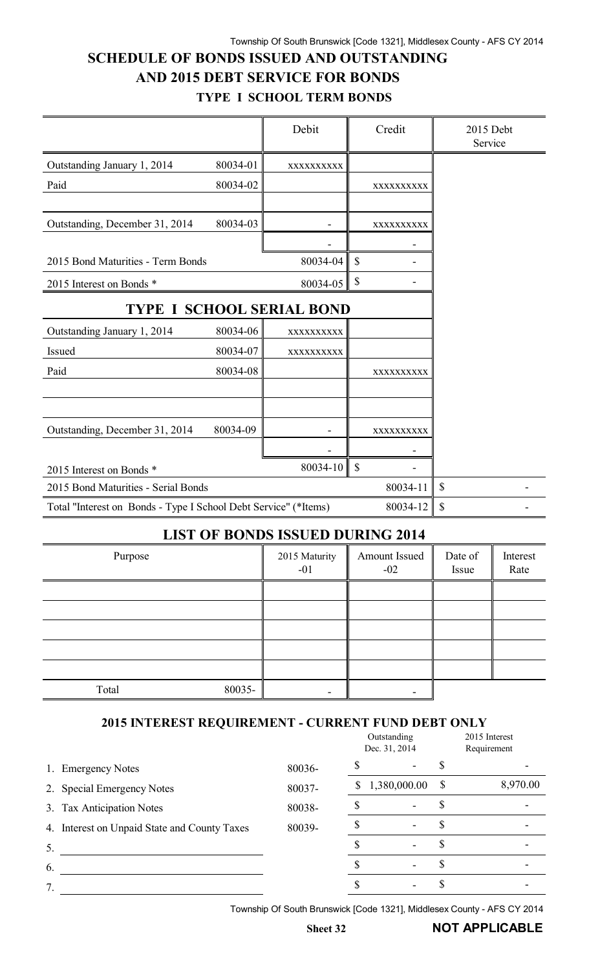# **SCHEDULE OF BONDS ISSUED AND OUTSTANDING AND 2015 DEBT SERVICE FOR BONDS**

|                                                                 |          | Debit                            | Credit        | 2015 Debt<br>Service |
|-----------------------------------------------------------------|----------|----------------------------------|---------------|----------------------|
| Outstanding January 1, 2014                                     | 80034-01 | XXXXXXXXXX                       |               |                      |
| Paid                                                            | 80034-02 |                                  | XXXXXXXXXX    |                      |
|                                                                 |          |                                  |               |                      |
| Outstanding, December 31, 2014                                  | 80034-03 |                                  | XXXXXXXXXX    |                      |
|                                                                 |          |                                  |               |                      |
| 2015 Bond Maturities - Term Bonds                               |          | 80034-04                         | $\mathcal{S}$ |                      |
| 2015 Interest on Bonds *                                        |          | 80034-05                         | \$            |                      |
|                                                                 |          | <b>TYPE I SCHOOL SERIAL BOND</b> |               |                      |
| Outstanding January 1, 2014                                     | 80034-06 | XXXXXXXXXX                       |               |                      |
| <b>Issued</b>                                                   | 80034-07 | XXXXXXXXXX                       |               |                      |
| Paid                                                            | 80034-08 |                                  | XXXXXXXXXX    |                      |
|                                                                 |          |                                  |               |                      |
|                                                                 |          |                                  |               |                      |
| Outstanding, December 31, 2014                                  | 80034-09 |                                  | XXXXXXXXXX    |                      |
|                                                                 |          |                                  |               |                      |
| 2015 Interest on Bonds *                                        |          | $80034 - 10$                     | $\mathcal{S}$ |                      |
| 2015 Bond Maturities - Serial Bonds                             | 80034-11 | $\mathbb{S}$                     |               |                      |
| Total "Interest on Bonds - Type I School Debt Service" (*Items) |          |                                  | 80034-12      | \$                   |

### **LIST OF BONDS ISSUED DURING 2014**

| Purpose         | 2015 Maturity<br>$-01$ | Amount Issued<br>$-02$ | Date of<br>Issue | Interest<br>Rate |
|-----------------|------------------------|------------------------|------------------|------------------|
|                 |                        |                        |                  |                  |
|                 |                        |                        |                  |                  |
|                 |                        |                        |                  |                  |
|                 |                        |                        |                  |                  |
|                 |                        |                        |                  |                  |
| 80035-<br>Total |                        |                        |                  |                  |

#### **2015 INTEREST REQUIREMENT - CURRENT FUND DEBT ONLY**

|                                              |        |    | Outstanding<br>Dec. 31, 2014 | 2015 Interest<br>Requirement |          |  |
|----------------------------------------------|--------|----|------------------------------|------------------------------|----------|--|
| <b>Emergency Notes</b><br>1.                 | 80036- |    |                              |                              |          |  |
| 2. Special Emergency Notes                   | 80037- | S. | 1,380,000.00                 | \$                           | 8,970.00 |  |
| 3. Tax Anticipation Notes                    | 80038- |    |                              |                              |          |  |
| 4. Interest on Unpaid State and County Taxes | 80039- |    |                              | ۰D                           |          |  |
| 5.                                           |        |    |                              |                              |          |  |
| 6.                                           |        |    |                              |                              |          |  |
|                                              |        |    |                              |                              |          |  |
|                                              |        |    |                              |                              |          |  |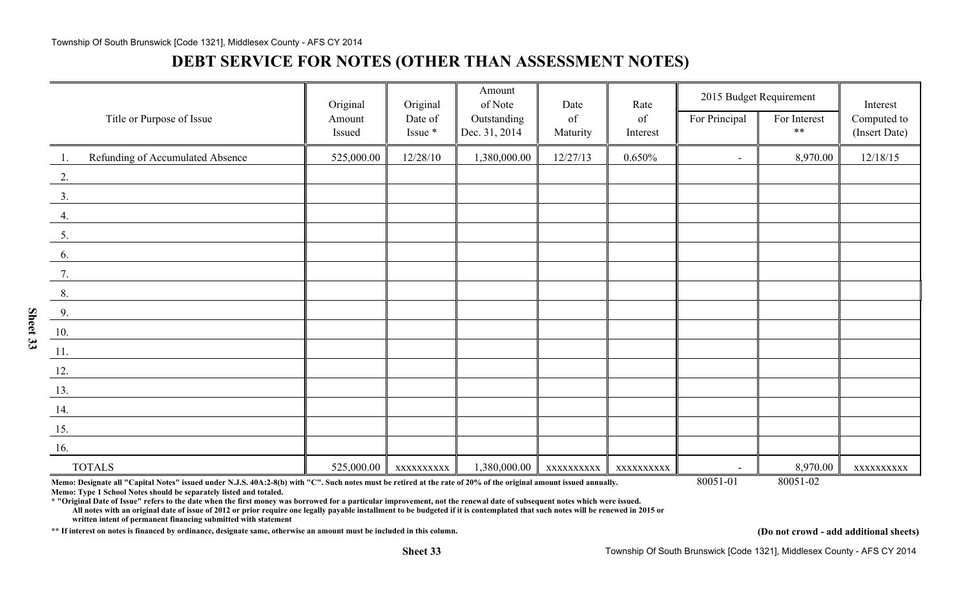#### Township Of South Brunswick [Code 1321], Middlesex County - AFS CY 2014

# **DEBT SERVICE FOR NOTES (OTHER THAN ASSESSMENT NOTES)**

|                                         | Original         | Original           | Amount<br>of Note            | Date           | Rate           |                | 2015 Budget Requirement | Interest                     |
|-----------------------------------------|------------------|--------------------|------------------------------|----------------|----------------|----------------|-------------------------|------------------------------|
| Title or Purpose of Issue               | Amount<br>Issued | Date of<br>Issue * | Outstanding<br>Dec. 31, 2014 | of<br>Maturity | of<br>Interest | For Principal  | For Interest<br>$**$    | Computed to<br>(Insert Date) |
|                                         |                  |                    |                              |                |                |                |                         |                              |
| Refunding of Accumulated Absence<br>-1. | 525,000.00       | 12/28/10           | 1,380,000.00                 | 12/27/13       | 0.650%         | $\blacksquare$ | 8,970.00                | 12/18/15                     |
| 2.                                      |                  |                    |                              |                |                |                |                         |                              |
| 3.                                      |                  |                    |                              |                |                |                |                         |                              |
| 4.                                      |                  |                    |                              |                |                |                |                         |                              |
| 5.                                      |                  |                    |                              |                |                |                |                         |                              |
| 6.                                      |                  |                    |                              |                |                |                |                         |                              |
| 7.                                      |                  |                    |                              |                |                |                |                         |                              |
| 8.                                      |                  |                    |                              |                |                |                |                         |                              |
| 9.                                      |                  |                    |                              |                |                |                |                         |                              |
| 10.                                     |                  |                    |                              |                |                |                |                         |                              |
| $\underline{11}$ .                      |                  |                    |                              |                |                |                |                         |                              |
| 12.                                     |                  |                    |                              |                |                |                |                         |                              |
| 13.                                     |                  |                    |                              |                |                |                |                         |                              |
| 14.                                     |                  |                    |                              |                |                |                |                         |                              |
| $\underline{\hspace{1em}15.}$           |                  |                    |                              |                |                |                |                         |                              |
| 16.                                     |                  |                    |                              |                |                |                |                         |                              |
| <b>TOTALS</b>                           | 525,000.00       | XXXXXXXXXX         | 1,380,000.00                 | XXXXXXXXXX     | XXXXXXXXX      |                | 8,970.00                | XXXXXXXXX                    |

Memo: Designate all "Capital Notes" issued under N.J.S. 40A:2-8(b) with "C". Such notes must be retired at the rate of 20% of the original amount issued annually. 80051-01 80051-02

**Memo: Type 1 School Notes should be separately listed and totaled.**

**\* "Original Date of Issue" refers to the date when the first money was borrowed for a particular improvement, not the renewal date of subsequent notes which were issued.**

**All notes with an original date of issue of 2012 or prior require one legally payable installment to be budgeted if it is contemplated that such notes will be renewed in 2015 or written intent of permanent financing submitted with statement**

**\*\* If interest on notes is financed by ordinance, designate same, otherwise an amount must be included in this column. (Do not crowd - add additional sheets)**

**Sheet 33**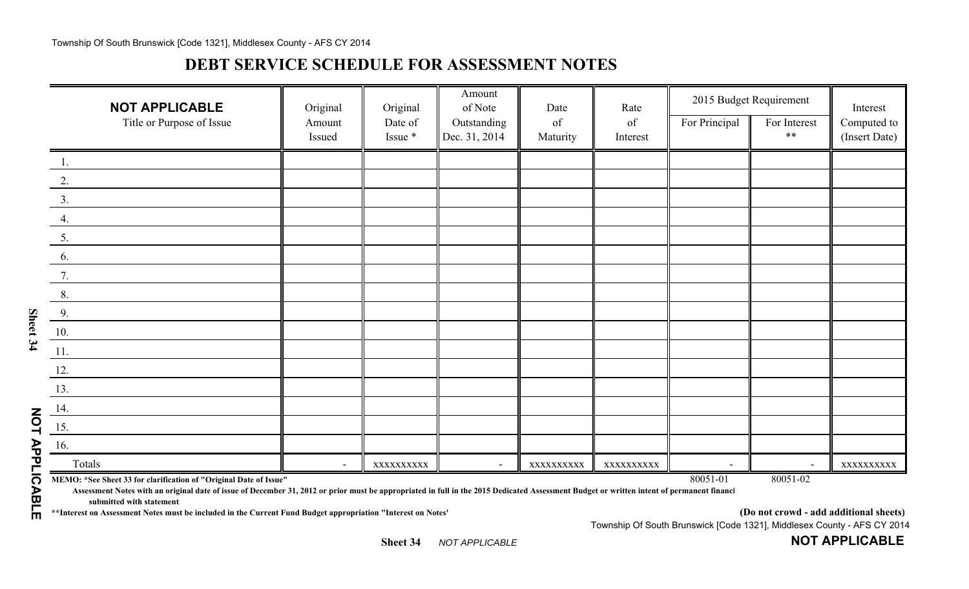## **DEBT SERVICE SCHEDULE FOR ASSESSMENT NOTES**

|                   | <b>NOT APPLICABLE</b><br>Title or Purpose of Issue                                                                                                                                                                                                             | Original<br>Amount       | Original<br>Date of | Amount<br>of Note<br>Outstanding | Date<br>of | Rate<br>of | For Principal            | 2015 Budget Requirement<br>For Interest | Interest                     |
|-------------------|----------------------------------------------------------------------------------------------------------------------------------------------------------------------------------------------------------------------------------------------------------------|--------------------------|---------------------|----------------------------------|------------|------------|--------------------------|-----------------------------------------|------------------------------|
|                   |                                                                                                                                                                                                                                                                | Issued                   | Issue *             | Dec. 31, 2014                    | Maturity   | Interest   |                          | $***$                                   | Computed to<br>(Insert Date) |
|                   |                                                                                                                                                                                                                                                                |                          |                     |                                  |            |            |                          |                                         |                              |
|                   |                                                                                                                                                                                                                                                                |                          |                     |                                  |            |            |                          |                                         |                              |
|                   | 3.                                                                                                                                                                                                                                                             |                          |                     |                                  |            |            |                          |                                         |                              |
|                   |                                                                                                                                                                                                                                                                |                          |                     |                                  |            |            |                          |                                         |                              |
|                   | 5.                                                                                                                                                                                                                                                             |                          |                     |                                  |            |            |                          |                                         |                              |
|                   | 6.                                                                                                                                                                                                                                                             |                          |                     |                                  |            |            |                          |                                         |                              |
|                   |                                                                                                                                                                                                                                                                |                          |                     |                                  |            |            |                          |                                         |                              |
|                   | 8.                                                                                                                                                                                                                                                             |                          |                     |                                  |            |            |                          |                                         |                              |
|                   | 9.                                                                                                                                                                                                                                                             |                          |                     |                                  |            |            |                          |                                         |                              |
| Sheet 34          | 10.                                                                                                                                                                                                                                                            |                          |                     |                                  |            |            |                          |                                         |                              |
|                   | 11.                                                                                                                                                                                                                                                            |                          |                     |                                  |            |            |                          |                                         |                              |
|                   | 12.                                                                                                                                                                                                                                                            |                          |                     |                                  |            |            |                          |                                         |                              |
|                   | 13.                                                                                                                                                                                                                                                            |                          |                     |                                  |            |            |                          |                                         |                              |
|                   | 14.                                                                                                                                                                                                                                                            |                          |                     |                                  |            |            |                          |                                         |                              |
| 20L               | 15.                                                                                                                                                                                                                                                            |                          |                     |                                  |            |            |                          |                                         |                              |
|                   | 16.                                                                                                                                                                                                                                                            |                          |                     |                                  |            |            |                          |                                         |                              |
|                   | Totals                                                                                                                                                                                                                                                         | $\overline{\phantom{0}}$ | XXXXXXXXXX          | $\overline{\phantom{0}}$         | XXXXXXXXXX | XXXXXXXXXX | $\overline{\phantom{a}}$ | $\overline{\phantom{0}}$                | XXXXXXXXXX                   |
| <b>APPLICABLE</b> | MEMO: *See Sheet 33 for clarification of "Original Date of Issue"<br>Assessment Notes with an original date of issue of December 31, 2012 or prior must be appropriated in full in the 2015 Dedicated Assessment Budget or written intent of permanent financi |                          |                     |                                  |            |            | 80051-01                 | 80051-02                                |                              |
|                   | submitted with statement<br>** Interest on Assessment Notes must be included in the Current Fund Budget appropriation "Interest on Notes'                                                                                                                      |                          |                     |                                  |            |            |                          | (Do not crowd - add additional sheets)  |                              |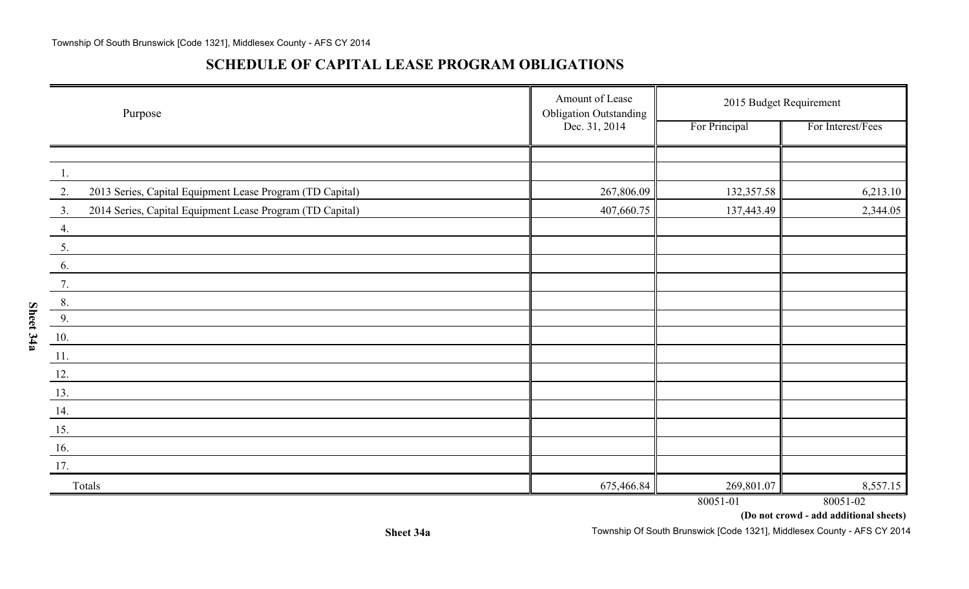### **SCHEDULE OF CAPITAL LEASE PROGRAM OBLIGATIONS**

**Sheet 34a**

| Purpose                                                         | Amount of Lease<br><b>Obligation Outstanding</b> | 2015 Budget Requirement |                   |  |  |
|-----------------------------------------------------------------|--------------------------------------------------|-------------------------|-------------------|--|--|
|                                                                 | Dec. 31, 2014                                    | For Principal           | For Interest/Fees |  |  |
|                                                                 |                                                  |                         |                   |  |  |
| $\overline{1}$ .                                                |                                                  |                         |                   |  |  |
| 2013 Series, Capital Equipment Lease Program (TD Capital)<br>2. | 267,806.09                                       | 132,357.58              | 6,213.10          |  |  |
| 2014 Series, Capital Equipment Lease Program (TD Capital)<br>3. | 407,660.75                                       | 137,443.49              | 2,344.05          |  |  |
| 4.                                                              |                                                  |                         |                   |  |  |
| 5.                                                              |                                                  |                         |                   |  |  |
| 6.                                                              |                                                  |                         |                   |  |  |
| 7.                                                              |                                                  |                         |                   |  |  |
| 8.                                                              |                                                  |                         |                   |  |  |
| 9.                                                              |                                                  |                         |                   |  |  |
| 10.                                                             |                                                  |                         |                   |  |  |
| 11.                                                             |                                                  |                         |                   |  |  |
| 12.                                                             |                                                  |                         |                   |  |  |
| 13.                                                             |                                                  |                         |                   |  |  |
| 14.                                                             |                                                  |                         |                   |  |  |
| 15.                                                             |                                                  |                         |                   |  |  |
| 16.                                                             |                                                  |                         |                   |  |  |
| 17.                                                             |                                                  |                         |                   |  |  |
| Totals                                                          | 675,466.84                                       | 269,801.07              | 8,557.15          |  |  |
|                                                                 |                                                  | 80051-01                | 80051-02          |  |  |

**(Do not crowd - add additional sheets)**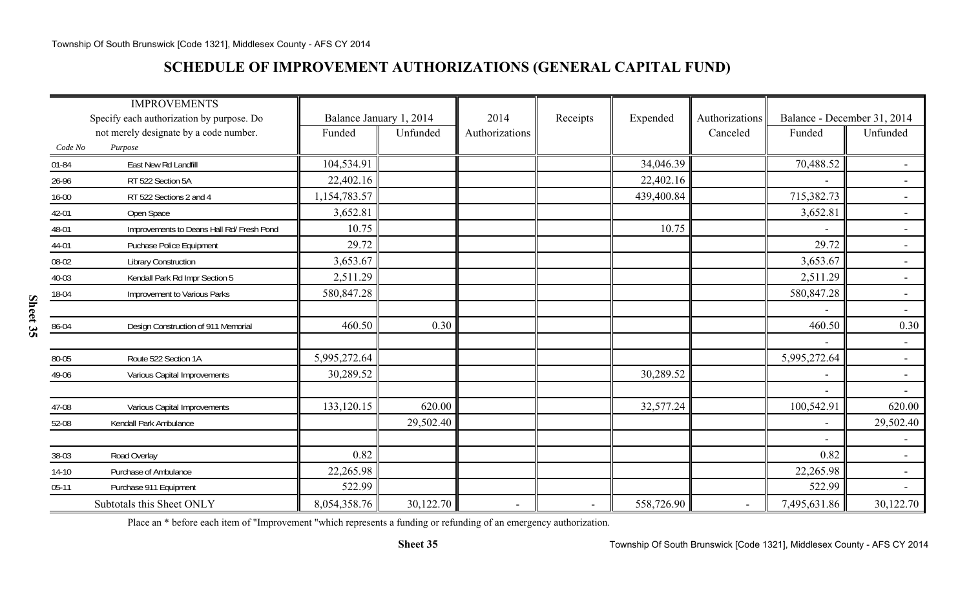## **SCHEDULE OF IMPROVEMENT AUTHORIZATIONS (GENERAL CAPITAL FUND)**

|           | <b>IMPROVEMENTS</b>                       |                         |           |                |                |            |                          |                             |                          |
|-----------|-------------------------------------------|-------------------------|-----------|----------------|----------------|------------|--------------------------|-----------------------------|--------------------------|
|           | Specify each authorization by purpose. Do | Balance January 1, 2014 |           | 2014           | Receipts       | Expended   | Authorizations           | Balance - December 31, 2014 |                          |
|           | not merely designate by a code number.    | Funded                  | Unfunded  | Authorizations |                |            | Canceled                 | Funded                      | Unfunded                 |
| Code No   | Purpose                                   |                         |           |                |                |            |                          |                             |                          |
| $01 - 84$ | East New Rd Landfill                      | 104,534.91              |           |                |                | 34,046.39  |                          | 70,488.52                   |                          |
| 26-96     | RT 522 Section 5A                         | 22,402.16               |           |                |                | 22,402.16  |                          | $\overline{\phantom{a}}$    | $\blacksquare$           |
| $16 - 00$ | RT 522 Sections 2 and 4                   | 1,154,783.57            |           |                |                | 439,400.84 |                          | 715,382.73                  | $\blacksquare$           |
| 42-01     | Open Space                                | 3,652.81                |           |                |                |            |                          | 3,652.81                    | $\blacksquare$           |
| 48-01     | Improvements to Deans Hall Rd/ Fresh Pond | 10.75                   |           |                |                | 10.75      |                          |                             | $\overline{\phantom{a}}$ |
| 44-01     | Puchase Police Equipment                  | 29.72                   |           |                |                |            |                          | 29.72                       |                          |
| 08-02     | <b>Library Construction</b>               | 3,653.67                |           |                |                |            |                          | 3,653.67                    | $\overline{\phantom{a}}$ |
| 40-03     | Kendall Park Rd Impr Section 5            | 2,511.29                |           |                |                |            |                          | 2,511.29                    | $\blacksquare$           |
| 18-04     | Improvement to Various Parks              | 580,847.28              |           |                |                |            |                          | 580,847.28                  | $\overline{\phantom{a}}$ |
|           |                                           |                         |           |                |                |            |                          | $\overline{\phantom{a}}$    | $\overline{\phantom{0}}$ |
| 86-04     | Design Construction of 911 Memorial       | 460.50                  | 0.30      |                |                |            |                          | 460.50                      | 0.30                     |
|           |                                           |                         |           |                |                |            |                          | $\overline{\phantom{a}}$    | $ \,$                    |
| 80-05     | Route 522 Section 1A                      | 5,995,272.64            |           |                |                |            |                          | 5,995,272.64                | $\overline{\phantom{a}}$ |
| 49-06     | Various Capital Improvements              | 30,289.52               |           |                |                | 30,289.52  |                          | $\overline{\phantom{a}}$    | $\overline{\phantom{a}}$ |
|           |                                           |                         |           |                |                |            |                          |                             |                          |
| 47-08     | Various Capital Improvements              | 133,120.15              | 620.00    |                |                | 32,577.24  |                          | 100,542.91                  | 620.00                   |
| 52-08     | Kendall Park Ambulance                    |                         | 29,502.40 |                |                |            |                          | $\overline{\phantom{a}}$    | 29,502.40                |
|           |                                           |                         |           |                |                |            |                          |                             |                          |
| 38-03     | Road Overlay                              | 0.82                    |           |                |                |            |                          | 0.82                        |                          |
| $14-10$   | Purchase of Ambulance                     | 22,265.98               |           |                |                |            |                          | 22,265.98                   |                          |
| $05-11$   | Purchase 911 Equipment                    | 522.99                  |           |                |                |            |                          | 522.99                      |                          |
|           | Subtotals this Sheet ONLY                 | 8,054,358.76            | 30,122.70 | $\blacksquare$ | $\blacksquare$ | 558,726.90 | $\overline{\phantom{a}}$ | 7,495,631.86                | 30,122.70                |

Place an \* before each item of "Improvement "which represents a funding or refunding of an emergency authorization.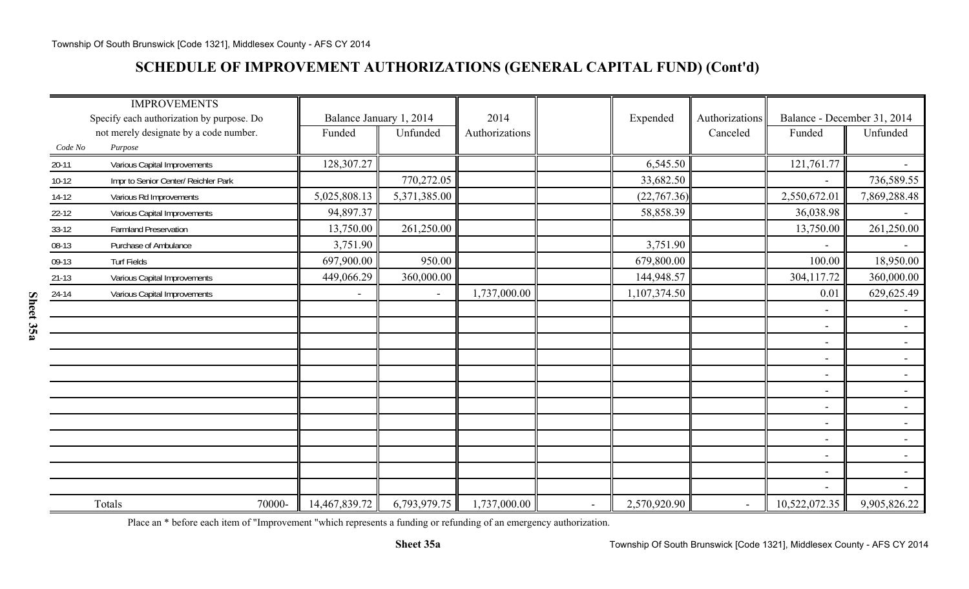## **SCHEDULE OF IMPROVEMENT AUTHORIZATIONS (GENERAL CAPITAL FUND) (Cont'd)**

|           | <b>IMPROVEMENTS</b>                       |                          |                         |                |        |              |                |                             |                          |
|-----------|-------------------------------------------|--------------------------|-------------------------|----------------|--------|--------------|----------------|-----------------------------|--------------------------|
|           | Specify each authorization by purpose. Do |                          | Balance January 1, 2014 | 2014           |        | Expended     | Authorizations | Balance - December 31, 2014 |                          |
|           | not merely designate by a code number.    | Funded                   | Unfunded                | Authorizations |        |              | Canceled       | Funded                      | Unfunded                 |
| Code No   | Purpose                                   |                          |                         |                |        |              |                |                             |                          |
| $20-11$   | Various Capital Improvements              | 128,307.27               |                         |                |        | 6,545.50     |                | 121,761.77                  | $\blacksquare$           |
| $10-12$   | Impr to Senior Center/ Reichler Park      |                          | 770,272.05              |                |        | 33,682.50    |                |                             | 736,589.55               |
| $14-12$   | Various Rd Improvements                   | 5,025,808.13             | 5,371,385.00            |                |        | (22,767.36)  |                | 2,550,672.01                | 7,869,288.48             |
| $22 - 12$ | Various Capital Improvements              | 94,897.37                |                         |                |        | 58,858.39    |                | 36,038.98                   |                          |
| $33-12$   | <b>Farmland Preservation</b>              | 13,750.00                | 261,250.00              |                |        |              |                | 13,750.00                   | 261,250.00               |
| 08-13     | Purchase of Ambulance                     | 3,751.90                 |                         |                |        | 3,751.90     |                |                             | $\blacksquare$           |
| 09-13     | <b>Turf Fields</b>                        | 697,900.00               | 950.00                  |                |        | 679,800.00   |                | 100.00                      | 18,950.00                |
| $21-13$   | Various Capital Improvements              | 449,066.29               | 360,000.00              |                |        | 144,948.57   |                | 304,117.72                  | 360,000.00               |
| 24-14     | Various Capital Improvements              | $\overline{\phantom{a}}$ | $\blacksquare$          | 1,737,000.00   |        | 1,107,374.50 |                | 0.01                        | 629,625.49               |
|           |                                           |                          |                         |                |        |              |                | $\overline{\phantom{a}}$    | $\blacksquare$           |
|           |                                           |                          |                         |                |        |              |                | $\overline{\phantom{a}}$    | $\blacksquare$           |
|           |                                           |                          |                         |                |        |              |                | $\overline{\phantom{a}}$    | $\blacksquare$           |
|           |                                           |                          |                         |                |        |              |                | $\overline{\phantom{a}}$    |                          |
|           |                                           |                          |                         |                |        |              |                | $\overline{\phantom{a}}$    | $\blacksquare$           |
|           |                                           |                          |                         |                |        |              |                | $\overline{\phantom{a}}$    | $\overline{\phantom{0}}$ |
|           |                                           |                          |                         |                |        |              |                | $\overline{\phantom{a}}$    | $\sim$                   |
|           |                                           |                          |                         |                |        |              |                | $\overline{\phantom{a}}$    | $\sim$                   |
|           |                                           |                          |                         |                |        |              |                | $\overline{\phantom{a}}$    | $\sim$ $^{-1}$           |
|           |                                           |                          |                         |                |        |              |                | $\overline{\phantom{a}}$    | $\sim$                   |
|           |                                           |                          |                         |                |        |              |                | $\overline{\phantom{a}}$    | $\blacksquare$           |
|           |                                           |                          |                         |                |        |              |                |                             |                          |
|           | Totals<br>70000-                          | 14,467,839.72            | 6,793,979.75            | 1,737,000.00   | $\sim$ | 2,570,920.90 |                | 10,522,072.35               | 9,905,826.22             |

Place an \* before each item of "Improvement "which represents a funding or refunding of an emergency authorization.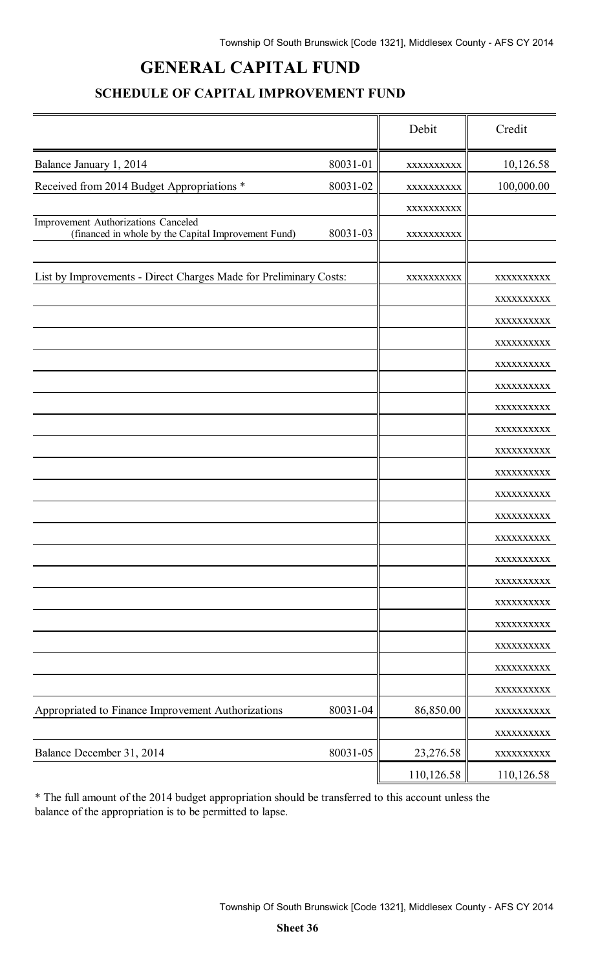# **GENERAL CAPITAL FUND**

### **SCHEDULE OF CAPITAL IMPROVEMENT FUND**

|                                                                                            |          | Debit      | Credit                   |
|--------------------------------------------------------------------------------------------|----------|------------|--------------------------|
| Balance January 1, 2014                                                                    | 80031-01 | XXXXXXXXXX | 10,126.58                |
| Received from 2014 Budget Appropriations *                                                 | 80031-02 | XXXXXXXXXX | 100,000.00               |
|                                                                                            |          | XXXXXXXXXX |                          |
| Improvement Authorizations Canceled<br>(financed in whole by the Capital Improvement Fund) | 80031-03 | XXXXXXXXXX |                          |
| List by Improvements - Direct Charges Made for Preliminary Costs:                          |          |            |                          |
|                                                                                            |          | XXXXXXXXXX | XXXXXXXXXX<br>XXXXXXXXXX |
|                                                                                            |          |            | XXXXXXXXXX               |
|                                                                                            |          |            | XXXXXXXXXX               |
|                                                                                            |          |            | XXXXXXXXXX               |
|                                                                                            |          |            | XXXXXXXXXX               |
|                                                                                            |          |            | XXXXXXXXXX               |
|                                                                                            |          |            | XXXXXXXXXX               |
|                                                                                            |          |            | XXXXXXXXXX               |
|                                                                                            |          |            | XXXXXXXXXX               |
|                                                                                            |          |            | XXXXXXXXXX               |
|                                                                                            |          |            | XXXXXXXXXX               |
|                                                                                            |          |            | XXXXXXXXXX               |
|                                                                                            |          |            | XXXXXXXXXX               |
|                                                                                            |          |            | XXXXXXXXXX               |
|                                                                                            |          |            | XXXXXXXXXX               |
|                                                                                            |          |            | XXXXXXXXXX               |
|                                                                                            |          |            | XXXXXXXXXX               |
|                                                                                            |          |            | XXXXXXXXXX               |
| Appropriated to Finance Improvement Authorizations                                         | 80031-04 | 86,850.00  | XXXXXXXXXX               |
|                                                                                            |          |            | XXXXXXXXXX<br>XXXXXXXXXX |
| Balance December 31, 2014                                                                  | 80031-05 | 23,276.58  | XXXXXXXXXX               |
|                                                                                            |          | 110,126.58 | 110,126.58               |

\* The full amount of the 2014 budget appropriation should be transferred to this account unless the balance of the appropriation is to be permitted to lapse.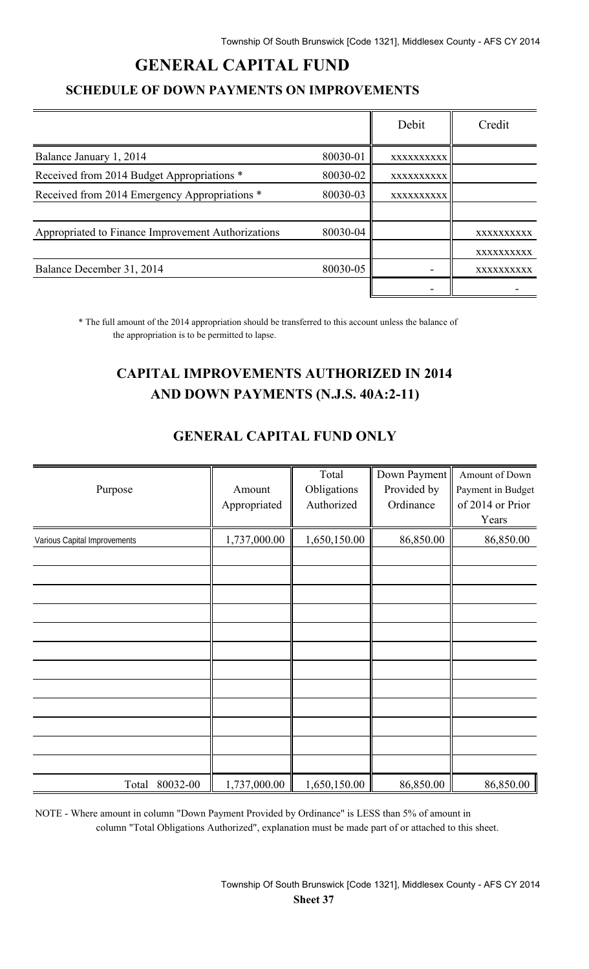# **GENERAL CAPITAL FUND**

### **SCHEDULE OF DOWN PAYMENTS ON IMPROVEMENTS**

|                                                    |          | Debit      | Credit     |
|----------------------------------------------------|----------|------------|------------|
| Balance January 1, 2014                            | 80030-01 | XXXXXXXXXX |            |
| Received from 2014 Budget Appropriations *         | 80030-02 | XXXXXXXXXX |            |
| Received from 2014 Emergency Appropriations *      | 80030-03 | XXXXXXXXXX |            |
|                                                    |          |            |            |
| Appropriated to Finance Improvement Authorizations | 80030-04 |            | XXXXXXXXXX |
|                                                    |          |            | XXXXXXXXXX |
| Balance December 31, 2014                          | 80030-05 |            | XXXXXXXXXX |
|                                                    |          |            |            |

\* The full amount of the 2014 appropriation should be transferred to this account unless the balance of the appropriation is to be permitted to lapse.

# **CAPITAL IMPROVEMENTS AUTHORIZED IN 2014 AND DOWN PAYMENTS (N.J.S. 40A:2-11)**

| <u>Jurium Chemini Report</u> |                        |                                    |                                          |                                                                  |  |  |
|------------------------------|------------------------|------------------------------------|------------------------------------------|------------------------------------------------------------------|--|--|
| Purpose                      | Amount<br>Appropriated | Total<br>Obligations<br>Authorized | Down Payment<br>Provided by<br>Ordinance | Amount of Down<br>Payment in Budget<br>of 2014 or Prior<br>Years |  |  |
| Various Capital Improvements | 1,737,000.00           | 1,650,150.00                       | 86,850.00                                | 86,850.00                                                        |  |  |
|                              |                        |                                    |                                          |                                                                  |  |  |

### **GENERAL CAPITAL FUND ONLY**

NOTE - Where amount in column "Down Payment Provided by Ordinance" is LESS than 5% of amount in column "Total Obligations Authorized", explanation must be made part of or attached to this sheet.

Total 80032-00 | 1,737,000.00 | 1,650,150.00 | 86,850.00 | 86,850.00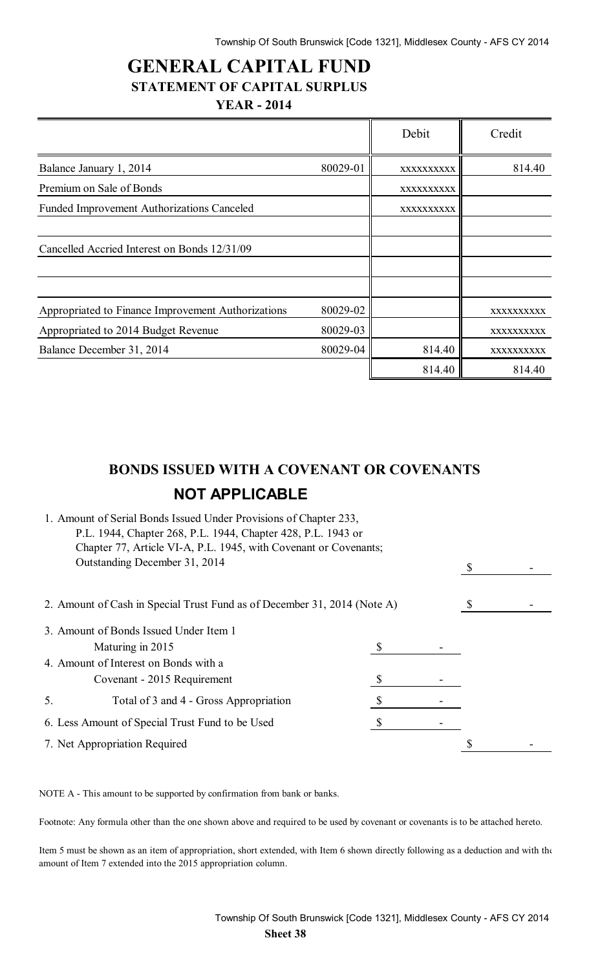$\overline{\mathbf{r}}$ 

 $\overline{r}$ 

## **GENERAL CAPITAL FUND STATEMENT OF CAPITAL SURPLUS YEAR - 2014**

|                                                    |          | Debit      | Credit            |
|----------------------------------------------------|----------|------------|-------------------|
| Balance January 1, 2014                            | 80029-01 | XXXXXXXXXX | 814.40            |
| Premium on Sale of Bonds                           |          | XXXXXXXXXX |                   |
| <b>Funded Improvement Authorizations Canceled</b>  |          | XXXXXXXXXX |                   |
| Cancelled Accried Interest on Bonds 12/31/09       |          |            |                   |
| Appropriated to Finance Improvement Authorizations | 80029-02 |            | XXXXXXXXXX        |
| Appropriated to 2014 Budget Revenue                | 80029-03 |            | <b>XXXXXXXXXX</b> |
| Balance December 31, 2014                          | 80029-04 | 814.40     | XXXXXXXXXX        |
|                                                    |          | 814.40     | 814.40            |

# **BONDS ISSUED WITH A COVENANT OR COVENANTS NOT APPLICABLE**

| 1. Amount of Serial Bonds Issued Under Provisions of Chapter 233,<br>P.L. 1944, Chapter 268, P.L. 1944, Chapter 428, P.L. 1943 or |   |  |  |
|-----------------------------------------------------------------------------------------------------------------------------------|---|--|--|
| Chapter 77, Article VI-A, P.L. 1945, with Covenant or Covenants;                                                                  |   |  |  |
| Outstanding December 31, 2014                                                                                                     |   |  |  |
| 2. Amount of Cash in Special Trust Fund as of December 31, 2014 (Note A)                                                          |   |  |  |
| 3. Amount of Bonds Issued Under Item 1                                                                                            |   |  |  |
| Maturing in 2015                                                                                                                  |   |  |  |
| 4. Amount of Interest on Bonds with a                                                                                             |   |  |  |
| Covenant - 2015 Requirement                                                                                                       | S |  |  |
| Total of 3 and 4 - Gross Appropriation<br>5.                                                                                      |   |  |  |
| 6. Less Amount of Special Trust Fund to be Used                                                                                   |   |  |  |
| 7. Net Appropriation Required                                                                                                     |   |  |  |
|                                                                                                                                   |   |  |  |

NOTE A - This amount to be supported by confirmation from bank or banks.

Footnote: Any formula other than the one shown above and required to be used by covenant or covenants is to be attached hereto.

Item 5 must be shown as an item of appropriation, short extended, with Item 6 shown directly following as a deduction and with the amount of Item 7 extended into the 2015 appropriation column.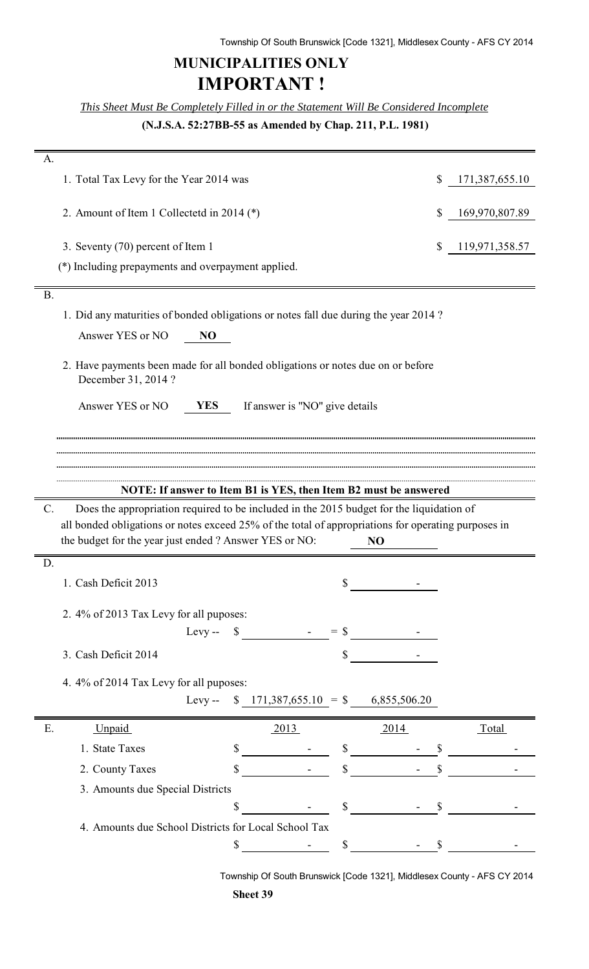# **MUNICIPALITIES ONLY IMPORTANT !**

*This Sheet Must Be Completely Filled in or the Statement Will Be Considered Incomplete*

**(N.J.S.A. 52:27BB-55 as Amended by Chap. 211, P.L. 1981)**

| А.                                                                                                          |                                                                                                                                                                                                                                                                                                                                                                                                                                  |      |                |
|-------------------------------------------------------------------------------------------------------------|----------------------------------------------------------------------------------------------------------------------------------------------------------------------------------------------------------------------------------------------------------------------------------------------------------------------------------------------------------------------------------------------------------------------------------|------|----------------|
| 1. Total Tax Levy for the Year 2014 was                                                                     |                                                                                                                                                                                                                                                                                                                                                                                                                                  | \$   | 171,387,655.10 |
| 2. Amount of Item 1 Collectetd in 2014 $(*)$                                                                |                                                                                                                                                                                                                                                                                                                                                                                                                                  | S    | 169,970,807.89 |
| 3. Seventy (70) percent of Item 1                                                                           |                                                                                                                                                                                                                                                                                                                                                                                                                                  | \$   | 119,971,358.57 |
| (*) Including prepayments and overpayment applied.                                                          |                                                                                                                                                                                                                                                                                                                                                                                                                                  |      |                |
| <b>B.</b>                                                                                                   |                                                                                                                                                                                                                                                                                                                                                                                                                                  |      |                |
| 1. Did any maturities of bonded obligations or notes fall due during the year 2014?                         |                                                                                                                                                                                                                                                                                                                                                                                                                                  |      |                |
| Answer YES or NO<br>N <sub>O</sub>                                                                          |                                                                                                                                                                                                                                                                                                                                                                                                                                  |      |                |
| 2. Have payments been made for all bonded obligations or notes due on or before<br>December 31, 2014?       |                                                                                                                                                                                                                                                                                                                                                                                                                                  |      |                |
| Answer YES or NO<br><b>YES</b>                                                                              | If answer is "NO" give details                                                                                                                                                                                                                                                                                                                                                                                                   |      |                |
|                                                                                                             |                                                                                                                                                                                                                                                                                                                                                                                                                                  |      |                |
|                                                                                                             |                                                                                                                                                                                                                                                                                                                                                                                                                                  |      |                |
| NOTE: If answer to Item B1 is YES, then Item B2 must be answered                                            |                                                                                                                                                                                                                                                                                                                                                                                                                                  |      |                |
| $\mathcal{C}$ .<br>Does the appropriation required to be included in the 2015 budget for the liquidation of |                                                                                                                                                                                                                                                                                                                                                                                                                                  |      |                |
| all bonded obligations or notes exceed 25% of the total of appropriations for operating purposes in         |                                                                                                                                                                                                                                                                                                                                                                                                                                  |      |                |
| the budget for the year just ended ? Answer YES or NO:                                                      | NO                                                                                                                                                                                                                                                                                                                                                                                                                               |      |                |
| D.                                                                                                          |                                                                                                                                                                                                                                                                                                                                                                                                                                  |      |                |
| 1. Cash Deficit 2013                                                                                        | \$                                                                                                                                                                                                                                                                                                                                                                                                                               |      |                |
| 2. 4% of 2013 Tax Levy for all puposes:                                                                     |                                                                                                                                                                                                                                                                                                                                                                                                                                  |      |                |
| $L$ evy $-$                                                                                                 | $\frac{\text{S}}{\text{S}}$ $\frac{\text{S}}{\text{S}}$ $\frac{\text{S}}{\text{S}}$ $\frac{\text{S}}{\text{S}}$ $\frac{\text{S}}{\text{S}}$ $\frac{\text{S}}{\text{S}}$ $\frac{\text{S}}{\text{S}}$ $\frac{\text{S}}{\text{S}}$ $\frac{\text{S}}{\text{S}}$ $\frac{\text{S}}{\text{S}}$ $\frac{\text{S}}{\text{S}}$ $\frac{\text{S}}{\text{S}}$ $\frac{\text{S}}{\text{S}}$ $\frac{\text{S}}{\text{S}}$ $\frac{\text{S}}{\text{$ |      |                |
| 3. Cash Deficit 2014                                                                                        | \$                                                                                                                                                                                                                                                                                                                                                                                                                               |      |                |
| 4. 4% of 2014 Tax Levy for all puposes:                                                                     |                                                                                                                                                                                                                                                                                                                                                                                                                                  |      |                |
|                                                                                                             | Levy-- $$ 171,387,655.10 = $ 6,855,506.20$                                                                                                                                                                                                                                                                                                                                                                                       |      |                |
| Unpaid<br>Ε.                                                                                                | 2013                                                                                                                                                                                                                                                                                                                                                                                                                             | 2014 | <b>Total</b>   |
| $\sim$ $\sim$<br>1. State Taxes                                                                             | $\mathbb{S}$                                                                                                                                                                                                                                                                                                                                                                                                                     |      |                |
| 2. County Taxes<br>\$                                                                                       | $\mathbb{S}$                                                                                                                                                                                                                                                                                                                                                                                                                     |      |                |
| 3. Amounts due Special Districts                                                                            |                                                                                                                                                                                                                                                                                                                                                                                                                                  |      |                |
| S                                                                                                           | $\mathbb{S}$                                                                                                                                                                                                                                                                                                                                                                                                                     |      |                |
| 4. Amounts due School Districts for Local School Tax                                                        |                                                                                                                                                                                                                                                                                                                                                                                                                                  |      |                |
|                                                                                                             |                                                                                                                                                                                                                                                                                                                                                                                                                                  |      |                |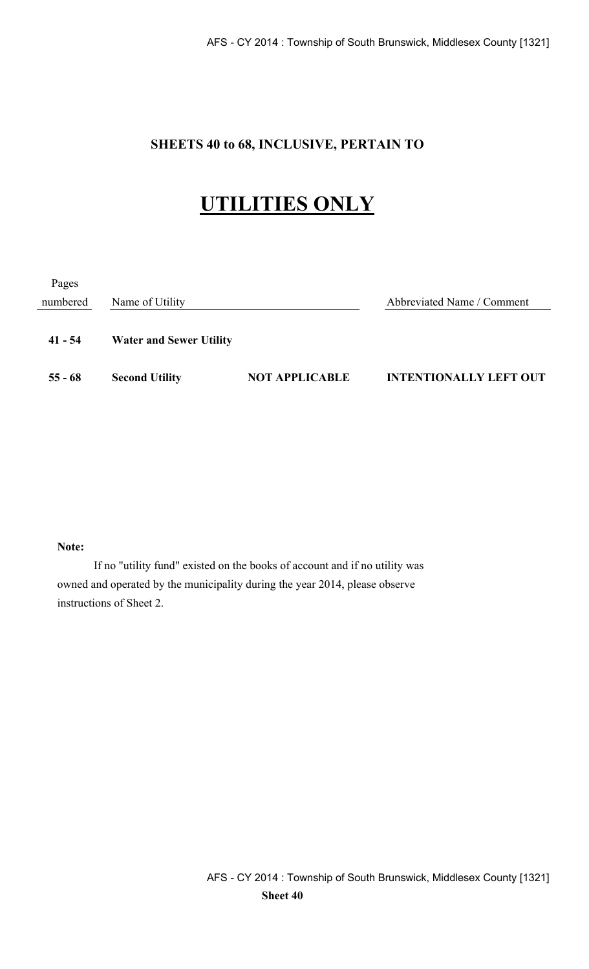## **SHEETS 40 to 68, INCLUSIVE, PERTAIN TO**

# **UTILITIES ONLY**

| Pages     |                                |                       |                               |
|-----------|--------------------------------|-----------------------|-------------------------------|
| numbered  | Name of Utility                |                       | Abbreviated Name / Comment    |
| $41 - 54$ | <b>Water and Sewer Utility</b> |                       |                               |
| $55 - 68$ | <b>Second Utility</b>          | <b>NOT APPLICABLE</b> | <b>INTENTIONALLY LEFT OUT</b> |

#### **Note:**

If no "utility fund" existed on the books of account and if no utility was owned and operated by the municipality during the year 2014, please observe instructions of Sheet 2.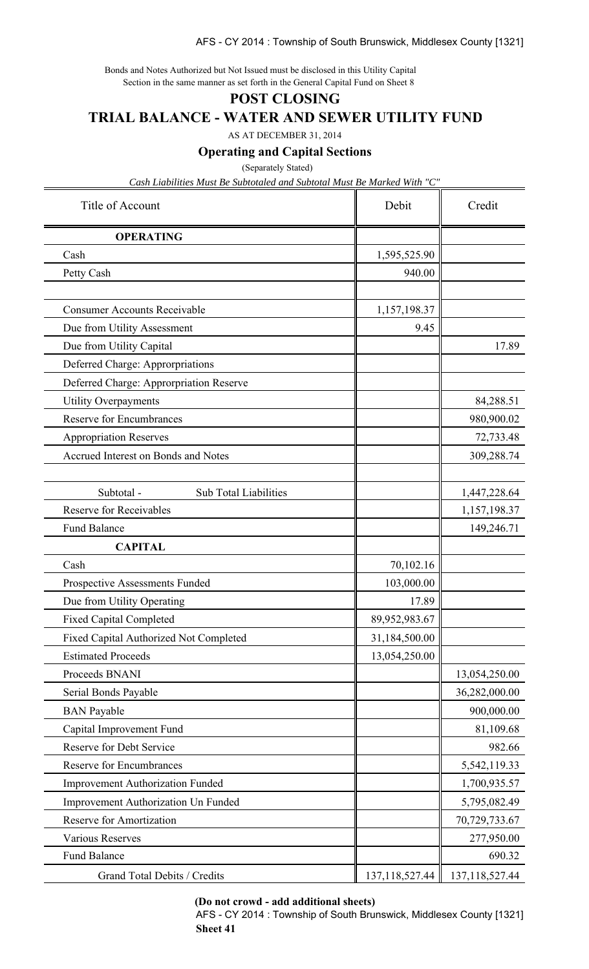#### AFS - CY 2014 : Township of South Brunswick, Middlesex County [1321]

Bonds and Notes Authorized but Not Issued must be disclosed in this Utility Capital Section in the same manner as set forth in the General Capital Fund on Sheet 8

#### **POST CLOSING**

**TRIAL BALANCE - WATER AND SEWER UTILITY FUND**

AS AT DECEMBER 31, 2014

**Operating and Capital Sections**

(Separately Stated)

*Cash Liabilities Must Be Subtotaled and Subtotal Must Be Marked With "C"*

| Title of Account                           | Debit             | Credit            |  |
|--------------------------------------------|-------------------|-------------------|--|
| <b>OPERATING</b>                           |                   |                   |  |
| Cash                                       | 1,595,525.90      |                   |  |
| Petty Cash                                 | 940.00            |                   |  |
|                                            |                   |                   |  |
| <b>Consumer Accounts Receivable</b>        | 1,157,198.37      |                   |  |
| Due from Utility Assessment                | 9.45              |                   |  |
| Due from Utility Capital                   |                   | 17.89             |  |
| Deferred Charge: Approrpriations           |                   |                   |  |
| Deferred Charge: Approrpriation Reserve    |                   |                   |  |
| <b>Utility Overpayments</b>                |                   | 84,288.51         |  |
| <b>Reserve for Encumbrances</b>            |                   | 980,900.02        |  |
| <b>Appropriation Reserves</b>              |                   | 72,733.48         |  |
| Accrued Interest on Bonds and Notes        |                   | 309,288.74        |  |
| Subtotal -<br>Sub Total Liabilities        |                   | 1,447,228.64      |  |
| <b>Reserve for Receivables</b>             |                   | 1,157,198.37      |  |
| <b>Fund Balance</b>                        |                   | 149,246.71        |  |
| <b>CAPITAL</b>                             |                   |                   |  |
| Cash                                       | 70,102.16         |                   |  |
| Prospective Assessments Funded             | 103,000.00        |                   |  |
| Due from Utility Operating                 | 17.89             |                   |  |
| <b>Fixed Capital Completed</b>             | 89,952,983.67     |                   |  |
| Fixed Capital Authorized Not Completed     | 31,184,500.00     |                   |  |
| <b>Estimated Proceeds</b>                  | 13,054,250.00     |                   |  |
| Proceeds BNANI                             |                   | 13,054,250.00     |  |
| Serial Bonds Payable                       |                   | 36,282,000.00     |  |
| <b>BAN</b> Payable                         |                   | 900,000.00        |  |
| Capital Improvement Fund                   |                   | 81,109.68         |  |
| Reserve for Debt Service                   |                   | 982.66            |  |
| <b>Reserve for Encumbrances</b>            |                   | 5,542,119.33      |  |
| <b>Improvement Authorization Funded</b>    |                   | 1,700,935.57      |  |
| <b>Improvement Authorization Un Funded</b> |                   | 5,795,082.49      |  |
| <b>Reserve for Amortization</b>            |                   | 70,729,733.67     |  |
| <b>Various Reserves</b>                    |                   | 277,950.00        |  |
| <b>Fund Balance</b>                        |                   | 690.32            |  |
| Grand Total Debits / Credits               | 137, 118, 527. 44 | 137, 118, 527. 44 |  |

**(Do not crowd - add additional sheets)**

AFS - CY 2014 : Township of South Brunswick, Middlesex County [1321] **Sheet 41**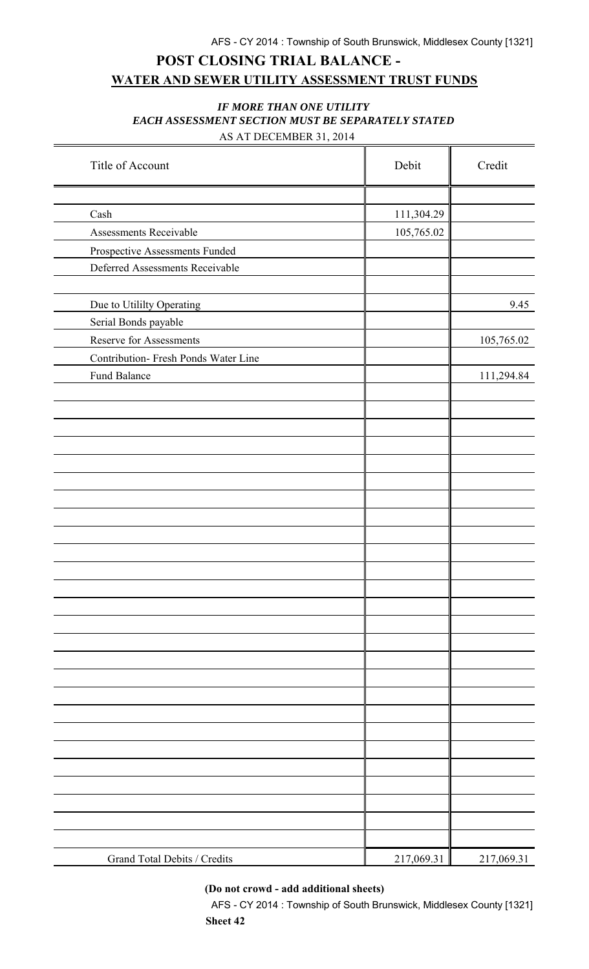## **POST CLOSING TRIAL BALANCE - WATER AND SEWER UTILITY ASSESSMENT TRUST FUNDS**

#### *IF MORE THAN ONE UTILITY EACH ASSESSMENT SECTION MUST BE SEPARATELY STATED* AS AT DECEMBER 31, 2014

| Title of Account                     | Debit      | Credit     |
|--------------------------------------|------------|------------|
|                                      |            |            |
| Cash                                 | 111,304.29 |            |
| Assessments Receivable               | 105,765.02 |            |
| Prospective Assessments Funded       |            |            |
| Deferred Assessments Receivable      |            |            |
|                                      |            |            |
| Due to Utililty Operating            |            | 9.45       |
| Serial Bonds payable                 |            |            |
| Reserve for Assessments              |            | 105,765.02 |
| Contribution- Fresh Ponds Water Line |            |            |
| Fund Balance                         |            | 111,294.84 |
|                                      |            |            |
|                                      |            |            |
|                                      |            |            |
|                                      |            |            |
|                                      |            |            |
|                                      |            |            |
|                                      |            |            |
|                                      |            |            |
|                                      |            |            |
|                                      |            |            |
|                                      |            |            |
|                                      |            |            |
|                                      |            |            |
|                                      |            |            |
|                                      |            |            |
|                                      |            |            |
|                                      |            |            |
|                                      |            |            |
|                                      |            |            |
|                                      |            |            |
|                                      |            |            |
|                                      |            |            |
|                                      |            |            |
|                                      |            |            |
|                                      |            |            |
|                                      |            |            |
| Grand Total Debits / Credits         | 217,069.31 | 217,069.31 |

**(Do not crowd - add additional sheets)**

AFS - CY 2014 : Township of South Brunswick, Middlesex County [1321] **Sheet 42**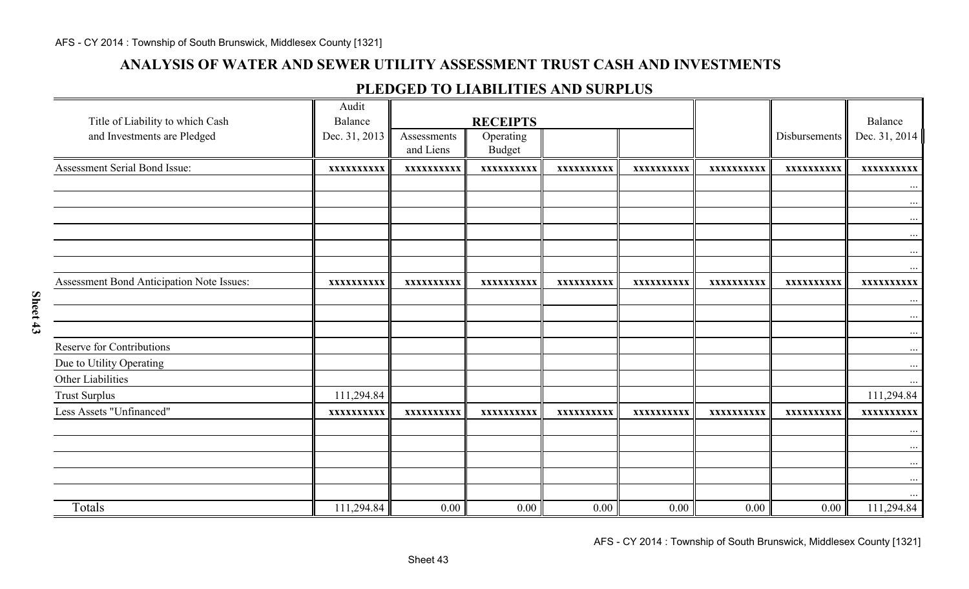### **ANALYSIS OF WATER AND SEWER UTILITY ASSESSMENT TRUST CASH AND INVESTMENTS**

#### **PLEDGED TO LIABILITIES AND SURPLUS**

| Title of Liability to which Cash<br>and Investments are Pledged | Audit<br>Balance<br>Dec. 31, 2013 | Assessments<br>and Liens | <b>RECEIPTS</b><br>Operating<br><b>Budget</b> |            |            |            | Disbursements | Balance<br>Dec. 31, 2014 |
|-----------------------------------------------------------------|-----------------------------------|--------------------------|-----------------------------------------------|------------|------------|------------|---------------|--------------------------|
| Assessment Serial Bond Issue:                                   | XXXXXXXXXX                        | XXXXXXXXXX               | XXXXXXXXXX                                    | XXXXXXXXXX | XXXXXXXXXX | XXXXXXXXXX | XXXXXXXXXX    | XXXXXXXXXX               |
|                                                                 |                                   |                          |                                               |            |            |            |               | $\ddots$                 |
|                                                                 |                                   |                          |                                               |            |            |            |               | $\cdots$                 |
|                                                                 |                                   |                          |                                               |            |            |            |               | $\cdots$                 |
|                                                                 |                                   |                          |                                               |            |            |            |               |                          |
|                                                                 |                                   |                          |                                               |            |            |            |               | $\cdots$                 |
|                                                                 |                                   |                          |                                               |            |            |            |               | $\cdots$                 |
| Assessment Bond Anticipation Note Issues:                       | XXXXXXXXXX                        | XXXXXXXXXX               | XXXXXXXXXX                                    | XXXXXXXXXX | XXXXXXXXXX | XXXXXXXXXX | XXXXXXXXXX    | XXXXXXXXXX               |
|                                                                 |                                   |                          |                                               |            |            |            |               | $\cdots$                 |
|                                                                 |                                   |                          |                                               |            |            |            |               | $\cdots$                 |
| Reserve for Contributions                                       |                                   |                          |                                               |            |            |            |               | $\cdots$<br>$\cdots$     |
| Due to Utility Operating                                        |                                   |                          |                                               |            |            |            |               | $\cdots$                 |
| Other Liabilities                                               |                                   |                          |                                               |            |            |            |               |                          |
| <b>Trust Surplus</b>                                            | 111,294.84                        |                          |                                               |            |            |            |               | 111,294.84               |
| Less Assets "Unfinanced"                                        | XXXXXXXXXX                        | XXXXXXXXXX               | XXXXXXXXXX                                    | XXXXXXXXXX | XXXXXXXXXX | XXXXXXXXXX | XXXXXXXXXX    | XXXXXXXXXX               |
|                                                                 |                                   |                          |                                               |            |            |            |               | $\cdots$                 |
|                                                                 |                                   |                          |                                               |            |            |            |               | $\cdots$                 |
|                                                                 |                                   |                          |                                               |            |            |            |               | $\cdots$                 |
|                                                                 |                                   |                          |                                               |            |            |            |               | $\cdots$                 |
|                                                                 |                                   |                          |                                               |            |            |            |               |                          |
| Totals                                                          | 111,294.84                        | 0.00                     | 0.00                                          | 0.00       | 0.00       | 0.00       | 0.00          | 111,294.84               |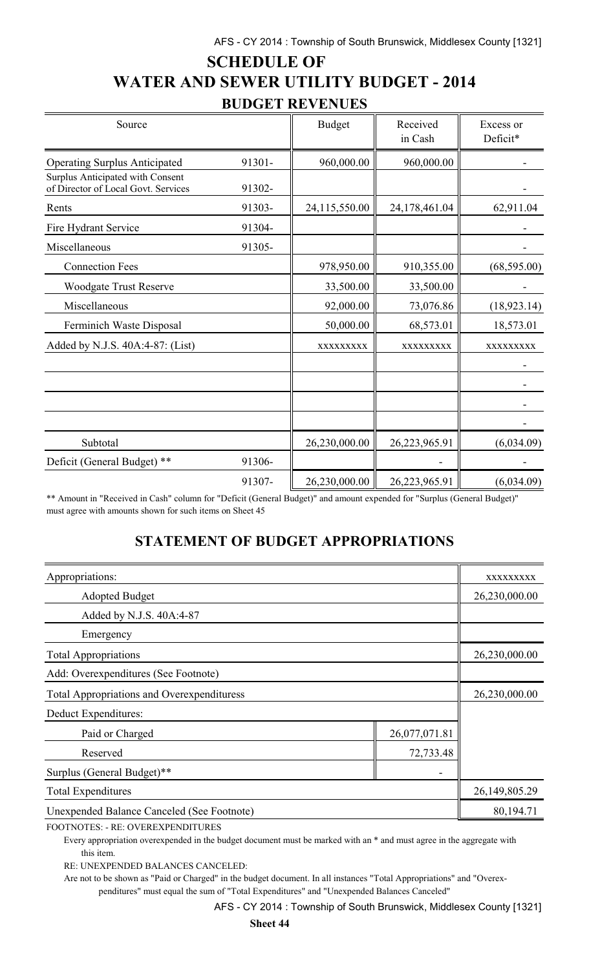# **SCHEDULE OF WATER AND SEWER UTILITY BUDGET - 2014 BUDGET REVENUES**

| Source                                                                  |        | <b>Budget</b> | Received<br>in Cash | Excess or<br>Deficit* |
|-------------------------------------------------------------------------|--------|---------------|---------------------|-----------------------|
| <b>Operating Surplus Anticipated</b>                                    | 91301- | 960,000.00    | 960,000.00          |                       |
| Surplus Anticipated with Consent<br>of Director of Local Govt. Services | 91302- |               |                     |                       |
| Rents                                                                   | 91303- | 24,115,550.00 | 24,178,461.04       | 62,911.04             |
| Fire Hydrant Service                                                    | 91304- |               |                     |                       |
| Miscellaneous                                                           | 91305- |               |                     |                       |
| <b>Connection Fees</b>                                                  |        | 978,950.00    | 910,355.00          | (68, 595.00)          |
| <b>Woodgate Trust Reserve</b>                                           |        | 33,500.00     | 33,500.00           |                       |
| Miscellaneous                                                           |        | 92,000.00     | 73,076.86           | (18, 923.14)          |
| Ferminich Waste Disposal                                                |        | 50,000.00     | 68,573.01           | 18,573.01             |
| Added by N.J.S. 40A:4-87: (List)                                        |        | XXXXXXXXX     | XXXXXXXXX           | XXXXXXXXX             |
|                                                                         |        |               |                     |                       |
|                                                                         |        |               |                     |                       |
|                                                                         |        |               |                     |                       |
|                                                                         |        |               |                     |                       |
| Subtotal                                                                |        | 26,230,000.00 | 26,223,965.91       | (6,034.09)            |
| Deficit (General Budget) **                                             | 91306- |               |                     |                       |
|                                                                         | 91307- | 26,230,000.00 | 26,223,965.91       | (6,034.09)            |

\*\* Amount in "Received in Cash" column for "Deficit (General Budget)" and amount expended for "Surplus (General Budget)" must agree with amounts shown for such items on Sheet 45

# **STATEMENT OF BUDGET APPROPRIATIONS**

| Appropriations:                                   | XXXXXXXXX     |               |
|---------------------------------------------------|---------------|---------------|
| <b>Adopted Budget</b>                             |               | 26,230,000.00 |
| Added by N.J.S. 40A:4-87                          |               |               |
| Emergency                                         |               |               |
| <b>Total Appropriations</b>                       | 26,230,000.00 |               |
| Add: Overexpenditures (See Footnote)              |               |               |
| <b>Total Appropriations and Overexpendituress</b> | 26,230,000.00 |               |
| Deduct Expenditures:                              |               |               |
| Paid or Charged                                   | 26,077,071.81 |               |
| 72,733.48<br>Reserved                             |               |               |
| Surplus (General Budget)**                        |               |               |
| <b>Total Expenditures</b>                         | 26,149,805.29 |               |
| <b>Unexpended Balance Canceled (See Footnote)</b> |               | 80,194.71     |

FOOTNOTES: - RE: OVEREXPENDITURES

Every appropriation overexpended in the budget document must be marked with an \* and must agree in the aggregate with this item.

RE: UNEXPENDED BALANCES CANCELED:

Are not to be shown as "Paid or Charged" in the budget document. In all instances "Total Appropriations" and "Overexpenditures" must equal the sum of "Total Expenditures" and "Unexpended Balances Canceled"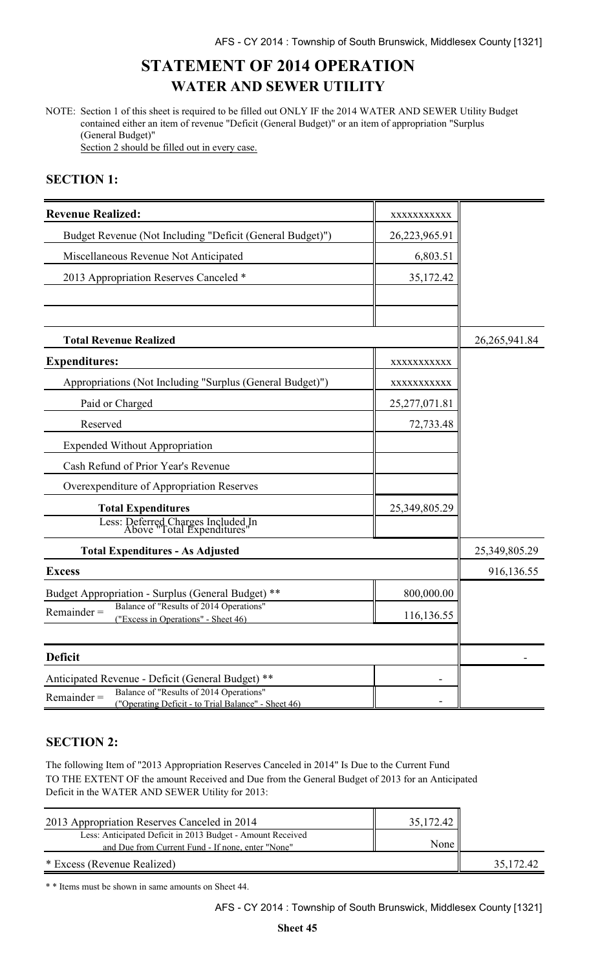# **STATEMENT OF 2014 OPERATION WATER AND SEWER UTILITY**

NOTE: Section 1 of this sheet is required to be filled out ONLY IF the 2014 WATER AND SEWER Utility Budget contained either an item of revenue "Deficit (General Budget)" or an item of appropriation "Surplus (General Budget)"

Section 2 should be filled out in every case.

### **SECTION 1:**

| <b>Revenue Realized:</b>                                                                                        | XXXXXXXXXXX     |                 |
|-----------------------------------------------------------------------------------------------------------------|-----------------|-----------------|
| Budget Revenue (Not Including "Deficit (General Budget)")                                                       | 26,223,965.91   |                 |
| Miscellaneous Revenue Not Anticipated                                                                           | 6,803.51        |                 |
| 2013 Appropriation Reserves Canceled *                                                                          | 35,172.42       |                 |
|                                                                                                                 |                 |                 |
|                                                                                                                 |                 |                 |
| <b>Total Revenue Realized</b>                                                                                   |                 | 26, 265, 941.84 |
| <b>Expenditures:</b>                                                                                            | XXXXXXXXXX      |                 |
| Appropriations (Not Including "Surplus (General Budget)")                                                       | XXXXXXXXXX      |                 |
| Paid or Charged                                                                                                 | 25, 277, 071.81 |                 |
| Reserved                                                                                                        | 72,733.48       |                 |
| <b>Expended Without Appropriation</b>                                                                           |                 |                 |
| Cash Refund of Prior Year's Revenue                                                                             |                 |                 |
| Overexpenditure of Appropriation Reserves                                                                       |                 |                 |
| <b>Total Expenditures</b>                                                                                       | 25,349,805.29   |                 |
| Less: Deferred Charges Included In<br>Above "Total Expenditures"                                                |                 |                 |
| <b>Total Expenditures - As Adjusted</b>                                                                         |                 | 25,349,805.29   |
| <b>Excess</b>                                                                                                   |                 | 916,136.55      |
| Budget Appropriation - Surplus (General Budget) **                                                              | 800,000.00      |                 |
| Balance of "Results of 2014 Operations"<br>$Remainder =$<br>("Excess in Operations" - Sheet 46)                 | 116,136.55      |                 |
|                                                                                                                 |                 |                 |
| <b>Deficit</b>                                                                                                  |                 |                 |
| Anticipated Revenue - Deficit (General Budget) **                                                               |                 |                 |
| Balance of "Results of 2014 Operations"<br>$Remainder =$<br>("Operating Deficit - to Trial Balance" - Sheet 46) |                 |                 |

### **SECTION 2:**

The following Item of "2013 Appropriation Reserves Canceled in 2014" Is Due to the Current Fund TO THE EXTENT OF the amount Received and Due from the General Budget of 2013 for an Anticipated Deficit in the WATER AND SEWER Utility for 2013:

| 2013 Appropriation Reserves Canceled in 2014                                                                    | 35,172.42 |           |
|-----------------------------------------------------------------------------------------------------------------|-----------|-----------|
| Less: Anticipated Deficit in 2013 Budget - Amount Received<br>and Due from Current Fund - If none, enter "None" | None      |           |
| * Excess (Revenue Realized)                                                                                     |           | 35,172.42 |

\* \* Items must be shown in same amounts on Sheet 44.

AFS - CY 2014 : Township of South Brunswick, Middlesex County [1321]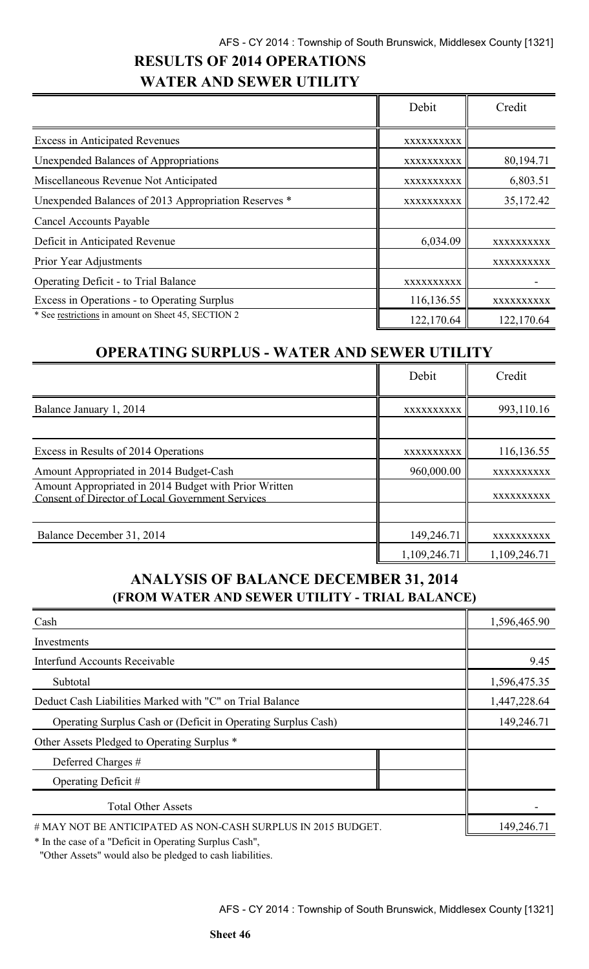# **RESULTS OF 2014 OPERATIONS WATER AND SEWER UTILITY**

|                                                      | Debit      | Credit     |
|------------------------------------------------------|------------|------------|
| <b>Excess in Anticipated Revenues</b>                | XXXXXXXXXX |            |
| Unexpended Balances of Appropriations                | XXXXXXXXXX | 80,194.71  |
| Miscellaneous Revenue Not Anticipated                | XXXXXXXXXX | 6,803.51   |
| Unexpended Balances of 2013 Appropriation Reserves * | XXXXXXXXXX | 35,172.42  |
| <b>Cancel Accounts Payable</b>                       |            |            |
| Deficit in Anticipated Revenue                       | 6,034.09   | XXXXXXXXXX |
| Prior Year Adjustments                               |            | XXXXXXXXXX |
| <b>Operating Deficit - to Trial Balance</b>          | XXXXXXXXXX |            |
| Excess in Operations - to Operating Surplus          | 116,136.55 | XXXXXXXXXX |
| * See restrictions in amount on Sheet 45, SECTION 2  | 122,170.64 | 122,170.64 |

## **OPERATING SURPLUS - WATER AND SEWER UTILITY**

|                                                                                                           | Debit        | Credit       |
|-----------------------------------------------------------------------------------------------------------|--------------|--------------|
| Balance January 1, 2014                                                                                   | XXXXXXXXXX   | 993,110.16   |
| Excess in Results of 2014 Operations                                                                      | XXXXXXXXXX   | 116,136.55   |
| Amount Appropriated in 2014 Budget-Cash                                                                   | 960,000.00   | XXXXXXXXXX   |
| Amount Appropriated in 2014 Budget with Prior Written<br>Consent of Director of Local Government Services |              | XXXXXXXXXX   |
|                                                                                                           |              |              |
| Balance December 31, 2014                                                                                 | 149,246.71   | XXXXXXXXXX   |
|                                                                                                           | 1,109,246.71 | 1,109,246.71 |

## **ANALYSIS OF BALANCE DECEMBER 31, 2014 (FROM WATER AND SEWER UTILITY - TRIAL BALANCE)**

| Cash                                                          | 1,596,465.90 |
|---------------------------------------------------------------|--------------|
| Investments                                                   |              |
| <b>Interfund Accounts Receivable</b>                          | 9.45         |
| Subtotal                                                      | 1,596,475.35 |
| Deduct Cash Liabilities Marked with "C" on Trial Balance      | 1,447,228.64 |
| Operating Surplus Cash or (Deficit in Operating Surplus Cash) | 149,246.71   |
| Other Assets Pledged to Operating Surplus *                   |              |
| Deferred Charges #                                            |              |
| Operating Deficit #                                           |              |
| <b>Total Other Assets</b>                                     |              |
| # MAY NOT BE ANTICIPATED AS NON-CASH SURPLUS IN 2015 BUDGET.  | 149,246.71   |

\* In the case of a "Deficit in Operating Surplus Cash",

"Other Assets" would also be pledged to cash liabilities.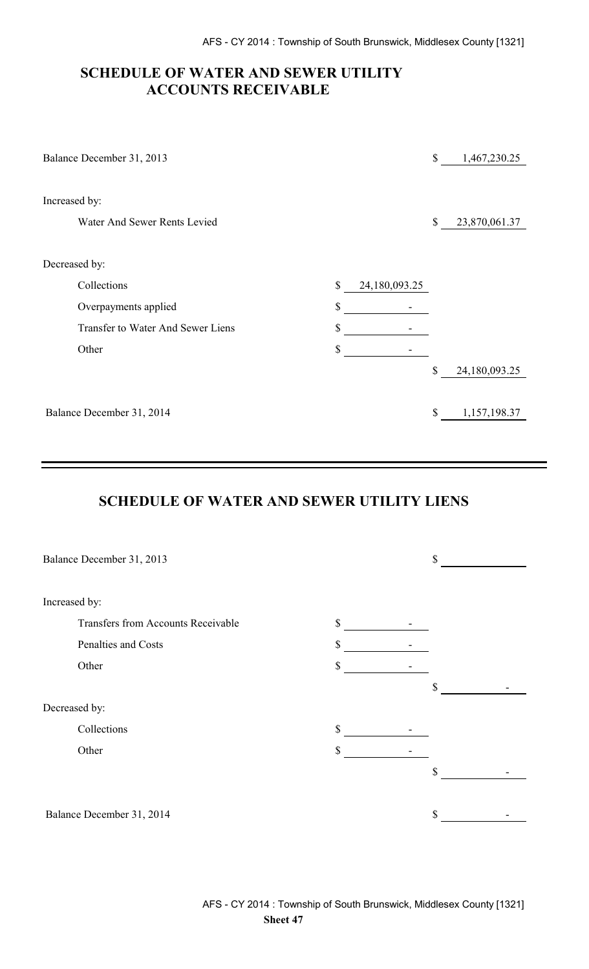### **SCHEDULE OF WATER AND SEWER UTILITY ACCOUNTS RECEIVABLE**

| \$                       | 1,467,230.25  |
|--------------------------|---------------|
|                          |               |
|                          |               |
| \$                       | 23,870,061.37 |
|                          |               |
|                          |               |
| 24,180,093.25            |               |
|                          |               |
|                          |               |
| $\overline{\phantom{a}}$ |               |
| \$                       | 24,180,093.25 |
|                          |               |
| \$                       | 1,157,198.37  |
|                          |               |

### **SCHEDULE OF WATER AND SEWER UTILITY LIENS**

| Balance December 31, 2013          |    | \$ |
|------------------------------------|----|----|
| Increased by:                      |    |    |
| Transfers from Accounts Receivable | \$ |    |
| Penalties and Costs                | \$ |    |
| Other                              | \$ |    |
|                                    |    | \$ |
| Decreased by:                      |    |    |
| Collections                        | \$ |    |
| Other                              | \$ |    |
|                                    |    | \$ |
|                                    |    |    |
| Balance December 31, 2014          |    | \$ |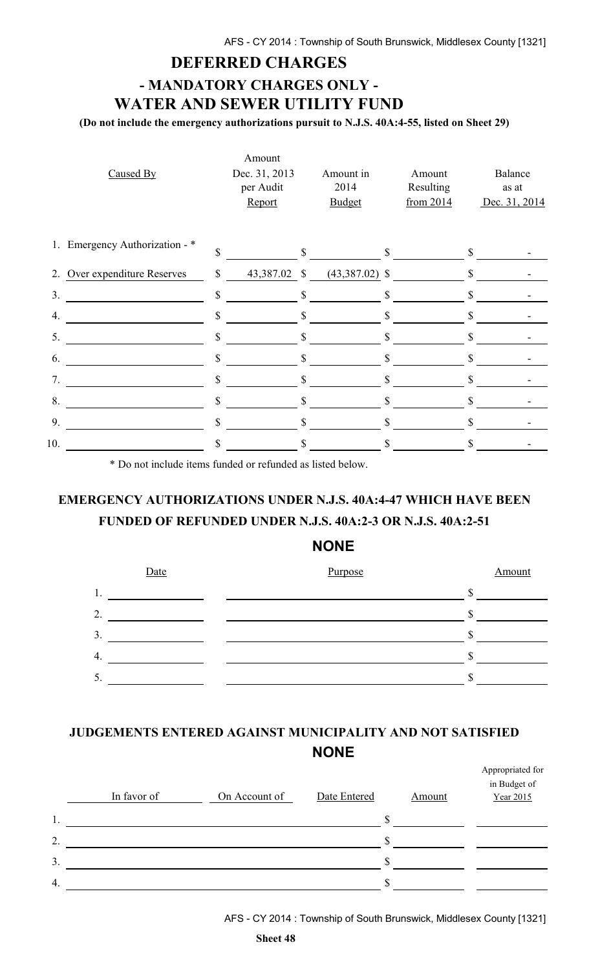## **DEFERRED CHARGES**

# **- MANDATORY CHARGES ONLY - WATER AND SEWER UTILITY FUND**

**(Do not include the emergency authorizations pursuit to N.J.S. 40A:4-55, listed on Sheet 29)**

|     | Caused By                      |               | Amount<br>Dec. 31, 2013<br>per Audit<br>Report |              | Amount in<br>2014<br><b>Budget</b> |              | Amount<br>Resulting<br>from 2014 |              | Balance<br>as at<br>Dec. 31, 2014 |
|-----|--------------------------------|---------------|------------------------------------------------|--------------|------------------------------------|--------------|----------------------------------|--------------|-----------------------------------|
|     | 1. Emergency Authorization - * | $\mathbf{\$}$ |                                                | $\mathbb{S}$ |                                    | \$           |                                  | $\mathbb{S}$ |                                   |
|     | 2. Over expenditure Reserves   | \$            | 43,387.02 \$                                   |              | $(43,387.02)$ \$                   |              |                                  | \$           |                                   |
| 3.  |                                | \$            |                                                | $\mathbb{S}$ |                                    | $\mathbb{S}$ |                                  | $\mathbb{S}$ |                                   |
| 4.  |                                | \$            |                                                | $\mathbb{S}$ |                                    | S            |                                  | S            |                                   |
| 5.  |                                | \$            |                                                | \$           |                                    | \$           |                                  |              |                                   |
| 6.  |                                | \$            |                                                |              |                                    |              |                                  |              |                                   |
| 7.  |                                | \$            |                                                | S            |                                    |              |                                  | S            |                                   |
| 8.  |                                | \$            |                                                |              |                                    |              |                                  |              |                                   |
| 9.  |                                | \$            |                                                |              |                                    | S            |                                  |              |                                   |
| 10. |                                | \$            |                                                |              |                                    |              |                                  |              |                                   |

\* Do not include items funded or refunded as listed below.

# **EMERGENCY AUTHORIZATIONS UNDER N.J.S. 40A:4-47 WHICH HAVE BEEN FUNDED OF REFUNDED UNDER N.J.S. 40A:2-3 OR N.J.S. 40A:2-51**

#### **NONE**



## **JUDGEMENTS ENTERED AGAINST MUNICIPALITY AND NOT SATISFIED NONE**

|                  | In favor of | On Account of | Date Entered | Amount | Appropriated for<br>in Budget of<br>Year 2015 |
|------------------|-------------|---------------|--------------|--------|-----------------------------------------------|
| 1.               |             |               | ۰D.          |        |                                               |
| 2.               |             |               |              |        |                                               |
| $\overline{3}$ . |             |               |              |        |                                               |
| $\overline{4}$ . |             |               |              |        |                                               |

AFS - CY 2014 : Township of South Brunswick, Middlesex County [1321]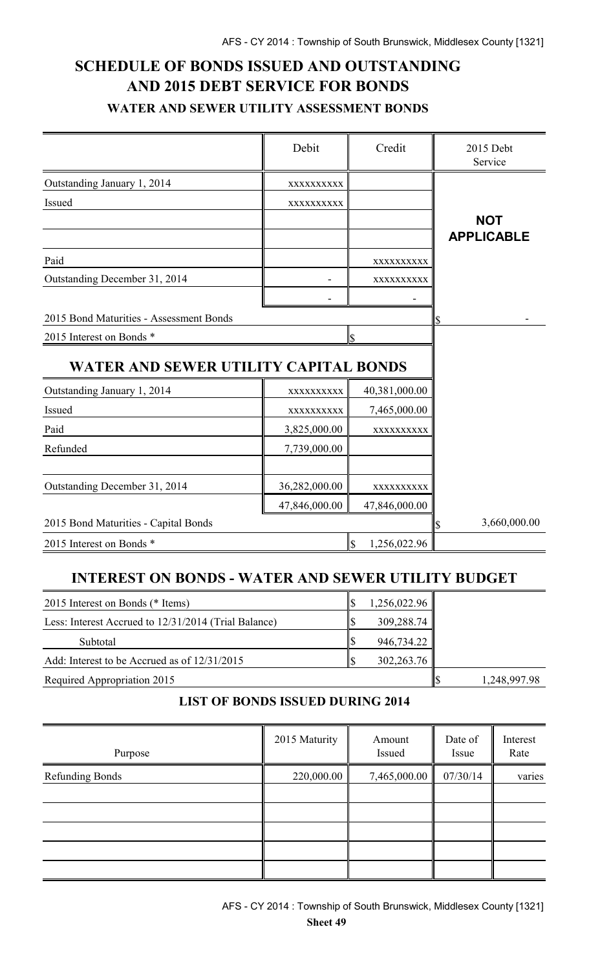# **SCHEDULE OF BONDS ISSUED AND OUTSTANDING AND 2015 DEBT SERVICE FOR BONDS WATER AND SEWER UTILITY ASSESSMENT BONDS**

|                                         | Debit              | Credit                                   | 2015 Debt<br>Service |
|-----------------------------------------|--------------------|------------------------------------------|----------------------|
| Outstanding January 1, 2014             | XXXXXXXXXX         |                                          |                      |
| Issued                                  | XXXXXXXXXX         |                                          |                      |
|                                         |                    |                                          | <b>NOT</b>           |
|                                         |                    |                                          | <b>APPLICABLE</b>    |
| Paid                                    |                    | XXXXXXXXXX                               |                      |
| Outstanding December 31, 2014           |                    | XXXXXXXXX                                |                      |
|                                         |                    |                                          |                      |
| 2015 Bond Maturities - Assessment Bonds |                    |                                          | \$                   |
| 2015 Interest on Bonds *                |                    | ls.                                      |                      |
| WATER AND SEWER UTILITY CAPITAL BONDS   |                    |                                          |                      |
| Outstanding January 1, 2014             | XXXXXXXXX          | 40,381,000.00                            |                      |
| Issued                                  | XXXXXXXXX          | 7,465,000.00                             |                      |
| Paid                                    | 3,825,000.00       | XXXXXXXXXX                               |                      |
| Refunded                                | 7,739,000.00       |                                          |                      |
|                                         |                    |                                          |                      |
| Outstanding December 31, 2014           | 36,282,000.00      | XXXXXXXXX                                |                      |
|                                         | 47,846,000.00      | 47,846,000.00                            |                      |
| 2015 Bond Maturities - Capital Bonds    | 3,660,000.00<br>\$ |                                          |                      |
| 2015 Interest on Bonds *                |                    | $\overline{\mathcal{S}}$<br>1,256,022.96 |                      |

## **INTEREST ON BONDS - WATER AND SEWER UTILITY BUDGET**

| 2015 Interest on Bonds (* Items)                     | 1,256,022.96 |              |
|------------------------------------------------------|--------------|--------------|
| Less: Interest Accrued to 12/31/2014 (Trial Balance) | 309,288.74   |              |
| Subtotal                                             | 946,734.22   |              |
| Add: Interest to be Accrued as of $12/31/2015$       | 302,263.76   |              |
| Required Appropriation 2015                          |              | 1,248,997.98 |

### **LIST OF BONDS ISSUED DURING 2014**

| Purpose                | 2015 Maturity | Amount<br>Issued | Date of<br>Issue | Interest<br>Rate |
|------------------------|---------------|------------------|------------------|------------------|
| <b>Refunding Bonds</b> | 220,000.00    | 7,465,000.00     | 07/30/14         | varies           |
|                        |               |                  |                  |                  |
|                        |               |                  |                  |                  |
|                        |               |                  |                  |                  |
|                        |               |                  |                  |                  |
|                        |               |                  |                  |                  |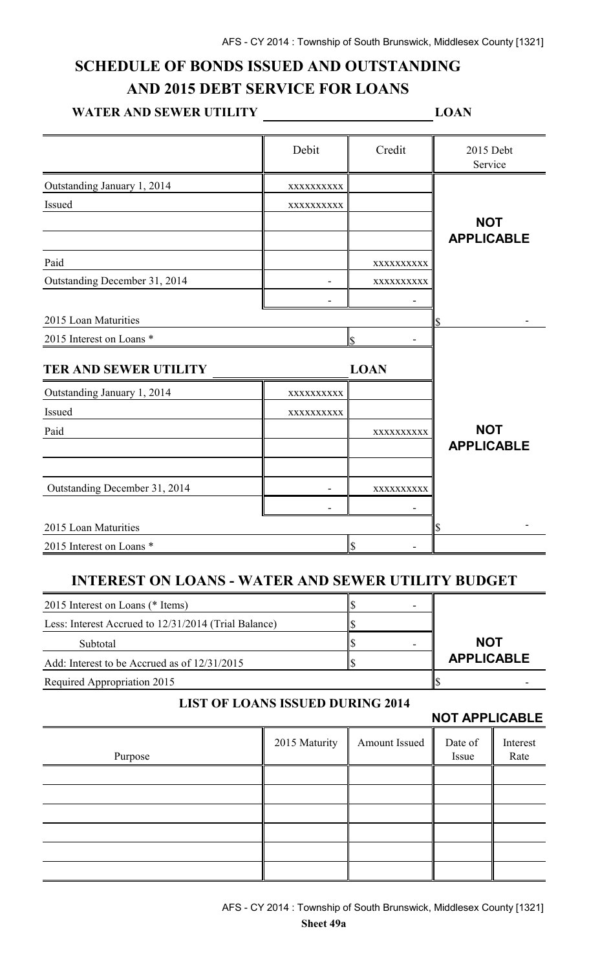## **SCHEDULE OF BONDS ISSUED AND OUTSTANDING AND 2015 DEBT SERVICE FOR LOANS**

#### **WATER AND SEWER UTILITY LOAN**

|                                                           | Debit                                   | Credit        | 2015 Debt<br>Service  |          |
|-----------------------------------------------------------|-----------------------------------------|---------------|-----------------------|----------|
| Outstanding January 1, 2014                               | XXXXXXXXX                               |               |                       |          |
| Issued                                                    | XXXXXXXXXX                              |               |                       |          |
|                                                           |                                         |               | <b>NOT</b>            |          |
|                                                           |                                         |               | <b>APPLICABLE</b>     |          |
| Paid                                                      |                                         | XXXXXXXXXX    |                       |          |
| Outstanding December 31, 2014                             |                                         | XXXXXXXXXX    |                       |          |
|                                                           |                                         |               |                       |          |
| 2015 Loan Maturities                                      |                                         |               |                       |          |
| 2015 Interest on Loans *                                  |                                         | ls.           |                       |          |
| <b>TER AND SEWER UTILITY</b>                              |                                         | <b>LOAN</b>   |                       |          |
| Outstanding January 1, 2014                               | XXXXXXXXX                               |               |                       |          |
| Issued                                                    | XXXXXXXXXX                              |               |                       |          |
| Paid                                                      |                                         | XXXXXXXXXX    | <b>NOT</b>            |          |
|                                                           |                                         |               | <b>APPLICABLE</b>     |          |
|                                                           |                                         |               |                       |          |
| Outstanding December 31, 2014                             |                                         | XXXXXXXXX     |                       |          |
|                                                           |                                         |               |                       |          |
| 2015 Loan Maturities                                      |                                         |               |                       |          |
| 2015 Interest on Loans *                                  |                                         | $\mathcal{S}$ |                       |          |
| <b>INTEREST ON LOANS - WATER AND SEWER UTILITY BUDGET</b> |                                         |               |                       |          |
| 2015 Interest on Loans (* Items)                          |                                         | \$            |                       |          |
| Less: Interest Accrued to 12/31/2014 (Trial Balance)      |                                         |               |                       |          |
| Subtotal                                                  |                                         | \$            | <b>NOT</b>            |          |
| Add: Interest to be Accrued as of 12/31/2015              |                                         | \$            | <b>APPLICABLE</b>     |          |
| Required Appropriation 2015                               |                                         |               | \$                    |          |
|                                                           | <b>LIST OF LOANS ISSUED DURING 2014</b> |               | <b>NOT APPLICABLE</b> |          |
|                                                           | 2015 Maturity                           | Amount Issued | Date of               | Interest |
| Purpose                                                   |                                         |               | Issue                 | Rate     |
|                                                           |                                         |               |                       |          |
|                                                           |                                         |               |                       |          |
|                                                           |                                         |               |                       |          |
|                                                           |                                         |               |                       |          |
|                                                           |                                         |               |                       |          |
|                                                           |                                         |               |                       |          |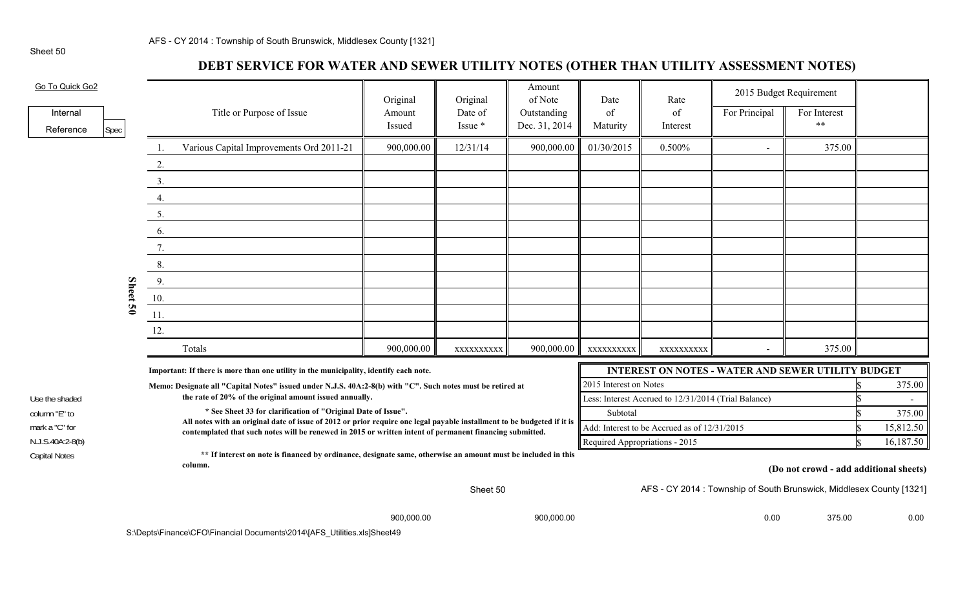## **DEBT SERVICE FOR WATER AND SEWER UTILITY NOTES (OTHER THAN UTILITY ASSESSMENT NOTES)**

| Go To Quick Go2                                                                                                                           |      |          |     |                                                                                                                                                                                          | Original         | Original           | Amount<br>of Note            | Date                                                 | Rate           | 2015 Budget Requirement |                                                                     |           |
|-------------------------------------------------------------------------------------------------------------------------------------------|------|----------|-----|------------------------------------------------------------------------------------------------------------------------------------------------------------------------------------------|------------------|--------------------|------------------------------|------------------------------------------------------|----------------|-------------------------|---------------------------------------------------------------------|-----------|
| Internal<br>Reference                                                                                                                     | Spec |          |     | Title or Purpose of Issue                                                                                                                                                                | Amount<br>Issued | Date of<br>Issue * | Outstanding<br>Dec. 31, 2014 | of<br>Maturity                                       | of<br>Interest | For Principal           | For Interest<br>$**$                                                |           |
|                                                                                                                                           |      |          |     | Various Capital Improvements Ord 2011-21                                                                                                                                                 | 900,000.00       | 12/31/14           | 900,000.00                   | 01/30/2015                                           | 0.500%         | $\sim$                  | 375.00                                                              |           |
|                                                                                                                                           |      |          | 2.  |                                                                                                                                                                                          |                  |                    |                              |                                                      |                |                         |                                                                     |           |
|                                                                                                                                           |      |          | 3.  |                                                                                                                                                                                          |                  |                    |                              |                                                      |                |                         |                                                                     |           |
|                                                                                                                                           |      |          | 4.  |                                                                                                                                                                                          |                  |                    |                              |                                                      |                |                         |                                                                     |           |
|                                                                                                                                           |      |          | 5.  |                                                                                                                                                                                          |                  |                    |                              |                                                      |                |                         |                                                                     |           |
|                                                                                                                                           |      |          | 6.  |                                                                                                                                                                                          |                  |                    |                              |                                                      |                |                         |                                                                     |           |
|                                                                                                                                           |      |          |     |                                                                                                                                                                                          |                  |                    |                              |                                                      |                |                         |                                                                     |           |
|                                                                                                                                           |      |          | 8.  |                                                                                                                                                                                          |                  |                    |                              |                                                      |                |                         |                                                                     |           |
|                                                                                                                                           |      |          | 9.  |                                                                                                                                                                                          |                  |                    |                              |                                                      |                |                         |                                                                     |           |
|                                                                                                                                           |      | Sheet 50 | 10. |                                                                                                                                                                                          |                  |                    |                              |                                                      |                |                         |                                                                     |           |
|                                                                                                                                           |      |          | 11. |                                                                                                                                                                                          |                  |                    |                              |                                                      |                |                         |                                                                     |           |
|                                                                                                                                           |      |          | 12. |                                                                                                                                                                                          |                  |                    |                              |                                                      |                |                         |                                                                     |           |
|                                                                                                                                           |      |          |     | Totals                                                                                                                                                                                   | 900,000.00       | XXXXXXXXXX         | 900,000.00                   | XXXXXXXXXX                                           | XXXXXXXXXX     |                         | 375.00                                                              |           |
|                                                                                                                                           |      |          |     | Important: If there is more than one utility in the municipality, identify each note.                                                                                                    |                  |                    |                              |                                                      |                |                         | <b>INTEREST ON NOTES - WATER AND SEWER UTILITY BUDGET</b>           |           |
|                                                                                                                                           |      |          |     | Memo: Designate all "Capital Notes" issued under N.J.S. 40A:2-8(b) with "C". Such notes must be retired at                                                                               |                  |                    |                              | 2015 Interest on Notes                               |                |                         |                                                                     | 375.00    |
| Use the shaded                                                                                                                            |      |          |     | the rate of 20% of the original amount issued annually.                                                                                                                                  |                  |                    |                              | Less: Interest Accrued to 12/31/2014 (Trial Balance) |                |                         |                                                                     |           |
| column "E" to                                                                                                                             |      |          |     | * See Sheet 33 for clarification of "Original Date of Issue".<br>All notes with an original date of issue of 2012 or prior require one legal payable installment to be budgeted if it is |                  |                    |                              | Subtotal                                             |                |                         |                                                                     | 375.00    |
| mark a "C" for                                                                                                                            |      |          |     | contemplated that such notes will be renewed in 2015 or written intent of permanent financing submitted.                                                                                 |                  |                    |                              | Add: Interest to be Accrued as of 12/31/2015         |                |                         |                                                                     | 15,812.50 |
| N.J.S.40A:2-8(b)                                                                                                                          |      |          |     |                                                                                                                                                                                          |                  |                    |                              | Required Appropriations - 2015                       |                |                         |                                                                     | 16,187.50 |
| ** If interest on note is financed by ordinance, designate same, otherwise an amount must be included in this<br>Capital Notes<br>column. |      |          |     | (Do not crowd - add additional sheets)                                                                                                                                                   |                  |                    |                              |                                                      |                |                         |                                                                     |           |
|                                                                                                                                           |      |          |     |                                                                                                                                                                                          |                  | Sheet 50           |                              |                                                      |                |                         | AFS - CY 2014: Township of South Brunswick, Middlesex County [1321] |           |

900,000.00 900,000.00 0.00 375.00 0.00

S:\Depts\Finance\CFO\Financial Documents\2014\[AFS\_Utilities.xls]Sheet49

Sheet 50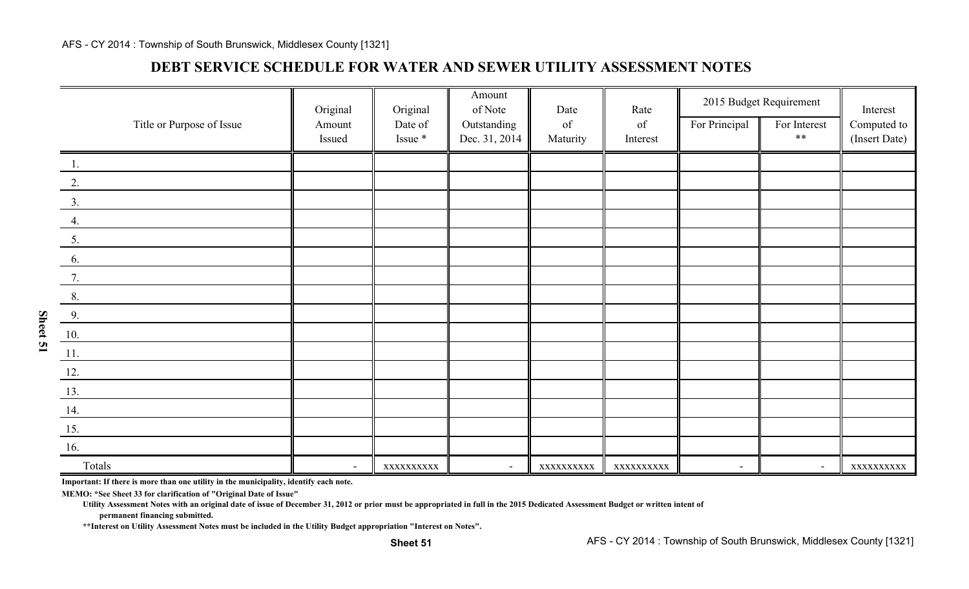### **DEBT SERVICE SCHEDULE FOR WATER AND SEWER UTILITY ASSESSMENT NOTES**

|                               | Original                 | Original   | Amount<br>of Note | Date                                                                                               | Rate                                                                                               | 2015 Budget Requirement  |                | Interest      |
|-------------------------------|--------------------------|------------|-------------------|----------------------------------------------------------------------------------------------------|----------------------------------------------------------------------------------------------------|--------------------------|----------------|---------------|
| Title or Purpose of Issue     | Amount                   | Date of    | Outstanding       | $% \left( \left( \mathcal{A},\mathcal{A}\right) \right) =\left( \mathcal{A},\mathcal{A}\right)$ of | $% \left( \left( \mathcal{A},\mathcal{A}\right) \right) =\left( \mathcal{A},\mathcal{A}\right)$ of | For Principal            | For Interest   | Computed to   |
|                               | Issued                   | Issue *    | Dec. 31, 2014     | Maturity                                                                                           | Interest                                                                                           |                          | $***$          | (Insert Date) |
| 1.                            |                          |            |                   |                                                                                                    |                                                                                                    |                          |                |               |
| 2.                            |                          |            |                   |                                                                                                    |                                                                                                    |                          |                |               |
| $\frac{3}{2}$                 |                          |            |                   |                                                                                                    |                                                                                                    |                          |                |               |
| 4.                            |                          |            |                   |                                                                                                    |                                                                                                    |                          |                |               |
| $\underline{5}$ .             |                          |            |                   |                                                                                                    |                                                                                                    |                          |                |               |
| 6.                            |                          |            |                   |                                                                                                    |                                                                                                    |                          |                |               |
| 7.                            |                          |            |                   |                                                                                                    |                                                                                                    |                          |                |               |
| 8.                            |                          |            |                   |                                                                                                    |                                                                                                    |                          |                |               |
| $\frac{9}{2}$                 |                          |            |                   |                                                                                                    |                                                                                                    |                          |                |               |
| 10.                           |                          |            |                   |                                                                                                    |                                                                                                    |                          |                |               |
| $\underline{\phantom{a}11}$ . |                          |            |                   |                                                                                                    |                                                                                                    |                          |                |               |
| 12.                           |                          |            |                   |                                                                                                    |                                                                                                    |                          |                |               |
| 13.                           |                          |            |                   |                                                                                                    |                                                                                                    |                          |                |               |
| 14.                           |                          |            |                   |                                                                                                    |                                                                                                    |                          |                |               |
| 15.                           |                          |            |                   |                                                                                                    |                                                                                                    |                          |                |               |
| <b>16.</b>                    |                          |            |                   |                                                                                                    |                                                                                                    |                          |                |               |
| Totals<br>$\sim$              | $\overline{\phantom{a}}$ | XXXXXXXXXX | $\blacksquare$    | XXXXXXXXXX                                                                                         | XXXXXXXXXX                                                                                         | $\overline{\phantom{a}}$ | $\blacksquare$ | XXXXXXXXXX    |

**Important: If there is more than one utility in the municipality, identify each note.**

**MEMO: \*See Sheet 33 for clarification of "Original Date of Issue"**

**Utility Assessment Notes with an original date of issue of December 31, 2012 or prior must be appropriated in full in the 2015 Dedicated Assessment Budget or written intent of**

**permanent financing submitted.**

**Sheet 51**

**\*\*Interest on Utility Assessment Notes must be included in the Utility Budget appropriation "Interest on Notes".**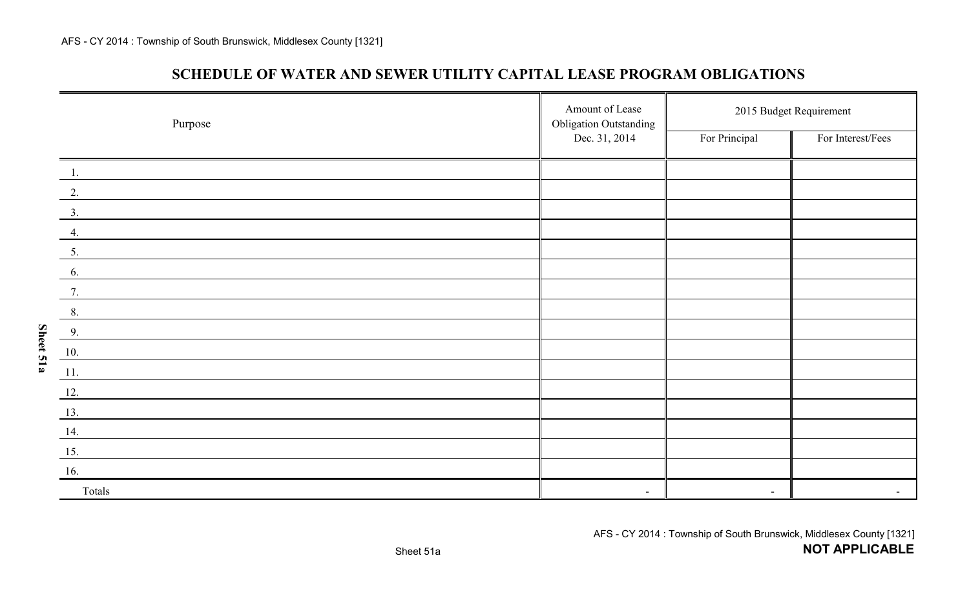**Sheet 51a**

### **SCHEDULE OF WATER AND SEWER UTILITY CAPITAL LEASE PROGRAM OBLIGATIONS**

| Purpose | Amount of Lease<br><b>Obligation Outstanding</b> | 2015 Budget Requirement |                   |  |  |
|---------|--------------------------------------------------|-------------------------|-------------------|--|--|
|         | Dec. 31, 2014                                    | For Principal           | For Interest/Fees |  |  |
| $-1.$   |                                                  |                         |                   |  |  |
| 2.      |                                                  |                         |                   |  |  |
| 3.      |                                                  |                         |                   |  |  |
| 4.      |                                                  |                         |                   |  |  |
| 5.      |                                                  |                         |                   |  |  |
| 6.      |                                                  |                         |                   |  |  |
| 7.      |                                                  |                         |                   |  |  |
| 8.      |                                                  |                         |                   |  |  |
| 9.      |                                                  |                         |                   |  |  |
| 10.     |                                                  |                         |                   |  |  |
| 11.     |                                                  |                         |                   |  |  |
| 12.     |                                                  |                         |                   |  |  |
| 13.     |                                                  |                         |                   |  |  |
| 14.     |                                                  |                         |                   |  |  |
| 15.     |                                                  |                         |                   |  |  |
| 16.     |                                                  |                         |                   |  |  |
| Totals  | $\blacksquare$                                   | $\blacksquare$          |                   |  |  |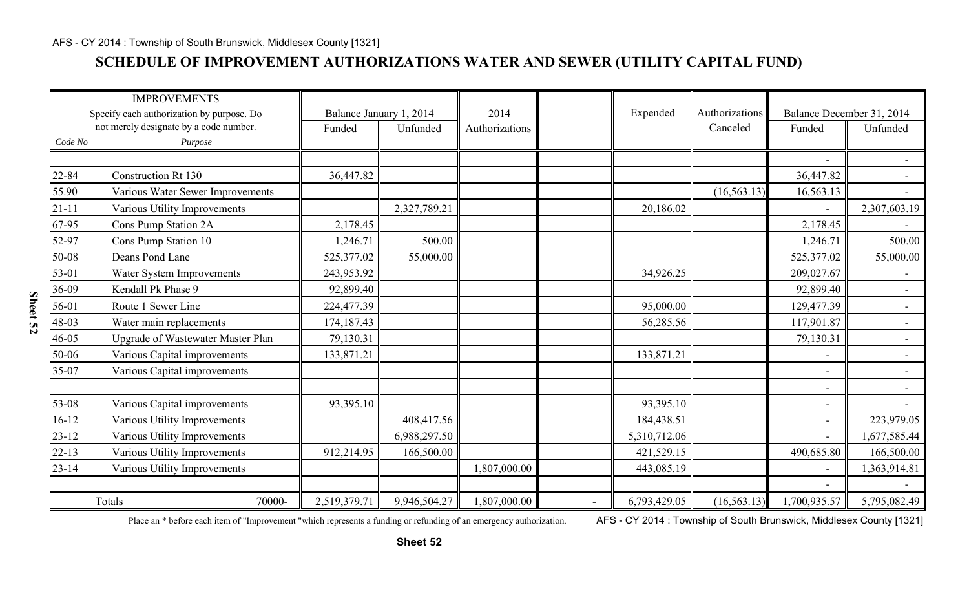## **SCHEDULE OF IMPROVEMENT AUTHORIZATIONS WATER AND SEWER (UTILITY CAPITAL FUND)**

|                                           | <b>IMPROVEMENTS</b>                      |                         |              |                |              |                |                          |                           |
|-------------------------------------------|------------------------------------------|-------------------------|--------------|----------------|--------------|----------------|--------------------------|---------------------------|
| Specify each authorization by purpose. Do |                                          | Balance January 1, 2014 |              | 2014           | Expended     | Authorizations |                          | Balance December 31, 2014 |
|                                           | not merely designate by a code number.   | Funded                  | Unfunded     | Authorizations |              | Canceled       | Funded                   | Unfunded                  |
| Code No                                   | Purpose                                  |                         |              |                |              |                |                          |                           |
|                                           |                                          |                         |              |                |              |                | $\blacksquare$           | $\overline{\phantom{0}}$  |
| 22-84                                     | <b>Construction Rt 130</b>               | 36,447.82               |              |                |              |                | 36,447.82                | $\sim$                    |
| 55.90                                     | Various Water Sewer Improvements         |                         |              |                |              | (16, 563.13)   | 16,563.13                |                           |
| $21 - 11$                                 | Various Utility Improvements             |                         | 2,327,789.21 |                | 20,186.02    |                |                          | 2,307,603.19              |
| 67-95                                     | Cons Pump Station 2A                     | 2,178.45                |              |                |              |                | 2,178.45                 |                           |
| 52-97                                     | Cons Pump Station 10                     | 1,246.71                | 500.00       |                |              |                | 1,246.71                 | 500.00                    |
| 50-08                                     | Deans Pond Lane                          | 525,377.02              | 55,000.00    |                |              |                | 525,377.02               | 55,000.00                 |
| 53-01                                     | Water System Improvements                | 243,953.92              |              |                | 34,926.25    |                | 209,027.67               | $\blacksquare$            |
| 36-09                                     | Kendall Pk Phase 9                       | 92,899.40               |              |                |              |                | 92,899.40                | $ \,$                     |
| 56-01                                     | Route 1 Sewer Line                       | 224,477.39              |              |                | 95,000.00    |                | 129,477.39               | $\overline{\phantom{0}}$  |
| 48-03                                     | Water main replacements                  | 174,187.43              |              |                | 56,285.56    |                | 117,901.87               | $\overline{\phantom{a}}$  |
| 46-05                                     | <b>Upgrade of Wastewater Master Plan</b> | 79,130.31               |              |                |              |                | 79,130.31                | $ \,$                     |
| 50-06                                     | Various Capital improvements             | 133,871.21              |              |                | 133,871.21   |                | $\overline{\phantom{a}}$ | $\overline{\phantom{0}}$  |
| 35-07                                     | Various Capital improvements             |                         |              |                |              |                | $\overline{\phantom{a}}$ | $\sim$                    |
|                                           |                                          |                         |              |                |              |                | $\blacksquare$           | $\overline{\phantom{0}}$  |
| 53-08                                     | Various Capital improvements             | 93,395.10               |              |                | 93,395.10    |                | $\overline{\phantom{a}}$ | $\sim$                    |
| $16 - 12$                                 | Various Utility Improvements             |                         | 408,417.56   |                | 184,438.51   |                | $\overline{\phantom{a}}$ | 223,979.05                |
| $23 - 12$                                 | Various Utility Improvements             |                         | 6,988,297.50 |                | 5,310,712.06 |                | $\overline{a}$           | 1,677,585.44              |
| $22 - 13$                                 | Various Utility Improvements             | 912,214.95              | 166,500.00   |                | 421,529.15   |                | 490,685.80               | 166,500.00                |
| $23 - 14$                                 | Various Utility Improvements             |                         |              | 1,807,000.00   | 443,085.19   |                | $\blacksquare$           | 1,363,914.81              |
|                                           |                                          |                         |              |                |              |                | $\equiv$                 |                           |
|                                           | Totals<br>70000-                         | 2,519,379.71            | 9,946,504.27 | 1,807,000.00   | 6,793,429.05 | (16, 563.13)   | 1,700,935.57             | 5,795,082.49              |

Place an \* before each item of "Improvement "which represents a funding or refunding of an emergency authorization. AFS - CY 2014: Township of South Brunswick, Middlesex County [1321]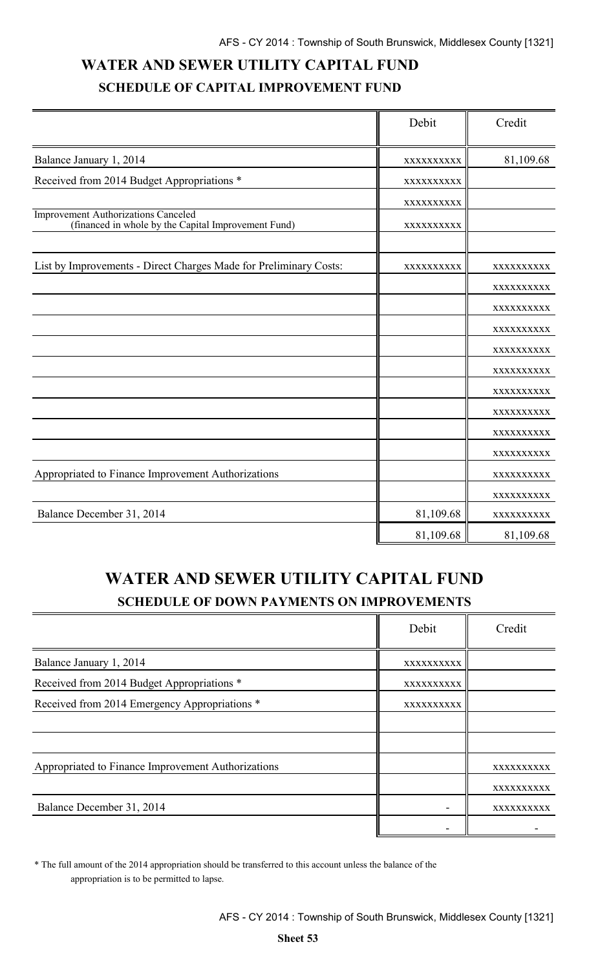# **WATER AND SEWER UTILITY CAPITAL FUND SCHEDULE OF CAPITAL IMPROVEMENT FUND**

|                                                                                                   | Debit      | Credit     |
|---------------------------------------------------------------------------------------------------|------------|------------|
| Balance January 1, 2014                                                                           | XXXXXXXXXX | 81,109.68  |
| Received from 2014 Budget Appropriations *                                                        | XXXXXXXXXX |            |
|                                                                                                   | XXXXXXXXXX |            |
| <b>Improvement Authorizations Canceled</b><br>(financed in whole by the Capital Improvement Fund) | XXXXXXXXXX |            |
| List by Improvements - Direct Charges Made for Preliminary Costs:                                 | XXXXXXXXXX | XXXXXXXXXX |
|                                                                                                   |            | XXXXXXXXXX |
|                                                                                                   |            | XXXXXXXXXX |
|                                                                                                   |            | XXXXXXXXXX |
|                                                                                                   |            | XXXXXXXXXX |
|                                                                                                   |            | XXXXXXXXXX |
|                                                                                                   |            | XXXXXXXXXX |
|                                                                                                   |            | XXXXXXXXXX |
|                                                                                                   |            | XXXXXXXXXX |
|                                                                                                   |            | XXXXXXXXXX |
| Appropriated to Finance Improvement Authorizations                                                |            | XXXXXXXXXX |
|                                                                                                   |            | XXXXXXXXXX |
| Balance December 31, 2014                                                                         | 81,109.68  | XXXXXXXXXX |
|                                                                                                   | 81,109.68  | 81,109.68  |

# **WATER AND SEWER UTILITY CAPITAL FUND SCHEDULE OF DOWN PAYMENTS ON IMPROVEMENTS**

|                                                    | Debit      | Credit     |
|----------------------------------------------------|------------|------------|
| Balance January 1, 2014                            | XXXXXXXXXX |            |
| Received from 2014 Budget Appropriations *         | XXXXXXXXXX |            |
| Received from 2014 Emergency Appropriations *      | XXXXXXXXXX |            |
|                                                    |            |            |
|                                                    |            |            |
| Appropriated to Finance Improvement Authorizations |            | XXXXXXXXXX |
|                                                    |            | XXXXXXXXXX |
| Balance December 31, 2014                          |            | XXXXXXXXXX |
|                                                    |            |            |

\* The full amount of the 2014 appropriation should be transferred to this account unless the balance of the appropriation is to be permitted to lapse.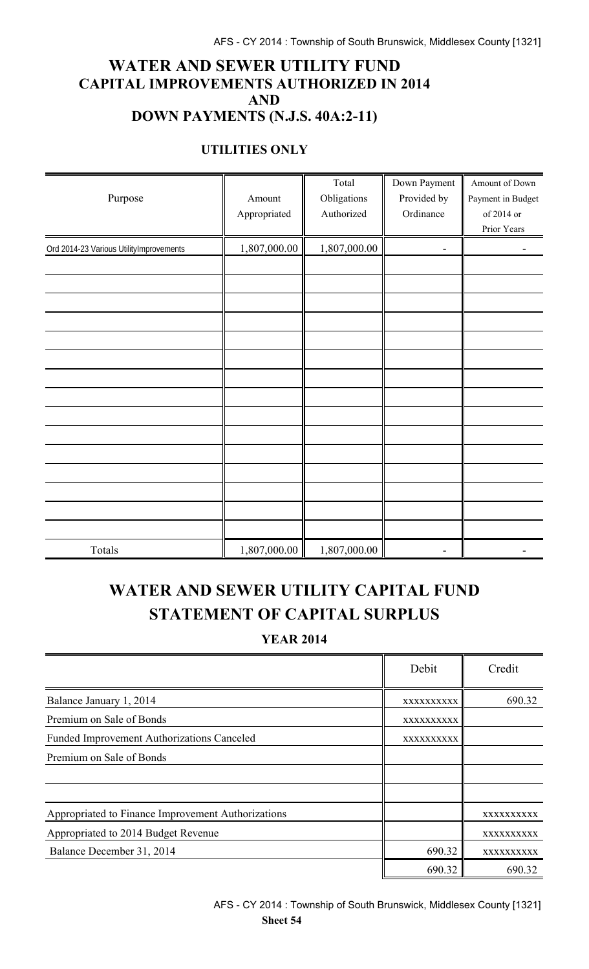### **WATER AND SEWER UTILITY FUND CAPITAL IMPROVEMENTS AUTHORIZED IN 2014 AND DOWN PAYMENTS (N.J.S. 40A:2-11)**

### **UTILITIES ONLY**

|                                         |              | Total        | Down Payment | Amount of Down    |
|-----------------------------------------|--------------|--------------|--------------|-------------------|
| Purpose                                 | Amount       | Obligations  | Provided by  | Payment in Budget |
|                                         | Appropriated | Authorized   | Ordinance    | of 2014 or        |
|                                         |              |              |              | Prior Years       |
| Ord 2014-23 Various UtilityImprovements | 1,807,000.00 | 1,807,000.00 |              |                   |
|                                         |              |              |              |                   |
|                                         |              |              |              |                   |
|                                         |              |              |              |                   |
|                                         |              |              |              |                   |
|                                         |              |              |              |                   |
|                                         |              |              |              |                   |
|                                         |              |              |              |                   |
|                                         |              |              |              |                   |
|                                         |              |              |              |                   |
|                                         |              |              |              |                   |
|                                         |              |              |              |                   |
|                                         |              |              |              |                   |
|                                         |              |              |              |                   |
|                                         |              |              |              |                   |
|                                         |              |              |              |                   |
| Totals                                  | 1,807,000.00 | 1,807,000.00 |              |                   |

# **WATER AND SEWER UTILITY CAPITAL FUND STATEMENT OF CAPITAL SURPLUS**

**YEAR 2014**

|                                                    | Debit      | Credit     |
|----------------------------------------------------|------------|------------|
| Balance January 1, 2014                            | XXXXXXXXXX | 690.32     |
| Premium on Sale of Bonds                           | XXXXXXXXXX |            |
| <b>Funded Improvement Authorizations Canceled</b>  | XXXXXXXXXX |            |
| Premium on Sale of Bonds                           |            |            |
|                                                    |            |            |
|                                                    |            |            |
| Appropriated to Finance Improvement Authorizations |            | XXXXXXXXXX |
| Appropriated to 2014 Budget Revenue                |            | XXXXXXXXXX |
| Balance December 31, 2014                          | 690.32     | XXXXXXXXXX |
|                                                    | 690.32     | 690.32     |

AFS - CY 2014 : Township of South Brunswick, Middlesex County [1321] **Sheet 54**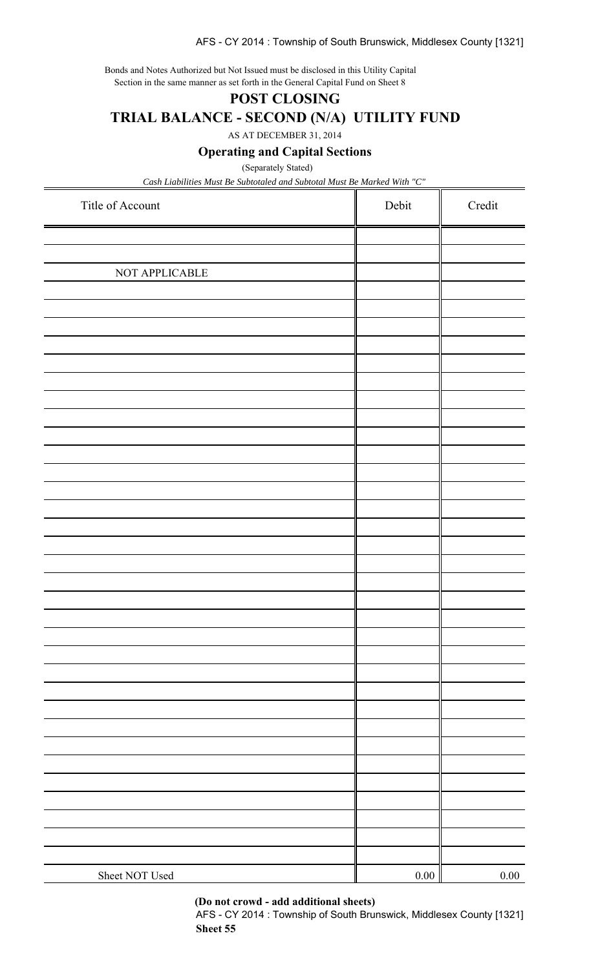#### AFS - CY 2014 : Township of South Brunswick, Middlesex County [1321]

Bonds and Notes Authorized but Not Issued must be disclosed in this Utility Capital Section in the same manner as set forth in the General Capital Fund on Sheet 8

### **POST CLOSING**

**TRIAL BALANCE - SECOND (N/A) UTILITY FUND**

AS AT DECEMBER 31, 2014

**Operating and Capital Sections**

(Separately Stated)

*Cash Liabilities Must Be Subtotaled and Subtotal Must Be Marked With "C"*

| Title of Account | Debit    | Credit |
|------------------|----------|--------|
|                  |          |        |
|                  |          |        |
| NOT APPLICABLE   |          |        |
|                  |          |        |
|                  |          |        |
|                  |          |        |
|                  |          |        |
|                  |          |        |
|                  |          |        |
|                  |          |        |
|                  |          |        |
|                  |          |        |
|                  |          |        |
|                  |          |        |
|                  |          |        |
|                  |          |        |
|                  |          |        |
|                  |          |        |
|                  |          |        |
|                  |          |        |
|                  |          |        |
|                  |          |        |
|                  |          |        |
|                  |          |        |
|                  |          |        |
|                  |          |        |
|                  |          |        |
|                  |          |        |
|                  |          |        |
|                  |          |        |
|                  |          |        |
|                  |          |        |
|                  |          |        |
|                  |          |        |
| Sheet NOT Used   | $0.00\,$ | 0.00   |

**(Do not crowd - add additional sheets)**

AFS - CY 2014 : Township of South Brunswick, Middlesex County [1321] **Sheet 55**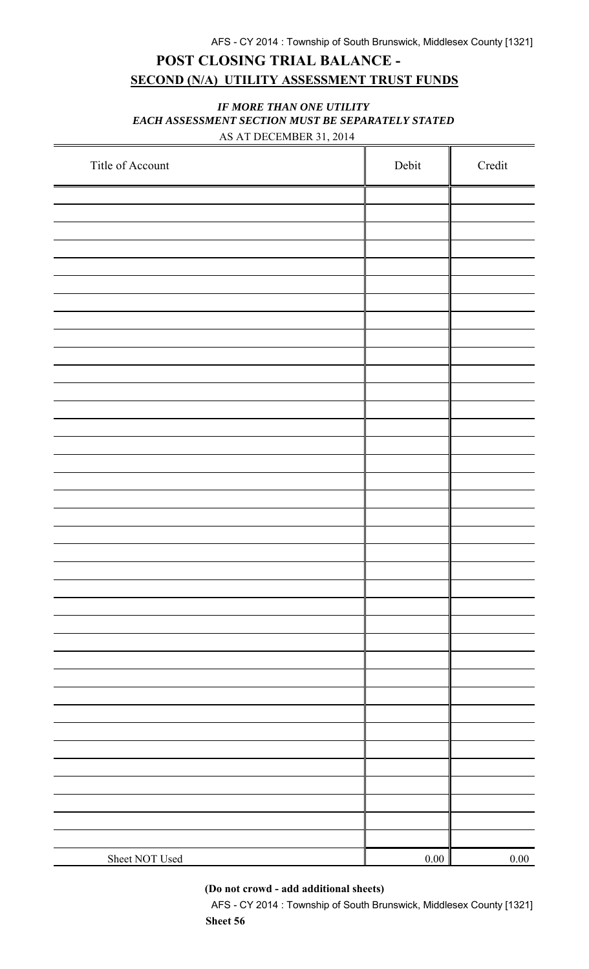# **POST CLOSING TRIAL BALANCE - SECOND (N/A) UTILITY ASSESSMENT TRUST FUNDS**

### *IF MORE THAN ONE UTILITY EACH ASSESSMENT SECTION MUST BE SEPARATELY STATED* AS AT DECEMBER 31, 2014

| Title of Account | Debit | Credit |
|------------------|-------|--------|
|                  |       |        |
|                  |       |        |
|                  |       |        |
|                  |       |        |
|                  |       |        |
|                  |       |        |
|                  |       |        |
|                  |       |        |
|                  |       |        |
|                  |       |        |
|                  |       |        |
|                  |       |        |
|                  |       |        |
|                  |       |        |
|                  |       |        |
|                  |       |        |
|                  |       |        |
|                  |       |        |
|                  |       |        |
|                  |       |        |
|                  |       |        |
|                  |       |        |
|                  |       |        |
|                  |       |        |
|                  |       |        |
|                  |       |        |
|                  |       |        |
|                  |       |        |
|                  |       |        |
|                  |       |        |
|                  |       |        |
|                  |       |        |
|                  |       |        |
|                  |       |        |
|                  |       |        |
|                  |       |        |
| Sheet NOT Used   | 0.00  | 0.00   |

**(Do not crowd - add additional sheets)**

AFS - CY 2014 : Township of South Brunswick, Middlesex County [1321] **Sheet 56**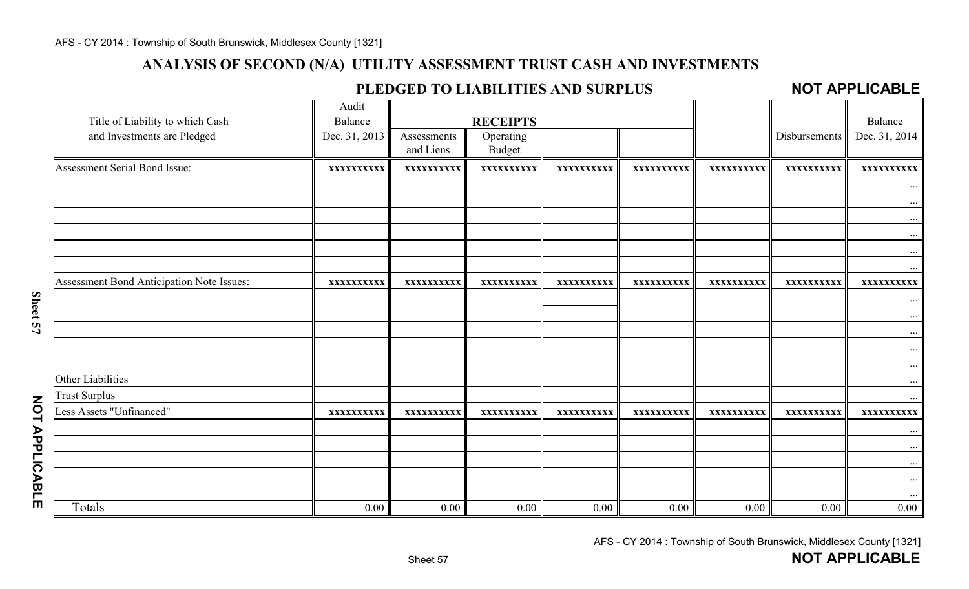# **ANALYSIS OF SECOND (N/A) UTILITY ASSESSMENT TRUST CASH AND INVESTMENTS**

## **PLEDGED TO LIABILITIES AND SURPLUS**

### **NOT APPLICABLE**

| Title of Liability to which Cash          | Audit<br>Balance |                          | <b>RECEIPTS</b>            |            |            |            |                      | Balance       |
|-------------------------------------------|------------------|--------------------------|----------------------------|------------|------------|------------|----------------------|---------------|
| and Investments are Pledged               | Dec. 31, 2013    | Assessments<br>and Liens | Operating<br><b>Budget</b> |            |            |            | <b>Disbursements</b> | Dec. 31, 2014 |
| Assessment Serial Bond Issue:             | XXXXXXXXXX       | XXXXXXXXXX               | XXXXXXXXXX                 | XXXXXXXXXX | XXXXXXXXXX | XXXXXXXXXX | XXXXXXXXXX           | XXXXXXXXXX    |
|                                           |                  |                          |                            |            |            |            |                      |               |
|                                           |                  |                          |                            |            |            |            |                      | $\cdots$      |
|                                           |                  |                          |                            |            |            |            |                      | $\cdots$      |
|                                           |                  |                          |                            |            |            |            |                      | $\ddots$<br>. |
|                                           |                  |                          |                            |            |            |            |                      | $\cdots$      |
| Assessment Bond Anticipation Note Issues: | XXXXXXXXXX       | XXXXXXXXXX               | XXXXXXXXXX                 | XXXXXXXXXX | XXXXXXXXXX | XXXXXXXXXX | XXXXXXXXXX           | XXXXXXXXXX    |
|                                           |                  |                          |                            |            |            |            |                      | $\cdots$      |
|                                           |                  |                          |                            |            |            |            |                      | $\cdots$      |
|                                           |                  |                          |                            |            |            |            |                      | $\cdots$      |
|                                           |                  |                          |                            |            |            |            |                      | .<br>$\cdots$ |
| Other Liabilities                         |                  |                          |                            |            |            |            |                      |               |
| <b>Trust Surplus</b>                      |                  |                          |                            |            |            |            |                      | .             |
| Less Assets "Unfinanced"                  | XXXXXXXXXX       | XXXXXXXXXX               | XXXXXXXXXX                 | XXXXXXXXXX | XXXXXXXXXX | XXXXXXXXXX | XXXXXXXXXX           | XXXXXXXXXX    |
|                                           |                  |                          |                            |            |            |            |                      | $\cdots$      |
|                                           |                  |                          |                            |            |            |            |                      | $\ldots$      |
|                                           |                  |                          |                            |            |            |            |                      | $\cdots$      |
|                                           |                  |                          |                            |            |            |            |                      | $\cdots$      |
| Totals                                    | 0.00             | 0.00                     | 0.00                       | 0.00       | 0.00       | 0.00       | 0.00                 | $0.00\,$      |

Sheet 57

AFS - CY 2014 : Township of South Brunswick, Middlesex County [1321]

**NOT APPLICABLE NOT APPLICABLE**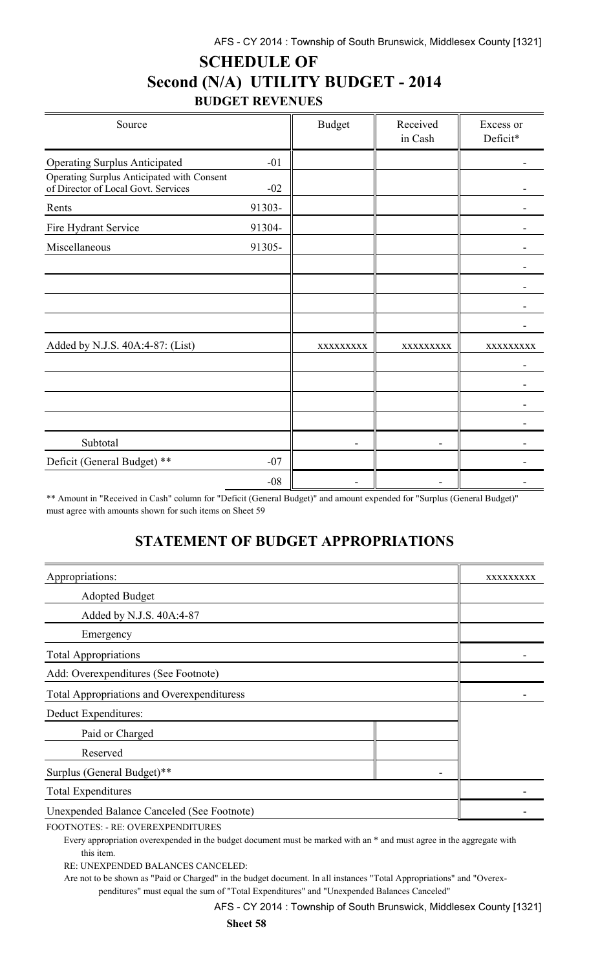# **SCHEDULE OF Second (N/A) UTILITY BUDGET - 2014 BUDGET REVENUES**

| Source                                                                            |        | <b>Budget</b> | Received<br>in Cash | Excess or<br>Deficit* |
|-----------------------------------------------------------------------------------|--------|---------------|---------------------|-----------------------|
| <b>Operating Surplus Anticipated</b>                                              | $-01$  |               |                     |                       |
| Operating Surplus Anticipated with Consent<br>of Director of Local Govt. Services | $-02$  |               |                     |                       |
| Rents                                                                             | 91303- |               |                     |                       |
| Fire Hydrant Service                                                              | 91304- |               |                     |                       |
| Miscellaneous                                                                     | 91305- |               |                     |                       |
|                                                                                   |        |               |                     |                       |
|                                                                                   |        |               |                     |                       |
|                                                                                   |        |               |                     |                       |
|                                                                                   |        |               |                     |                       |
| Added by N.J.S. 40A:4-87: (List)                                                  |        | XXXXXXXXX     | XXXXXXXX            | XXXXXXXXX             |
|                                                                                   |        |               |                     |                       |
|                                                                                   |        |               |                     |                       |
|                                                                                   |        |               |                     |                       |
|                                                                                   |        |               |                     |                       |
| Subtotal                                                                          |        |               |                     |                       |
| Deficit (General Budget) **                                                       | $-07$  |               |                     |                       |
|                                                                                   | $-08$  |               |                     |                       |

\*\* Amount in "Received in Cash" column for "Deficit (General Budget)" and amount expended for "Surplus (General Budget)" must agree with amounts shown for such items on Sheet 59

# **STATEMENT OF BUDGET APPROPRIATIONS**

| Appropriations:                                   | <b>XXXXXXXX</b> |
|---------------------------------------------------|-----------------|
| <b>Adopted Budget</b>                             |                 |
| Added by N.J.S. 40A:4-87                          |                 |
| Emergency                                         |                 |
| <b>Total Appropriations</b>                       |                 |
| Add: Overexpenditures (See Footnote)              |                 |
| <b>Total Appropriations and Overexpendituress</b> |                 |
| Deduct Expenditures:                              |                 |
| Paid or Charged                                   |                 |
| Reserved                                          |                 |
| Surplus (General Budget)**                        |                 |
| <b>Total Expenditures</b>                         |                 |
| <b>Unexpended Balance Canceled (See Footnote)</b> |                 |

FOOTNOTES: - RE: OVEREXPENDITURES

Every appropriation overexpended in the budget document must be marked with an \* and must agree in the aggregate with this item.

RE: UNEXPENDED BALANCES CANCELED:

Are not to be shown as "Paid or Charged" in the budget document. In all instances "Total Appropriations" and "Overexpenditures" must equal the sum of "Total Expenditures" and "Unexpended Balances Canceled"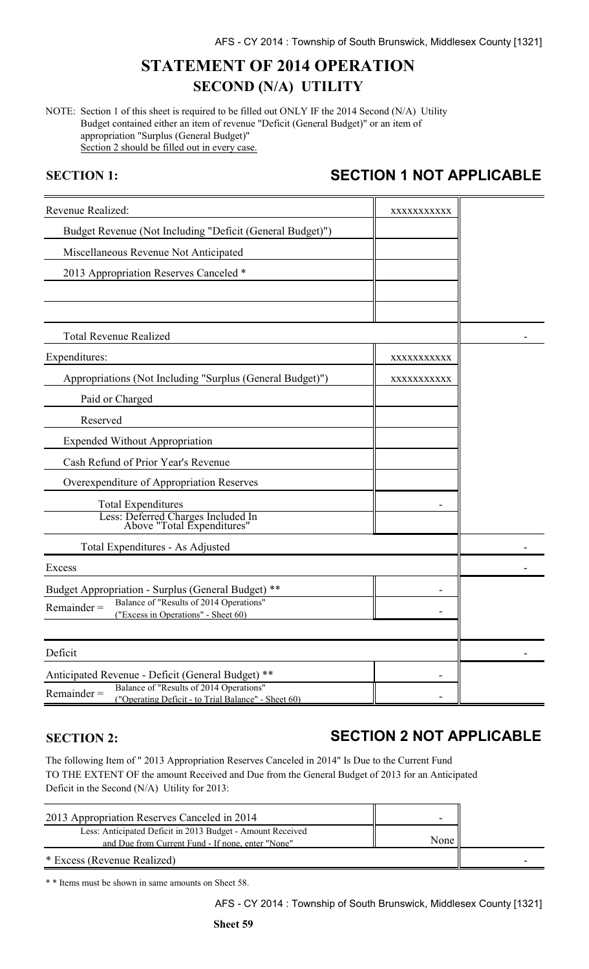# **STATEMENT OF 2014 OPERATION SECOND (N/A) UTILITY**

NOTE: Section 1 of this sheet is required to be filled out ONLY IF the 2014 Second (N/A) Utility Budget contained either an item of revenue "Deficit (General Budget)" or an item of appropriation "Surplus (General Budget)" Section 2 should be filled out in every case.

# **SECTION 1: SECTION 1 NOT APPLICABLE**

| Revenue Realized:                                                                                               | XXXXXXXXXXX |  |
|-----------------------------------------------------------------------------------------------------------------|-------------|--|
| Budget Revenue (Not Including "Deficit (General Budget)")                                                       |             |  |
| Miscellaneous Revenue Not Anticipated                                                                           |             |  |
| 2013 Appropriation Reserves Canceled *                                                                          |             |  |
|                                                                                                                 |             |  |
|                                                                                                                 |             |  |
| <b>Total Revenue Realized</b>                                                                                   |             |  |
| Expenditures:                                                                                                   | XXXXXXXXXXX |  |
| Appropriations (Not Including "Surplus (General Budget)")                                                       | XXXXXXXXXX  |  |
| Paid or Charged                                                                                                 |             |  |
| Reserved                                                                                                        |             |  |
| <b>Expended Without Appropriation</b>                                                                           |             |  |
| Cash Refund of Prior Year's Revenue                                                                             |             |  |
| Overexpenditure of Appropriation Reserves                                                                       |             |  |
| <b>Total Expenditures</b>                                                                                       |             |  |
| Less: Deferred Charges Included In<br>Above "Total Expenditures"                                                |             |  |
| Total Expenditures - As Adjusted                                                                                |             |  |
| Excess                                                                                                          |             |  |
| Budget Appropriation - Surplus (General Budget) **                                                              |             |  |
| Balance of "Results of 2014 Operations"<br>$Remainder =$<br>("Excess in Operations" - Sheet 60)                 |             |  |
|                                                                                                                 |             |  |
| Deficit                                                                                                         |             |  |
| Anticipated Revenue - Deficit (General Budget)<br>**                                                            |             |  |
| Balance of "Results of 2014 Operations"<br>$Remainder =$<br>("Operating Deficit - to Trial Balance" - Sheet 60) |             |  |

## **SECTION 2: SECTION 2 NOT APPLICABLE**

The following Item of " 2013 Appropriation Reserves Canceled in 2014" Is Due to the Current Fund TO THE EXTENT OF the amount Received and Due from the General Budget of 2013 for an Anticipated Deficit in the Second (N/A) Utility for 2013:

| 2013 Appropriation Reserves Canceled in 2014                                                                    |      |  |
|-----------------------------------------------------------------------------------------------------------------|------|--|
| Less: Anticipated Deficit in 2013 Budget - Amount Received<br>and Due from Current Fund - If none, enter "None" | None |  |
| * Excess (Revenue Realized)                                                                                     |      |  |

\* \* Items must be shown in same amounts on Sheet 58.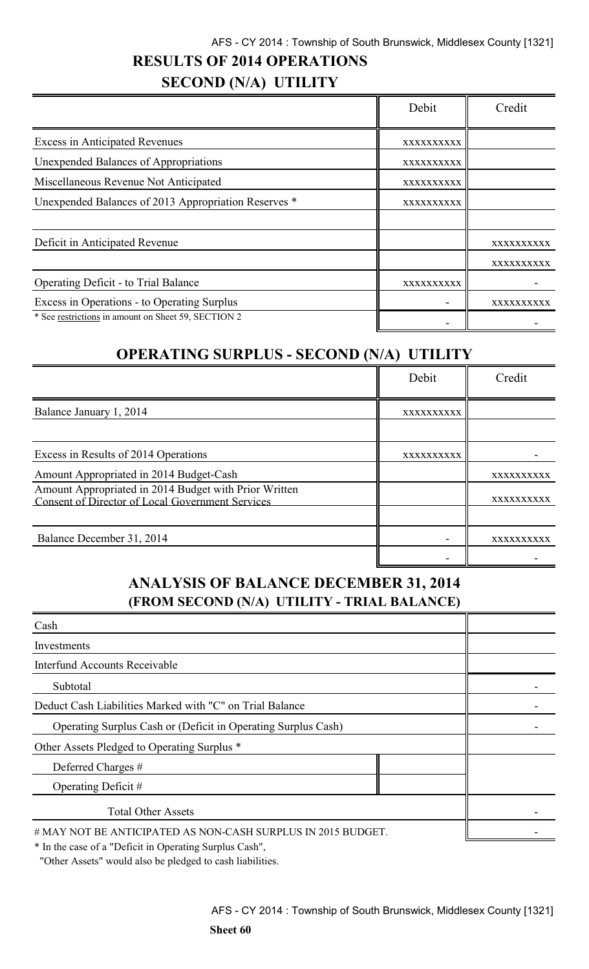## AFS - CY 2014 : Township of South Brunswick, Middlesex County [1321]

# **RESULTS OF 2014 OPERATIONS**

# **SECOND (N/A) UTILITY**

|                                                      | Debit      | Credit     |
|------------------------------------------------------|------------|------------|
| <b>Excess in Anticipated Revenues</b>                | XXXXXXXXXX |            |
| Unexpended Balances of Appropriations                | XXXXXXXXXX |            |
| Miscellaneous Revenue Not Anticipated                | XXXXXXXXXX |            |
| Unexpended Balances of 2013 Appropriation Reserves * | XXXXXXXXXX |            |
|                                                      |            |            |
| Deficit in Anticipated Revenue                       |            | XXXXXXXXXX |
|                                                      |            | XXXXXXXXXX |
| <b>Operating Deficit - to Trial Balance</b>          | XXXXXXXXXX |            |
| Excess in Operations - to Operating Surplus          |            | xxxxxxxxxx |
| * See restrictions in amount on Sheet 59, SECTION 2  |            |            |

# **OPERATING SURPLUS - SECOND (N/A) UTILITY**

|                                                                                                           | Debit      | Credit     |
|-----------------------------------------------------------------------------------------------------------|------------|------------|
| Balance January 1, 2014                                                                                   | XXXXXXXXXX |            |
|                                                                                                           |            |            |
| Excess in Results of 2014 Operations                                                                      | XXXXXXXXXX |            |
| Amount Appropriated in 2014 Budget-Cash                                                                   |            | XXXXXXXXXX |
| Amount Appropriated in 2014 Budget with Prior Written<br>Consent of Director of Local Government Services |            | XXXXXXXXXX |
| Balance December 31, 2014                                                                                 |            | XXXXXXXXXX |
|                                                                                                           |            |            |

## **ANALYSIS OF BALANCE DECEMBER 31, 2014 (FROM SECOND (N/A) UTILITY - TRIAL BALANCE)**

| Cash                                                                                                                                                                        |  |
|-----------------------------------------------------------------------------------------------------------------------------------------------------------------------------|--|
| Investments                                                                                                                                                                 |  |
| Interfund Accounts Receivable                                                                                                                                               |  |
| Subtotal                                                                                                                                                                    |  |
| Deduct Cash Liabilities Marked with "C" on Trial Balance                                                                                                                    |  |
| Operating Surplus Cash or (Deficit in Operating Surplus Cash)                                                                                                               |  |
| Other Assets Pledged to Operating Surplus *                                                                                                                                 |  |
| Deferred Charges #                                                                                                                                                          |  |
| Operating Deficit $#$                                                                                                                                                       |  |
| <b>Total Other Assets</b>                                                                                                                                                   |  |
| # MAY NOT BE ANTICIPATED AS NON-CASH SURPLUS IN 2015 BUDGET.<br>$*$ Let $\mathbb{R}$ be a set of a UD of $\mathbb{R}$ is a Quantity continuous $\mathbb{R}$ of $\mathbb{R}$ |  |

\* In the case of a "Deficit in Operating Surplus Cash",

"Other Assets" would also be pledged to cash liabilities.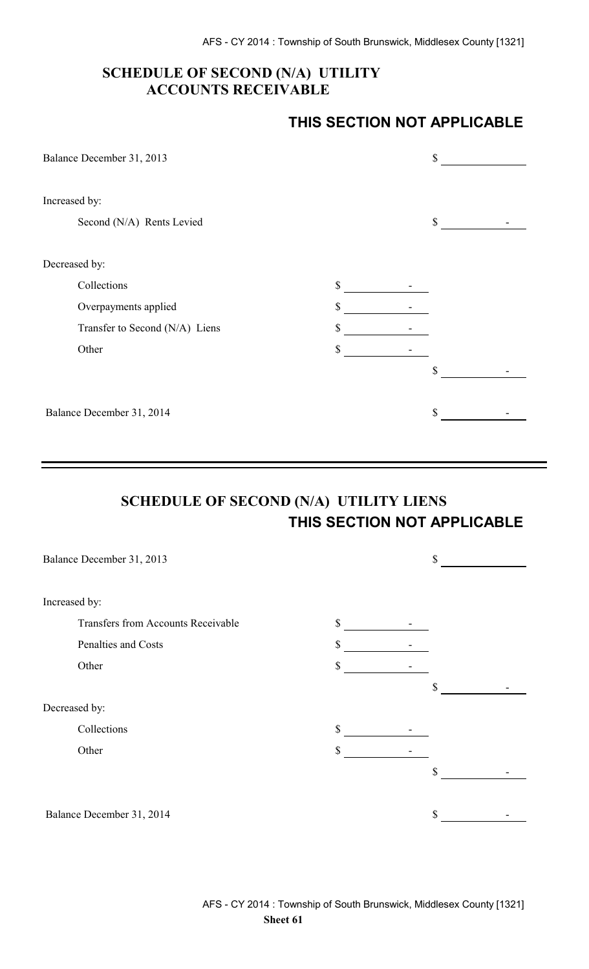## **SCHEDULE OF SECOND (N/A) UTILITY ACCOUNTS RECEIVABLE**

## **THIS SECTION NOT APPLICABLE**

| Balance December 31, 2013      |              | \$ |  |
|--------------------------------|--------------|----|--|
| Increased by:                  |              |    |  |
| Second (N/A) Rents Levied      |              | \$ |  |
| Decreased by:                  |              |    |  |
| Collections                    | $\mathbb{S}$ |    |  |
| Overpayments applied           | \$           |    |  |
| Transfer to Second (N/A) Liens | \$           |    |  |
| Other                          | \$           |    |  |
|                                |              | \$ |  |
| Balance December 31, 2014      |              | \$ |  |

# **SCHEDULE OF SECOND (N/A) UTILITY LIENS THIS SECTION NOT APPLICABLE**

| Balance December 31, 2013                 |              | \$ |  |
|-------------------------------------------|--------------|----|--|
|                                           |              |    |  |
| Increased by:                             |              |    |  |
| <b>Transfers from Accounts Receivable</b> | $\mathbb{S}$ |    |  |
| Penalties and Costs                       | \$           |    |  |
| Other                                     | \$           |    |  |
|                                           |              | \$ |  |
| Decreased by:                             |              |    |  |
| Collections                               | \$           |    |  |
| Other                                     | \$           |    |  |
|                                           |              | \$ |  |
|                                           |              |    |  |
| Balance December 31, 2014                 |              | \$ |  |
|                                           |              |    |  |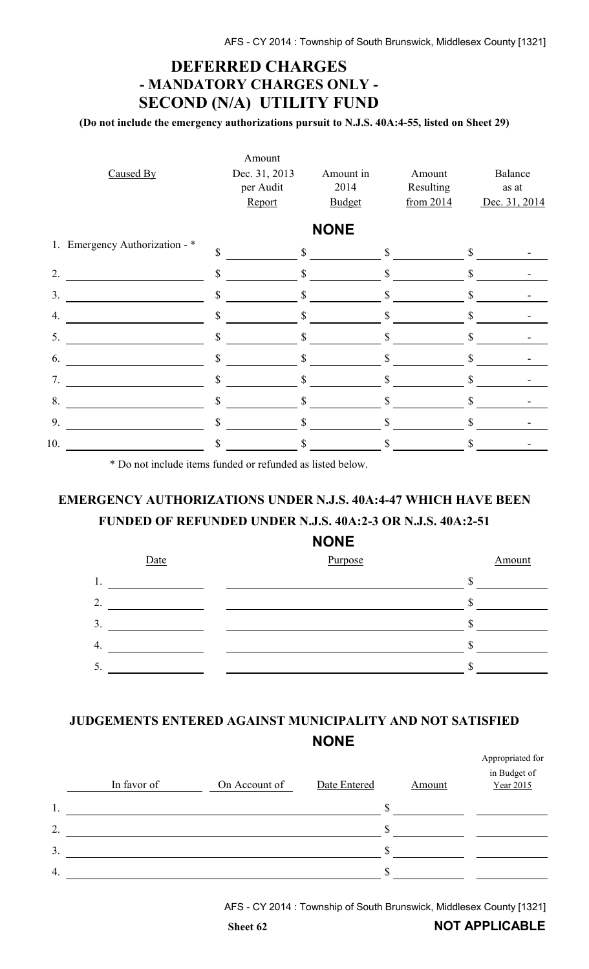# **DEFERRED CHARGES - MANDATORY CHARGES ONLY - SECOND (N/A) UTILITY FUND**

**(Do not include the emergency authorizations pursuit to N.J.S. 40A:4-55, listed on Sheet 29)**

|                                | Amount        |               |              |              |               |
|--------------------------------|---------------|---------------|--------------|--------------|---------------|
| Caused By                      | Dec. 31, 2013 | Amount in     | Amount       |              | Balance       |
|                                | per Audit     | 2014          | Resulting    |              | as at         |
|                                | Report        | <b>Budget</b> | from 2014    |              | Dec. 31, 2014 |
|                                |               | <b>NONE</b>   |              |              |               |
| 1. Emergency Authorization - * | \$            | $\mathbb{S}$  | $\mathbb{S}$ | \$           |               |
| 2.                             | \$            | \$            | \$           | \$           |               |
| 3.                             | \$            | $\mathbb{S}$  | $\mathbb{S}$ | $\mathbb{S}$ |               |
| 4.                             | \$            | \$            | \$           |              |               |
| 5.                             | \$            | \$            | \$           | \$           |               |
| 6.                             | $\mathbb{S}$  | $\mathbb{S}$  | \$           | \$           |               |
| 7.                             | \$            | \$            | S            | \$           |               |
| 8.                             | \$            |               | \$           | \$           |               |
| 9.                             | \$            |               | S            |              |               |
| 10.                            | \$            |               |              | S            |               |

\* Do not include items funded or refunded as listed below.

# **EMERGENCY AUTHORIZATIONS UNDER N.J.S. 40A:4-47 WHICH HAVE BEEN FUNDED OF REFUNDED UNDER N.J.S. 40A:2-3 OR N.J.S. 40A:2-51**

#### **NONE**



## **JUDGEMENTS ENTERED AGAINST MUNICIPALITY AND NOT SATISFIED NONE**

|                  | In favor of | On Account of | Date Entered | Amount | Appropriated for<br>in Budget of<br>Year 2015 |
|------------------|-------------|---------------|--------------|--------|-----------------------------------------------|
| 1.               |             |               |              |        |                                               |
| $\overline{2}$ . |             |               |              |        |                                               |
| 3.               |             |               |              |        |                                               |
| $\overline{4}$   |             |               |              |        |                                               |
|                  |             |               |              |        |                                               |

AFS - CY 2014 : Township of South Brunswick, Middlesex County [1321]

Appropriated for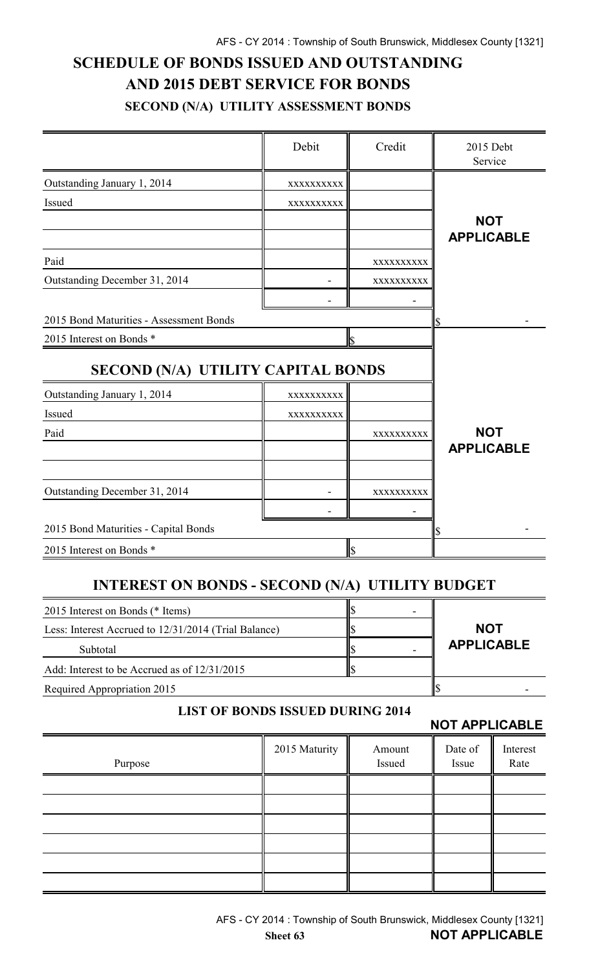# **SCHEDULE OF BONDS ISSUED AND OUTSTANDING AND 2015 DEBT SERVICE FOR BONDS SECOND (N/A) UTILITY ASSESSMENT BONDS**

|                                                        | Debit      | Credit     | 2015 Debt<br>Service |
|--------------------------------------------------------|------------|------------|----------------------|
| Outstanding January 1, 2014                            | XXXXXXXXX  |            |                      |
| Issued                                                 | XXXXXXXXXX |            |                      |
|                                                        |            |            | <b>NOT</b>           |
|                                                        |            |            | <b>APPLICABLE</b>    |
| Paid                                                   |            | XXXXXXXXX  |                      |
| Outstanding December 31, 2014                          |            | XXXXXXXXX  |                      |
|                                                        |            |            |                      |
| 2015 Bond Maturities - Assessment Bonds                |            |            |                      |
| 2015 Interest on Bonds *                               |            | lls        |                      |
| SECOND (N/A) UTILITY CAPITAL BONDS                     |            |            |                      |
| Outstanding January 1, 2014                            | XXXXXXXXXX |            |                      |
| Issued                                                 | XXXXXXXXXX |            |                      |
| Paid                                                   |            | XXXXXXXXXX | <b>NOT</b>           |
|                                                        |            |            | <b>APPLICABLE</b>    |
| Outstanding December 31, 2014                          |            | XXXXXXXXX  |                      |
|                                                        |            |            |                      |
| 2015 Bond Maturities - Capital Bonds                   |            |            |                      |
| 2015 Interest on Bonds *                               |            | \$         |                      |
|                                                        |            |            |                      |
| <b>INTEREST ON BONDS - SECOND (N/A) UTILITY BUDGET</b> |            |            |                      |
| 2015 Interest on Bonds (* Items)                       |            | \$         |                      |
| Less: Interest Accrued to 12/31/2014 (Trial Balance)   | \$         | <b>NOT</b> |                      |
| Subtotal                                               |            |            | <b>APPLICABLE</b>    |
| Add: Interest to be Accrued as of 12/31/2015           |            | \$         |                      |
| Required Appropriation 2015                            |            |            | <b>S</b>             |

#### **LIST OF BONDS ISSUED DURING 2014**

#### **NOT APPLICABLE**

|         |               |                  | $\begin{array}{c} \n\textbf{IV} \\ \textbf{IV} \\ \textbf{IV} \\ \textbf{IV} \\ \textbf{IV} \\ \textbf{IV} \\ \textbf{IV} \\ \textbf{IV} \\ \textbf{IV} \\ \textbf{IV} \\ \textbf{IV} \\ \textbf{IV} \\ \textbf{IV} \\ \textbf{IV} \\ \textbf{IV} \\ \textbf{IV} \\ \textbf{IV} \\ \textbf{IV} \\ \textbf{IV} \\ \textbf{IV} \\ \textbf{IV} \\ \textbf{IV} \\ \textbf{IV} \\ \textbf{IV} \\ \textbf{IV} \\ \textbf{IV} \\ \textbf{IV} \\ \textbf{IV} \\ \textbf{IV} \\ \textbf{IV} \\ \$ |                  |
|---------|---------------|------------------|------------------------------------------------------------------------------------------------------------------------------------------------------------------------------------------------------------------------------------------------------------------------------------------------------------------------------------------------------------------------------------------------------------------------------------------------------------------------------------------|------------------|
| Purpose | 2015 Maturity | Amount<br>Issued | Date of<br>Issue                                                                                                                                                                                                                                                                                                                                                                                                                                                                         | Interest<br>Rate |
|         |               |                  |                                                                                                                                                                                                                                                                                                                                                                                                                                                                                          |                  |
|         |               |                  |                                                                                                                                                                                                                                                                                                                                                                                                                                                                                          |                  |
|         |               |                  |                                                                                                                                                                                                                                                                                                                                                                                                                                                                                          |                  |
|         |               |                  |                                                                                                                                                                                                                                                                                                                                                                                                                                                                                          |                  |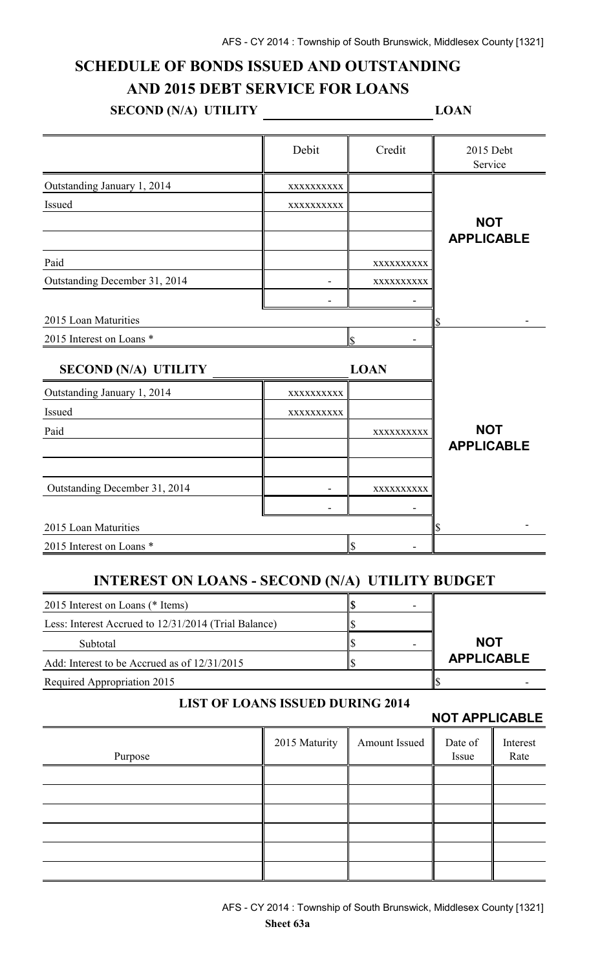# **SCHEDULE OF BONDS ISSUED AND OUTSTANDING AND 2015 DEBT SERVICE FOR LOANS**

# **SECOND (N/A) UTILITY LOAN**

|                                                        | Debit                                   | Credit                    | 2015 Debt<br>Service  |                  |
|--------------------------------------------------------|-----------------------------------------|---------------------------|-----------------------|------------------|
| Outstanding January 1, 2014                            | XXXXXXXXX                               |                           |                       |                  |
| Issued                                                 | XXXXXXXXX                               |                           |                       |                  |
|                                                        |                                         |                           | <b>NOT</b>            |                  |
|                                                        |                                         |                           | <b>APPLICABLE</b>     |                  |
| Paid                                                   |                                         | XXXXXXXXX                 |                       |                  |
| Outstanding December 31, 2014                          |                                         | XXXXXXXXX                 |                       |                  |
|                                                        |                                         |                           |                       |                  |
| 2015 Loan Maturities                                   |                                         |                           |                       |                  |
| 2015 Interest on Loans *                               |                                         | ls.                       |                       |                  |
| <b>SECOND (N/A) UTILITY</b>                            |                                         | <b>LOAN</b>               |                       |                  |
| Outstanding January 1, 2014                            | XXXXXXXXXX                              |                           |                       |                  |
| Issued                                                 | XXXXXXXXX                               |                           |                       |                  |
| Paid                                                   |                                         | XXXXXXXXX                 | <b>NOT</b>            |                  |
|                                                        |                                         |                           | <b>APPLICABLE</b>     |                  |
|                                                        |                                         |                           |                       |                  |
| Outstanding December 31, 2014                          |                                         | XXXXXXXXXX                |                       |                  |
|                                                        |                                         |                           |                       |                  |
| 2015 Loan Maturities                                   |                                         |                           | \$                    |                  |
| 2015 Interest on Loans *                               |                                         | $\mathcal{S}$             |                       |                  |
| <b>INTEREST ON LOANS - SECOND (N/A) UTILITY BUDGET</b> |                                         |                           |                       |                  |
| 2015 Interest on Loans (* Items)                       |                                         | $\boldsymbol{\mathsf{S}}$ |                       |                  |
| Less: Interest Accrued to 12/31/2014 (Trial Balance)   |                                         | \$                        |                       |                  |
| Subtotal                                               |                                         | \$                        | <b>NOT</b>            |                  |
| Add: Interest to be Accrued as of 12/31/2015           | \$                                      | <b>APPLICABLE</b>         |                       |                  |
| Required Appropriation 2015                            |                                         | \$                        |                       |                  |
|                                                        | <b>LIST OF LOANS ISSUED DURING 2014</b> |                           | <b>NOT APPLICABLE</b> |                  |
| Purpose                                                | 2015 Maturity                           | Amount Issued             | Date of<br>Issue      | Interest<br>Rate |
|                                                        |                                         |                           |                       |                  |
|                                                        |                                         |                           |                       |                  |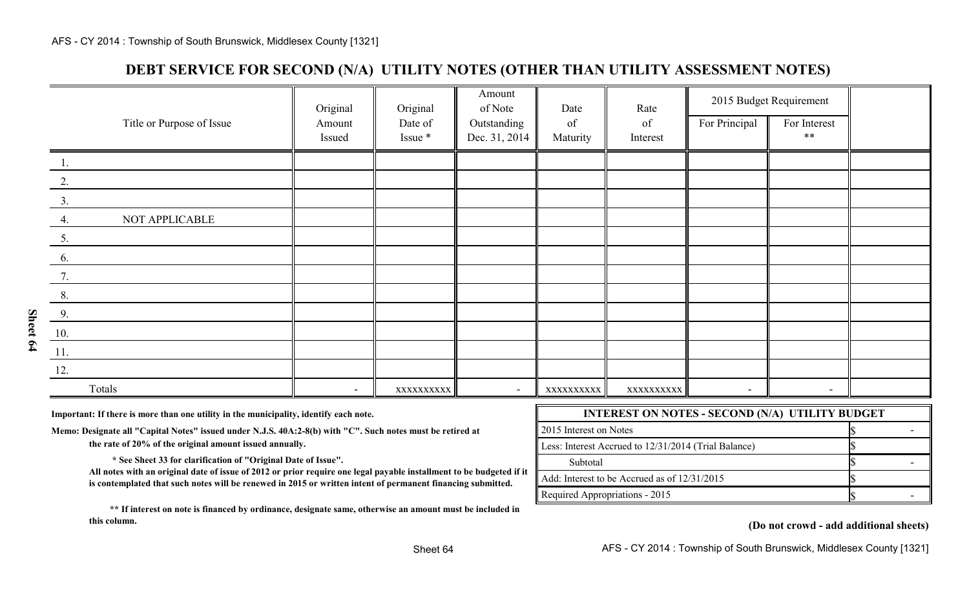## **DEBT SERVICE FOR SECOND (N/A) UTILITY NOTES (OTHER THAN UTILITY ASSESSMENT NOTES)**

|                           | Original                 | Original   | Amount<br>of Note | Date       | Rate       | 2015 Budget Requirement  |                          |  |
|---------------------------|--------------------------|------------|-------------------|------------|------------|--------------------------|--------------------------|--|
| Title or Purpose of Issue | Amount                   | Date of    | Outstanding       | of         | of         | For Principal            | For Interest             |  |
|                           | Issued                   | Issue *    | Dec. 31, 2014     | Maturity   | Interest   |                          | $***$                    |  |
| 1.                        |                          |            |                   |            |            |                          |                          |  |
| 2.                        |                          |            |                   |            |            |                          |                          |  |
| 3.                        |                          |            |                   |            |            |                          |                          |  |
| NOT APPLICABLE<br>4.      |                          |            |                   |            |            |                          |                          |  |
| 5.                        |                          |            |                   |            |            |                          |                          |  |
| 6.                        |                          |            |                   |            |            |                          |                          |  |
| 7.                        |                          |            |                   |            |            |                          |                          |  |
| 8.                        |                          |            |                   |            |            |                          |                          |  |
| 9.                        |                          |            |                   |            |            |                          |                          |  |
| 10.                       |                          |            |                   |            |            |                          |                          |  |
| 11.                       |                          |            |                   |            |            |                          |                          |  |
| 12.                       |                          |            |                   |            |            |                          |                          |  |
| Totals                    | $\overline{\phantom{a}}$ | XXXXXXXXXX |                   | XXXXXXXXXX | XXXXXXXXXX | $\overline{\phantom{a}}$ | $\overline{\phantom{0}}$ |  |

Important: If there is more than one utility in the municipality, identify each note.

Memo: Designate all "Capital Notes" issued under N.J.S. 40A:2-8(b) with "C". Such notes must be retired at

the rate of 20% of the original amount issued annually.

 **\* See Sheet 33 for clarification of "Original Date of Issue".** 

**All notes with an original date of issue of 2012 or prior require one legal payable installment to be budgeted if it is contemplated that such notes will be renewed in 2015 or written intent of permanent financing submitted.**

 **\*\* If interest on note is financed by ordinance, designate same, otherwise an amount must be included in this column.**

| <b>INTEREST ON NOTES - SECOND (N/A) UTILITY BUDGET</b>   |  |  |  |  |  |
|----------------------------------------------------------|--|--|--|--|--|
| 2015 Interest on Notes                                   |  |  |  |  |  |
| Less: Interest Accrued to 12/31/2014 (Trial Balance)     |  |  |  |  |  |
| Subtotal                                                 |  |  |  |  |  |
| $\parallel$ Add: Interest to be Accrued as of 12/31/2015 |  |  |  |  |  |
| Required Appropriations - 2015                           |  |  |  |  |  |

**(Do not crowd - add additional sheets)**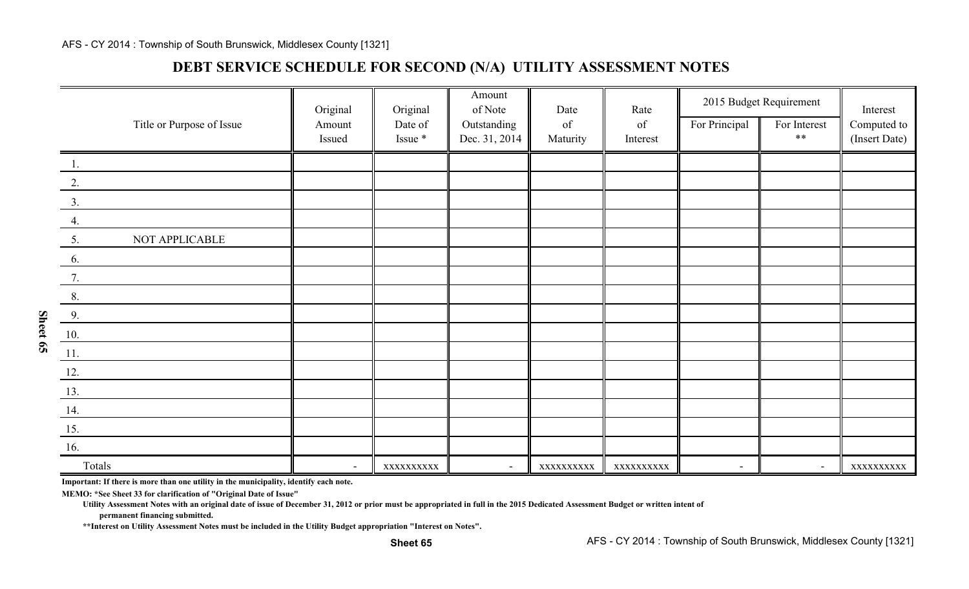## **DEBT SERVICE SCHEDULE FOR SECOND (N/A) UTILITY ASSESSMENT NOTES**

|                               | Original       | Original   | Amount<br>of Note | Date       | Rate       | 2015 Budget Requirement  |                          | Interest      |
|-------------------------------|----------------|------------|-------------------|------------|------------|--------------------------|--------------------------|---------------|
| Title or Purpose of Issue     | Amount         | Date of    | Outstanding       | of         | of         | For Principal            | For Interest             | Computed to   |
|                               | Issued         | Issue *    | Dec. 31, 2014     | Maturity   | Interest   |                          | $***$                    | (Insert Date) |
| 1.                            |                |            |                   |            |            |                          |                          |               |
| 2.                            |                |            |                   |            |            |                          |                          |               |
| 3.                            |                |            |                   |            |            |                          |                          |               |
| 4.                            |                |            |                   |            |            |                          |                          |               |
| NOT APPLICABLE<br>5.          |                |            |                   |            |            |                          |                          |               |
| 6.                            |                |            |                   |            |            |                          |                          |               |
| 7.                            |                |            |                   |            |            |                          |                          |               |
| 8.                            |                |            |                   |            |            |                          |                          |               |
| 9.                            |                |            |                   |            |            |                          |                          |               |
| 10.                           |                |            |                   |            |            |                          |                          |               |
| $\underline{\phantom{a}11}$ . |                |            |                   |            |            |                          |                          |               |
| 12.                           |                |            |                   |            |            |                          |                          |               |
| 13.                           |                |            |                   |            |            |                          |                          |               |
| 14.                           |                |            |                   |            |            |                          |                          |               |
| 15.                           |                |            |                   |            |            |                          |                          |               |
| 16.                           |                |            |                   |            |            |                          |                          |               |
| Totals                        | $\blacksquare$ | XXXXXXXXXX | $\blacksquare$    | XXXXXXXXXX | XXXXXXXXXX | $\overline{\phantom{a}}$ | $\overline{\phantom{a}}$ | XXXXXXXXXX    |

**Important: If there is more than one utility in the municipality, identify each note.**

**MEMO: \*See Sheet 33 for clarification of "Original Date of Issue"**

**Utility Assessment Notes with an original date of issue of December 31, 2012 or prior must be appropriated in full in the 2015 Dedicated Assessment Budget or written intent of**

**permanent financing submitted.**

**\*\*Interest on Utility Assessment Notes must be included in the Utility Budget appropriation "Interest on Notes".**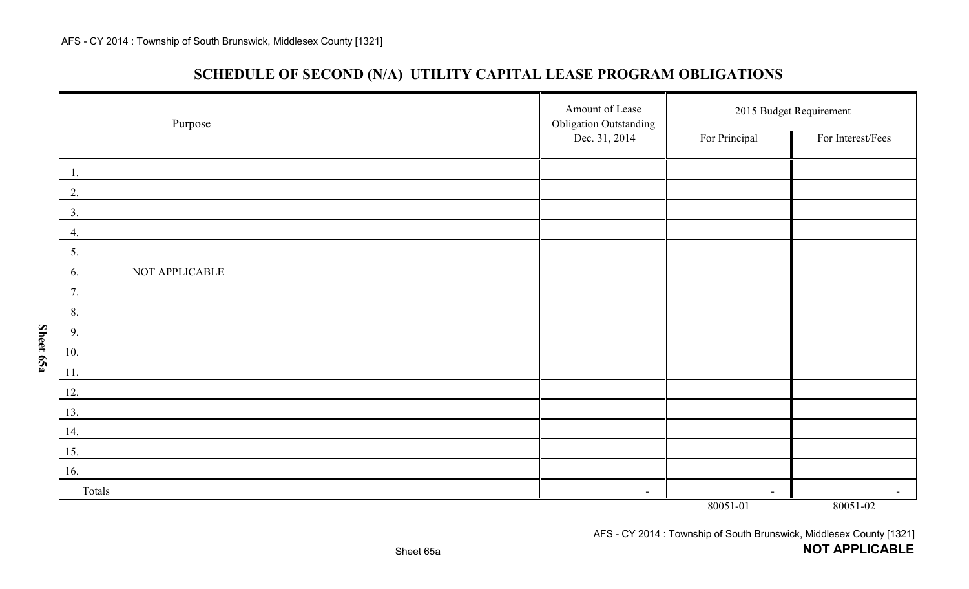**Sheet 65a**

| SCHEDULE OF SECOND (N/A) UTILITY CAPITAL LEASE PROGRAM OBLIGATIONS |  |  |  |  |
|--------------------------------------------------------------------|--|--|--|--|
|--------------------------------------------------------------------|--|--|--|--|

| Purpose              | Amount of Lease<br><b>Obligation Outstanding</b> | 2015 Budget Requirement |                          |  |
|----------------------|--------------------------------------------------|-------------------------|--------------------------|--|
|                      | Dec. 31, 2014                                    | For Principal           | For Interest/Fees        |  |
| $\overline{1}$ .     |                                                  |                         |                          |  |
| $\overline{2}$ .     |                                                  |                         |                          |  |
| 3.                   |                                                  |                         |                          |  |
| 4.                   |                                                  |                         |                          |  |
| 5.                   |                                                  |                         |                          |  |
| NOT APPLICABLE<br>6. |                                                  |                         |                          |  |
| 7.                   |                                                  |                         |                          |  |
| 8.                   |                                                  |                         |                          |  |
| 9.                   |                                                  |                         |                          |  |
| 10.                  |                                                  |                         |                          |  |
| 11.                  |                                                  |                         |                          |  |
| 12.                  |                                                  |                         |                          |  |
| 13.                  |                                                  |                         |                          |  |
| 14.                  |                                                  |                         |                          |  |
| 15.                  |                                                  |                         |                          |  |
| 16.                  |                                                  |                         |                          |  |
| Totals               | $\blacksquare$                                   | $\blacksquare$          | $\overline{\phantom{a}}$ |  |
|                      |                                                  | 80051-01                | 80051-02                 |  |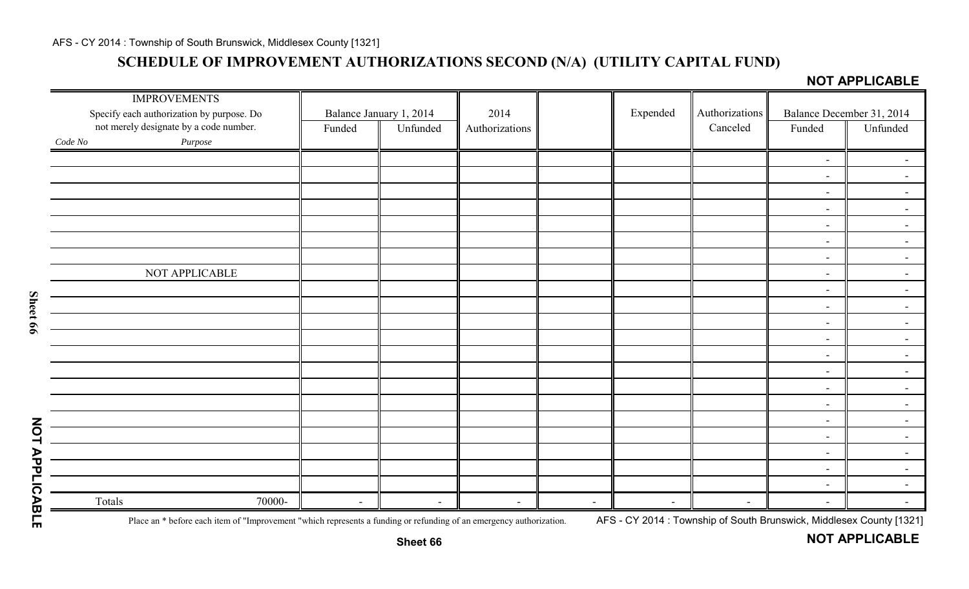# **SCHEDULE OF IMPROVEMENT AUTHORIZATIONS SECOND (N/A) (UTILITY CAPITAL FUND)**

**NOT APPLICABLE** 

| <b>IMPROVEMENTS</b><br>Specify each authorization by purpose. Do |                          | Balance January 1, 2014  | 2014                     |                          | Expended                 | Authorizations |                          | Balance December 31, 2014 |
|------------------------------------------------------------------|--------------------------|--------------------------|--------------------------|--------------------------|--------------------------|----------------|--------------------------|---------------------------|
| not merely designate by a code number.                           | Funded                   | Unfunded                 | Authorizations           |                          |                          | Canceled       | Funded                   | Unfunded                  |
| $\it Purpose$<br>Code No                                         |                          |                          |                          |                          |                          |                |                          |                           |
|                                                                  |                          |                          |                          |                          |                          |                | $\sim$                   |                           |
|                                                                  |                          |                          |                          |                          |                          |                | $\blacksquare$           | $\sim$                    |
|                                                                  |                          |                          |                          |                          |                          |                | $\overline{\phantom{a}}$ | $\sim$                    |
|                                                                  |                          |                          |                          |                          |                          |                | $\overline{\phantom{a}}$ | $\sim$                    |
|                                                                  |                          |                          |                          |                          |                          |                | $\overline{\phantom{a}}$ | $\blacksquare$            |
|                                                                  |                          |                          |                          |                          |                          |                | $\overline{\phantom{a}}$ | $\overline{\phantom{a}}$  |
|                                                                  |                          |                          |                          |                          |                          |                | $\blacksquare$           | $\blacksquare$            |
| NOT APPLICABLE                                                   |                          |                          |                          |                          |                          |                | $\blacksquare$           | $\overline{\phantom{0}}$  |
|                                                                  |                          |                          |                          |                          |                          |                | $\blacksquare$           | $\blacksquare$            |
|                                                                  |                          |                          |                          |                          |                          |                | $\blacksquare$           | $\blacksquare$            |
|                                                                  |                          |                          |                          |                          |                          |                | $\sim$                   | $\sim$                    |
|                                                                  |                          |                          |                          |                          |                          |                | $\blacksquare$           | $\sim$                    |
|                                                                  |                          |                          |                          |                          |                          |                | $\blacksquare$           | $\sim$                    |
|                                                                  |                          |                          |                          |                          |                          |                | $\blacksquare$           | $\blacksquare$            |
|                                                                  |                          |                          |                          |                          |                          |                | $\blacksquare$           | $\blacksquare$            |
|                                                                  |                          |                          |                          |                          |                          |                | $\blacksquare$           | $\blacksquare$            |
|                                                                  |                          |                          |                          |                          |                          |                | $\blacksquare$           | $\blacksquare$            |
|                                                                  |                          |                          |                          |                          |                          |                | $\overline{\phantom{a}}$ | $\sim$                    |
|                                                                  |                          |                          |                          |                          |                          |                | $\blacksquare$           | $\sim$                    |
|                                                                  |                          |                          |                          |                          |                          |                | $\overline{\phantom{a}}$ | $\sim$                    |
|                                                                  |                          |                          |                          |                          |                          |                | $\overline{\phantom{a}}$ | $\sim$                    |
| Totals<br>70000-                                                 | $\overline{\phantom{a}}$ | $\overline{\phantom{a}}$ | $\overline{\phantom{a}}$ | $\overline{\phantom{a}}$ | $\overline{\phantom{a}}$ |                | $\blacksquare$           |                           |

Sheet 66

Place an \* before each item of "Improvement "which represents a funding or refunding of an emergency authorization. AFS - CY 2014: Township of South Brunswick, Middlesex County [1321]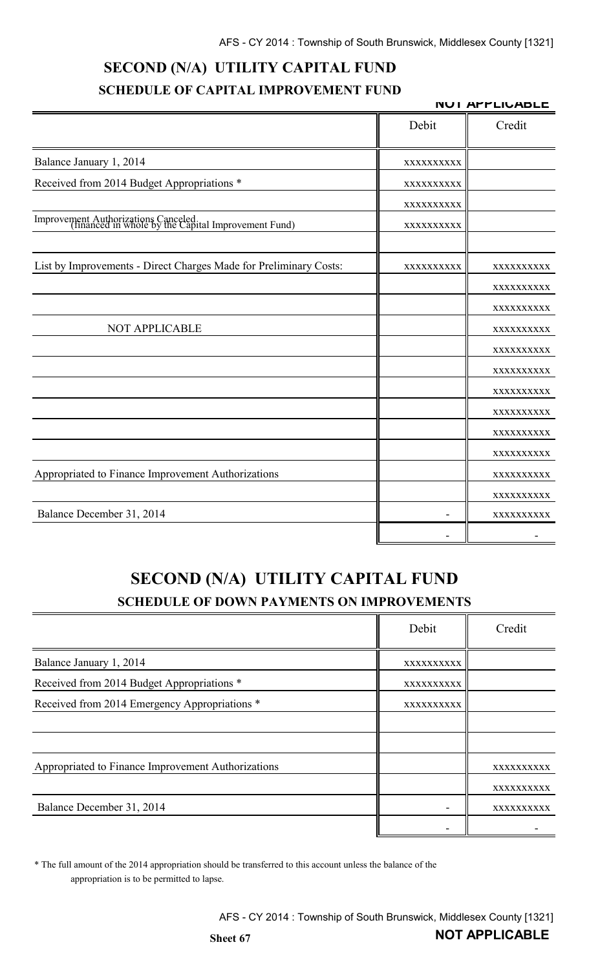# **SECOND (N/A) UTILITY CAPITAL FUND SCHEDULE OF CAPITAL IMPROVEMENT FUND**

**NOT APPLICABLE**

|                                                                                            | Debit      | Credit                   |
|--------------------------------------------------------------------------------------------|------------|--------------------------|
| Balance January 1, 2014                                                                    | XXXXXXXXXX |                          |
| Received from 2014 Budget Appropriations *                                                 | XXXXXXXXXX |                          |
|                                                                                            | XXXXXXXXX  |                          |
| Improvement Authorizations Canceled<br>(financed in whole by the Capital Improvement Fund) | XXXXXXXXXX |                          |
| List by Improvements - Direct Charges Made for Preliminary Costs:                          | XXXXXXXXXX |                          |
|                                                                                            |            | XXXXXXXXXX<br>XXXXXXXXXX |
|                                                                                            |            | XXXXXXXXXX               |
| NOT APPLICABLE                                                                             |            | XXXXXXXXXX               |
|                                                                                            |            | XXXXXXXXXX               |
|                                                                                            |            | XXXXXXXXX                |
|                                                                                            |            | XXXXXXXXXX               |
|                                                                                            |            | XXXXXXXXXX               |
|                                                                                            |            | XXXXXXXXXX               |
|                                                                                            |            | XXXXXXXXXX               |
| Appropriated to Finance Improvement Authorizations                                         |            | XXXXXXXXX                |
|                                                                                            |            | XXXXXXXXXX               |
| Balance December 31, 2014                                                                  |            | XXXXXXXXXX               |
|                                                                                            |            |                          |

# **SECOND (N/A) UTILITY CAPITAL FUND SCHEDULE OF DOWN PAYMENTS ON IMPROVEMENTS**

|                                                    | Debit      | Credit     |
|----------------------------------------------------|------------|------------|
| Balance January 1, 2014                            | XXXXXXXXXX |            |
| Received from 2014 Budget Appropriations *         | XXXXXXXXXX |            |
| Received from 2014 Emergency Appropriations *      | XXXXXXXXXX |            |
|                                                    |            |            |
|                                                    |            |            |
| Appropriated to Finance Improvement Authorizations |            | XXXXXXXXXX |
|                                                    |            | XXXXXXXXXX |
| Balance December 31, 2014                          |            | XXXXXXXXXX |
|                                                    |            |            |

\* The full amount of the 2014 appropriation should be transferred to this account unless the balance of the appropriation is to be permitted to lapse.